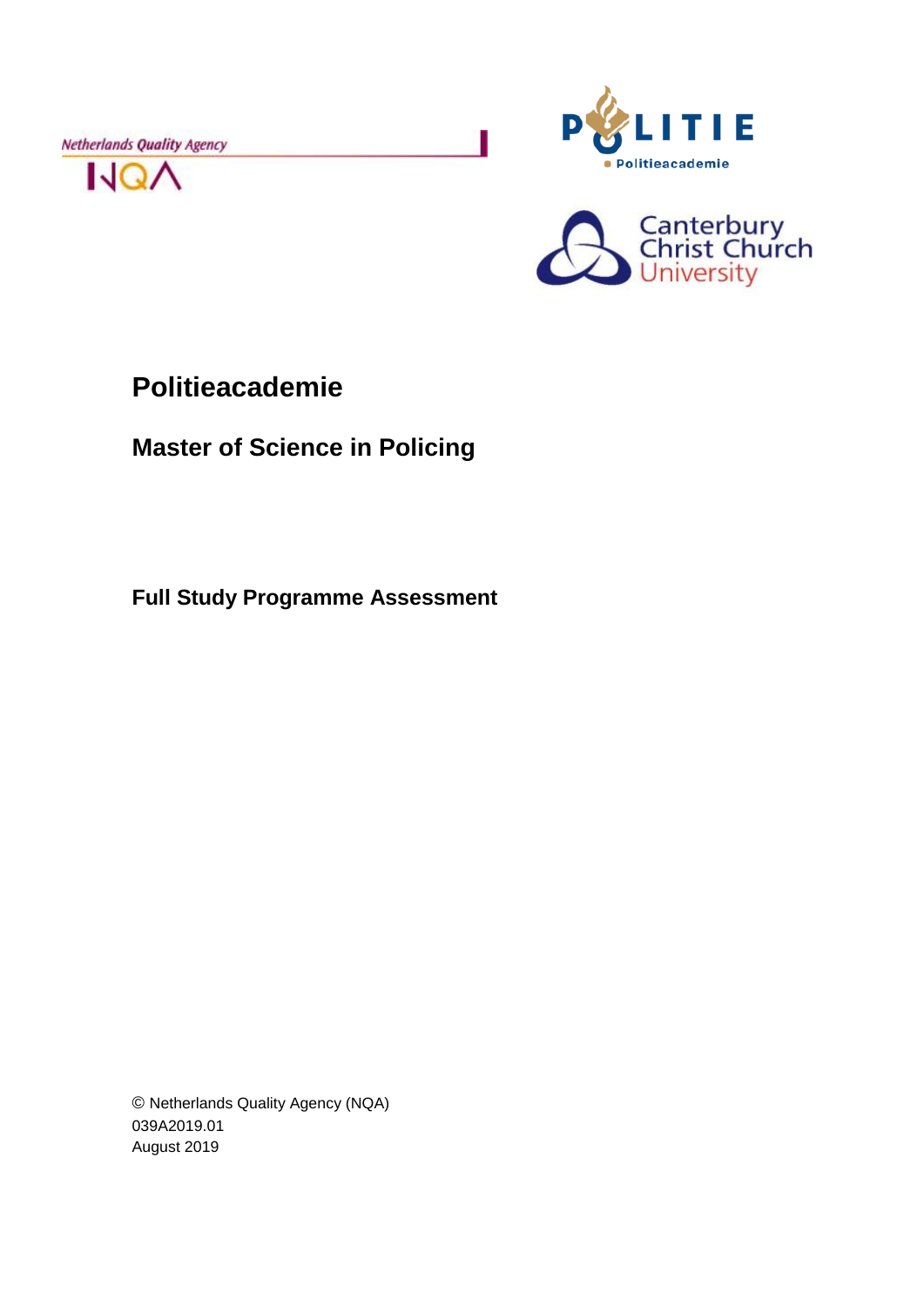Netherlands Quality Agency







# **Politieacademie**

**Master of Science in Policing**

**Full Study Programme Assessment**

© Netherlands Quality Agency (NQA) 039A2019.01 August 2019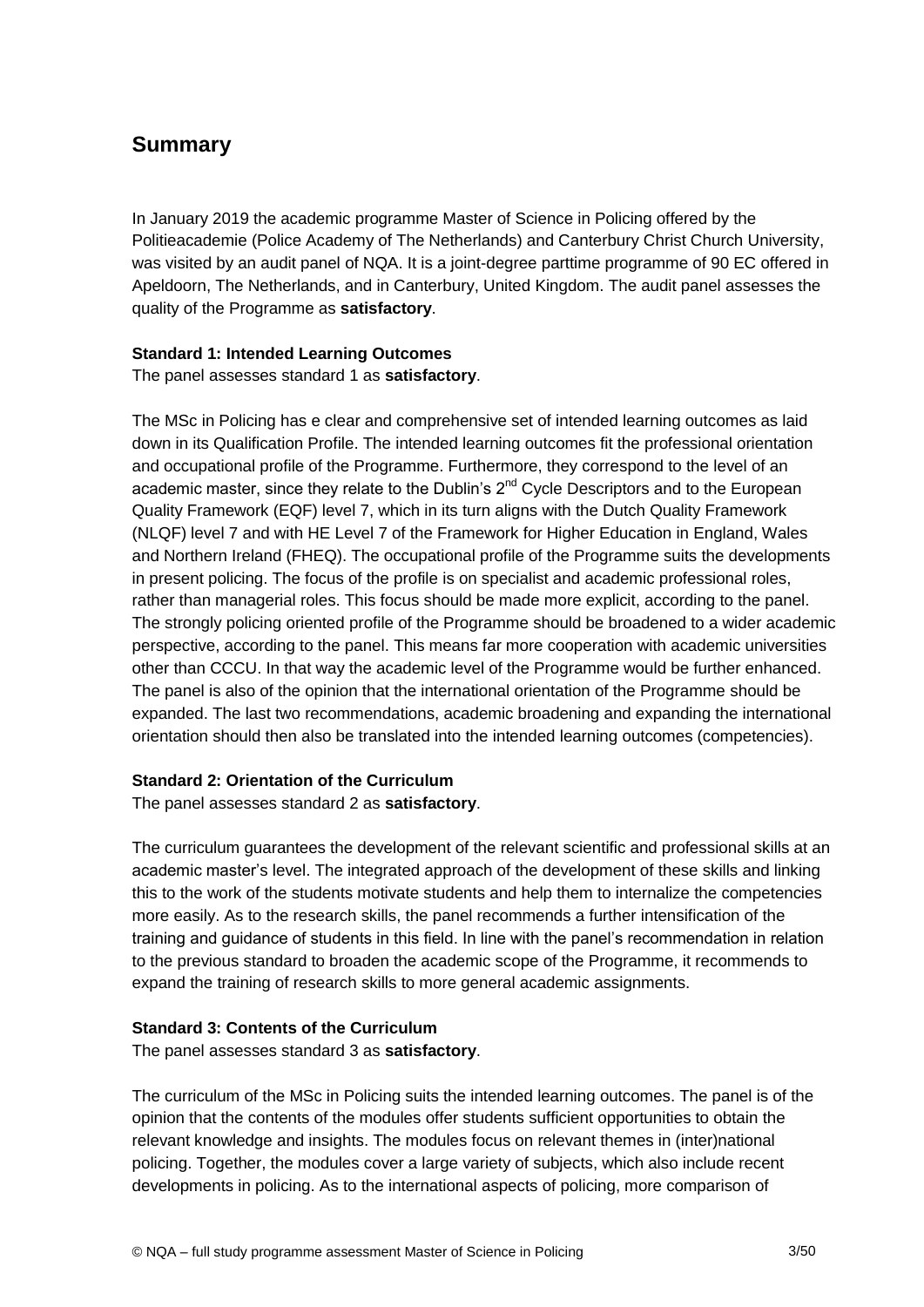## **Summary**

In January 2019 the academic programme Master of Science in Policing offered by the Politieacademie (Police Academy of The Netherlands) and Canterbury Christ Church University, was visited by an audit panel of NQA. It is a joint-degree parttime programme of 90 EC offered in Apeldoorn, The Netherlands, and in Canterbury, United Kingdom. The audit panel assesses the quality of the Programme as **satisfactory**.

#### **Standard 1: Intended Learning Outcomes**

The panel assesses standard 1 as **satisfactory**.

The MSc in Policing has e clear and comprehensive set of intended learning outcomes as laid down in its Qualification Profile. The intended learning outcomes fit the professional orientation and occupational profile of the Programme. Furthermore, they correspond to the level of an academic master, since they relate to the Dublin's  $2<sup>nd</sup>$  Cycle Descriptors and to the European Quality Framework (EQF) level 7, which in its turn aligns with the Dutch Quality Framework (NLQF) level 7 and with HE Level 7 of the Framework for Higher Education in England, Wales and Northern Ireland (FHEQ). The occupational profile of the Programme suits the developments in present policing. The focus of the profile is on specialist and academic professional roles, rather than managerial roles. This focus should be made more explicit, according to the panel. The strongly policing oriented profile of the Programme should be broadened to a wider academic perspective, according to the panel. This means far more cooperation with academic universities other than CCCU. In that way the academic level of the Programme would be further enhanced. The panel is also of the opinion that the international orientation of the Programme should be expanded. The last two recommendations, academic broadening and expanding the international orientation should then also be translated into the intended learning outcomes (competencies).

## **Standard 2: Orientation of the Curriculum**

The panel assesses standard 2 as **satisfactory**.

The curriculum guarantees the development of the relevant scientific and professional skills at an academic master's level. The integrated approach of the development of these skills and linking this to the work of the students motivate students and help them to internalize the competencies more easily. As to the research skills, the panel recommends a further intensification of the training and guidance of students in this field. In line with the panel's recommendation in relation to the previous standard to broaden the academic scope of the Programme, it recommends to expand the training of research skills to more general academic assignments.

## **Standard 3: Contents of the Curriculum**

The panel assesses standard 3 as **satisfactory**.

The curriculum of the MSc in Policing suits the intended learning outcomes. The panel is of the opinion that the contents of the modules offer students sufficient opportunities to obtain the relevant knowledge and insights. The modules focus on relevant themes in (inter)national policing. Together, the modules cover a large variety of subjects, which also include recent developments in policing. As to the international aspects of policing, more comparison of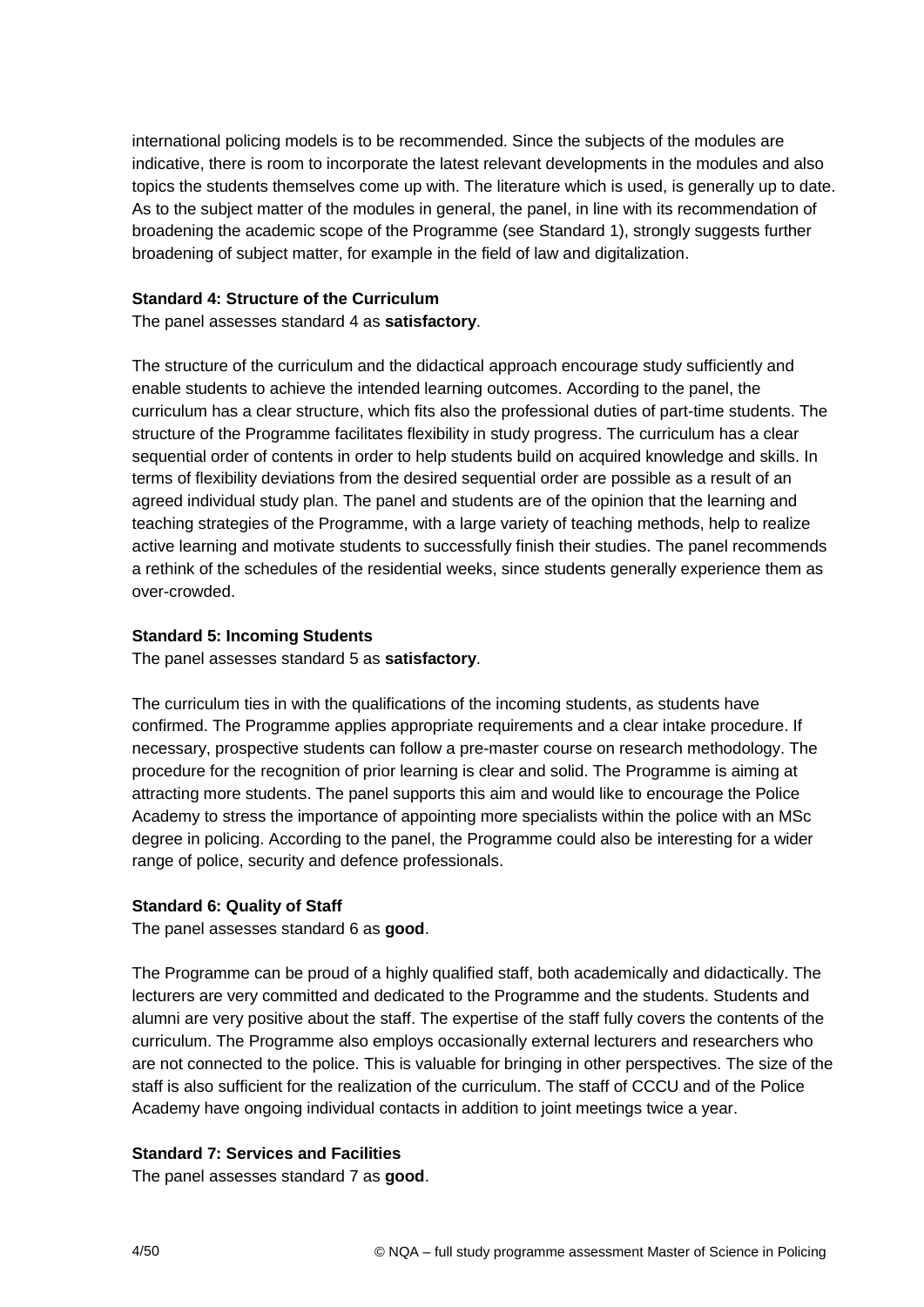international policing models is to be recommended. Since the subjects of the modules are indicative, there is room to incorporate the latest relevant developments in the modules and also topics the students themselves come up with. The literature which is used, is generally up to date. As to the subject matter of the modules in general, the panel, in line with its recommendation of broadening the academic scope of the Programme (see Standard 1), strongly suggests further broadening of subject matter, for example in the field of law and digitalization.

#### **Standard 4: Structure of the Curriculum**

The panel assesses standard 4 as **satisfactory**.

The structure of the curriculum and the didactical approach encourage study sufficiently and enable students to achieve the intended learning outcomes. According to the panel, the curriculum has a clear structure, which fits also the professional duties of part-time students. The structure of the Programme facilitates flexibility in study progress. The curriculum has a clear sequential order of contents in order to help students build on acquired knowledge and skills. In terms of flexibility deviations from the desired sequential order are possible as a result of an agreed individual study plan. The panel and students are of the opinion that the learning and teaching strategies of the Programme, with a large variety of teaching methods, help to realize active learning and motivate students to successfully finish their studies. The panel recommends a rethink of the schedules of the residential weeks, since students generally experience them as over-crowded.

#### **Standard 5: Incoming Students**

The panel assesses standard 5 as **satisfactory**.

The curriculum ties in with the qualifications of the incoming students, as students have confirmed. The Programme applies appropriate requirements and a clear intake procedure. If necessary, prospective students can follow a pre-master course on research methodology. The procedure for the recognition of prior learning is clear and solid. The Programme is aiming at attracting more students. The panel supports this aim and would like to encourage the Police Academy to stress the importance of appointing more specialists within the police with an MSc degree in policing. According to the panel, the Programme could also be interesting for a wider range of police, security and defence professionals.

#### **Standard 6: Quality of Staff**

The panel assesses standard 6 as **good**.

The Programme can be proud of a highly qualified staff, both academically and didactically. The lecturers are very committed and dedicated to the Programme and the students. Students and alumni are very positive about the staff. The expertise of the staff fully covers the contents of the curriculum. The Programme also employs occasionally external lecturers and researchers who are not connected to the police. This is valuable for bringing in other perspectives. The size of the staff is also sufficient for the realization of the curriculum. The staff of CCCU and of the Police Academy have ongoing individual contacts in addition to joint meetings twice a year.

## **Standard 7: Services and Facilities**

The panel assesses standard 7 as **good**.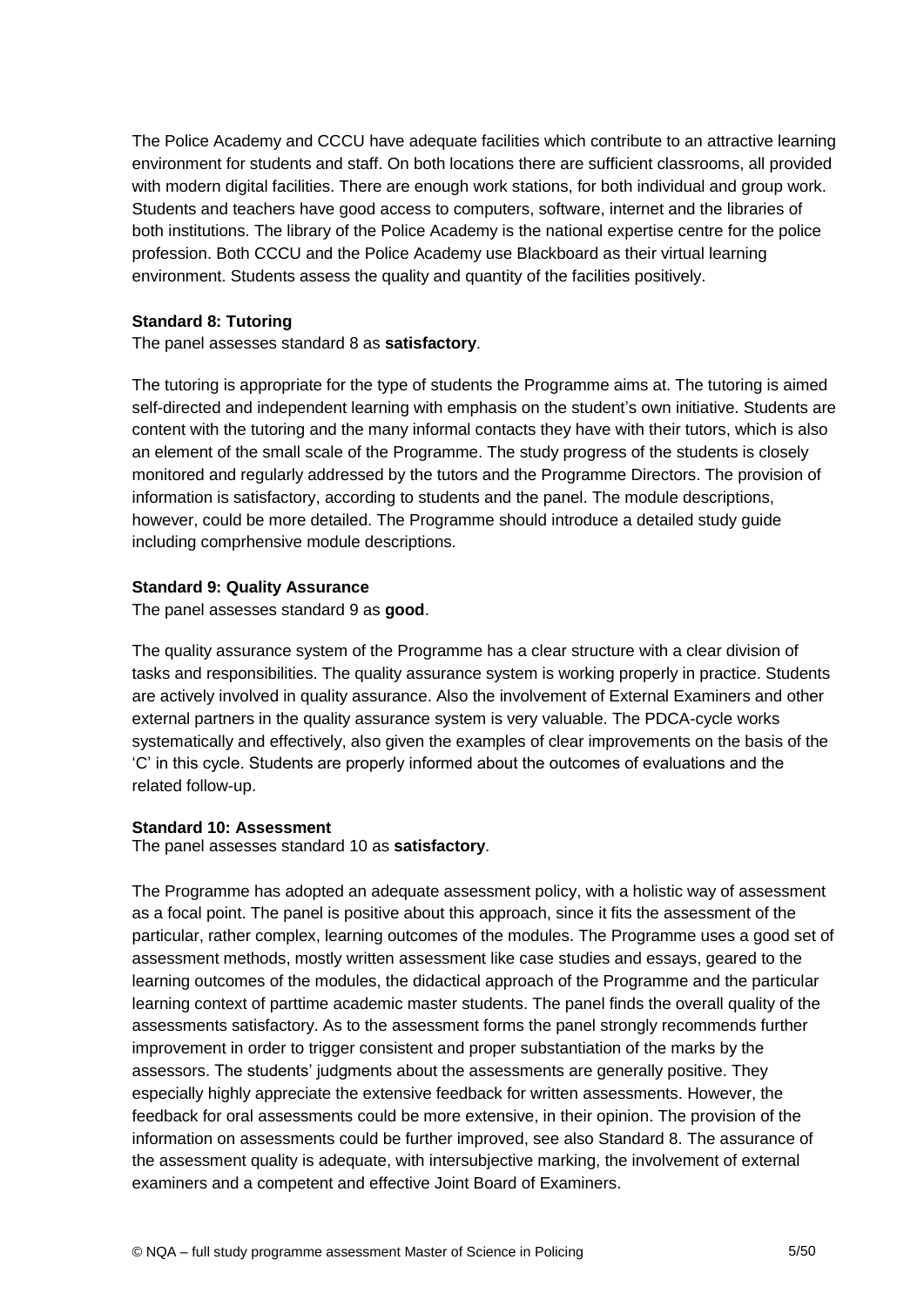The Police Academy and CCCU have adequate facilities which contribute to an attractive learning environment for students and staff. On both locations there are sufficient classrooms, all provided with modern digital facilities. There are enough work stations, for both individual and group work. Students and teachers have good access to computers, software, internet and the libraries of both institutions. The library of the Police Academy is the national expertise centre for the police profession. Both CCCU and the Police Academy use Blackboard as their virtual learning environment. Students assess the quality and quantity of the facilities positively.

#### **Standard 8: Tutoring**

The panel assesses standard 8 as **satisfactory**.

The tutoring is appropriate for the type of students the Programme aims at. The tutoring is aimed self-directed and independent learning with emphasis on the student's own initiative. Students are content with the tutoring and the many informal contacts they have with their tutors, which is also an element of the small scale of the Programme. The study progress of the students is closely monitored and regularly addressed by the tutors and the Programme Directors. The provision of information is satisfactory, according to students and the panel. The module descriptions, however, could be more detailed. The Programme should introduce a detailed study guide including comprhensive module descriptions.

#### **Standard 9: Quality Assurance**

The panel assesses standard 9 as **good**.

The quality assurance system of the Programme has a clear structure with a clear division of tasks and responsibilities. The quality assurance system is working properly in practice. Students are actively involved in quality assurance. Also the involvement of External Examiners and other external partners in the quality assurance system is very valuable. The PDCA-cycle works systematically and effectively, also given the examples of clear improvements on the basis of the 'C' in this cycle. Students are properly informed about the outcomes of evaluations and the related follow-up.

## **Standard 10: Assessment**

The panel assesses standard 10 as **satisfactory**.

The Programme has adopted an adequate assessment policy, with a holistic way of assessment as a focal point. The panel is positive about this approach, since it fits the assessment of the particular, rather complex, learning outcomes of the modules. The Programme uses a good set of assessment methods, mostly written assessment like case studies and essays, geared to the learning outcomes of the modules, the didactical approach of the Programme and the particular learning context of parttime academic master students. The panel finds the overall quality of the assessments satisfactory. As to the assessment forms the panel strongly recommends further improvement in order to trigger consistent and proper substantiation of the marks by the assessors. The students' judgments about the assessments are generally positive. They especially highly appreciate the extensive feedback for written assessments. However, the feedback for oral assessments could be more extensive, in their opinion. The provision of the information on assessments could be further improved, see also Standard 8. The assurance of the assessment quality is adequate, with intersubjective marking, the involvement of external examiners and a competent and effective Joint Board of Examiners.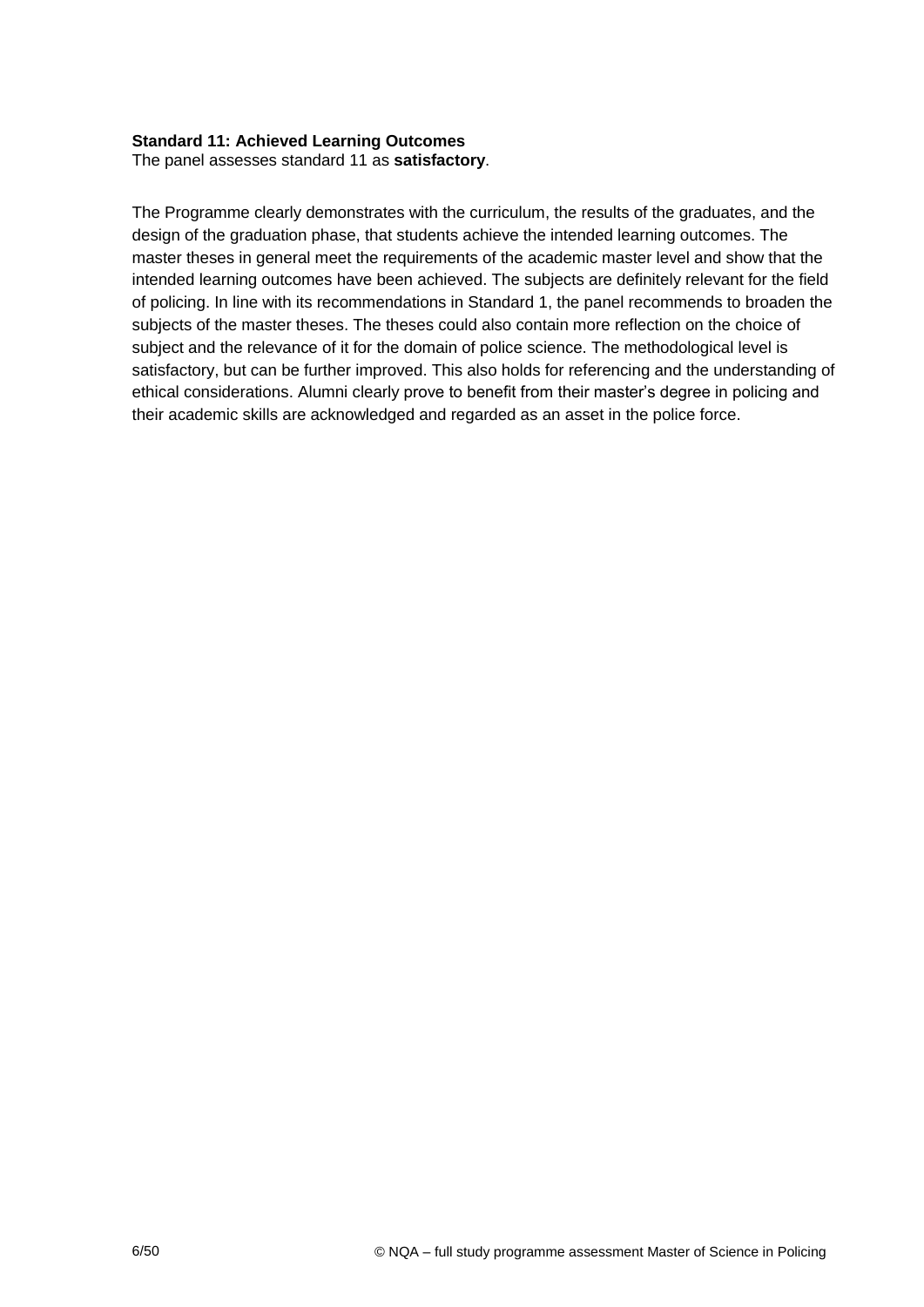#### **Standard 11: Achieved Learning Outcomes**

The panel assesses standard 11 as **satisfactory**.

The Programme clearly demonstrates with the curriculum, the results of the graduates, and the design of the graduation phase, that students achieve the intended learning outcomes. The master theses in general meet the requirements of the academic master level and show that the intended learning outcomes have been achieved. The subjects are definitely relevant for the field of policing. In line with its recommendations in Standard 1, the panel recommends to broaden the subjects of the master theses. The theses could also contain more reflection on the choice of subject and the relevance of it for the domain of police science. The methodological level is satisfactory, but can be further improved. This also holds for referencing and the understanding of ethical considerations. Alumni clearly prove to benefit from their master's degree in policing and their academic skills are acknowledged and regarded as an asset in the police force.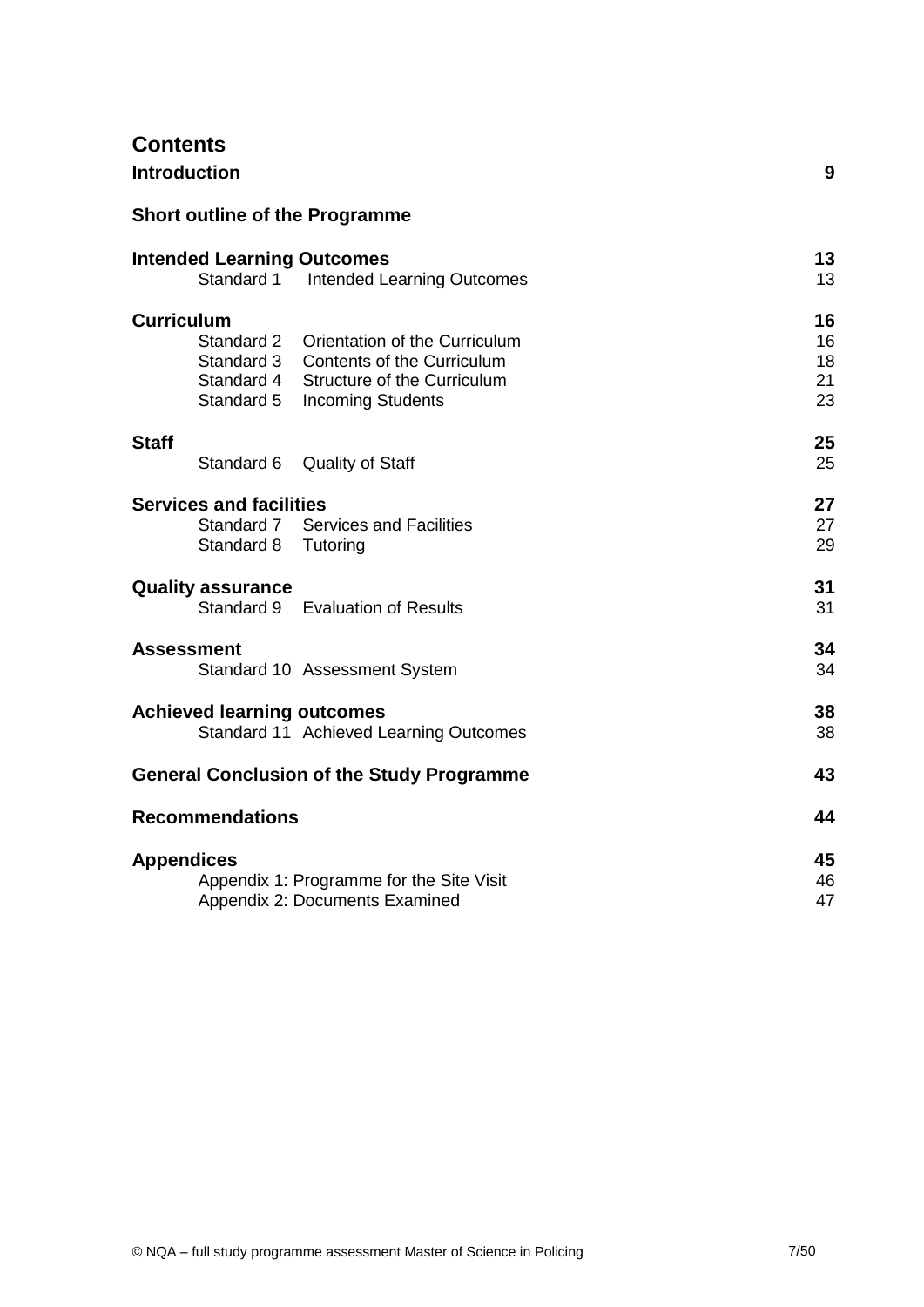## **Contents**

| <b>Introduction</b>                                                                                                                                                                                               | 9                          |
|-------------------------------------------------------------------------------------------------------------------------------------------------------------------------------------------------------------------|----------------------------|
| <b>Short outline of the Programme</b>                                                                                                                                                                             |                            |
| <b>Intended Learning Outcomes</b><br>Standard 1<br><b>Intended Learning Outcomes</b>                                                                                                                              | 13<br>13                   |
| <b>Curriculum</b><br>Standard 2<br>Orientation of the Curriculum<br>Standard 3<br><b>Contents of the Curriculum</b><br>Standard 4<br><b>Structure of the Curriculum</b><br>Standard 5<br><b>Incoming Students</b> | 16<br>16<br>18<br>21<br>23 |
| <b>Staff</b><br>Standard 6<br><b>Quality of Staff</b>                                                                                                                                                             | 25<br>25                   |
| <b>Services and facilities</b><br>Standard 7<br><b>Services and Facilities</b><br>Standard 8<br>Tutoring                                                                                                          | 27<br>27<br>29             |
| <b>Quality assurance</b><br><b>Evaluation of Results</b><br>Standard 9                                                                                                                                            | 31<br>31                   |
| <b>Assessment</b><br>Standard 10 Assessment System                                                                                                                                                                | 34<br>34                   |
| <b>Achieved learning outcomes</b><br>Standard 11 Achieved Learning Outcomes                                                                                                                                       | 38<br>38                   |
| <b>General Conclusion of the Study Programme</b>                                                                                                                                                                  | 43                         |
| <b>Recommendations</b>                                                                                                                                                                                            | 44                         |
| <b>Appendices</b><br>Appendix 1: Programme for the Site Visit<br>Appendix 2: Documents Examined                                                                                                                   | 45<br>46<br>47             |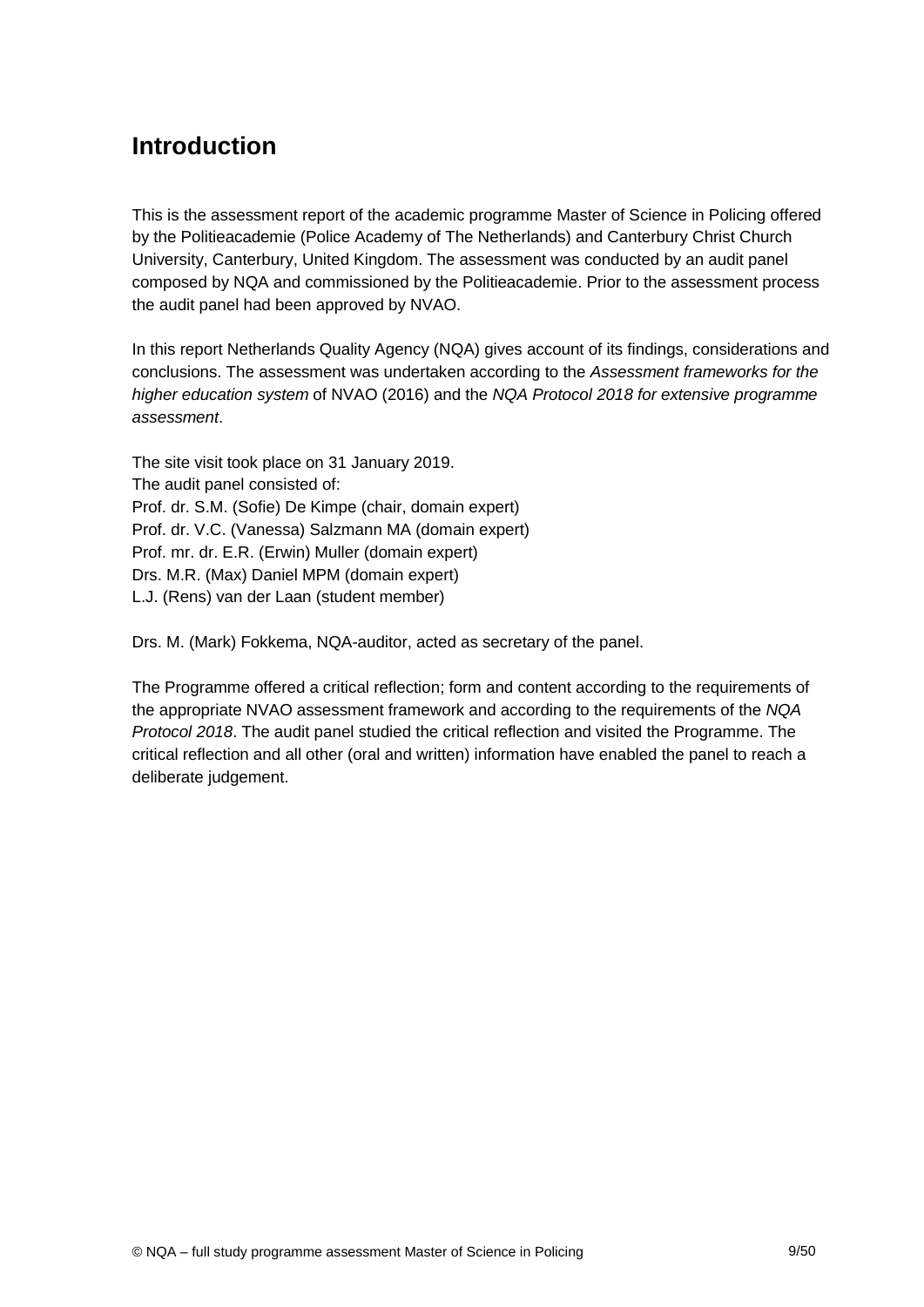## **Introduction**

This is the assessment report of the academic programme Master of Science in Policing offered by the Politieacademie (Police Academy of The Netherlands) and Canterbury Christ Church University, Canterbury, United Kingdom. The assessment was conducted by an audit panel composed by NQA and commissioned by the Politieacademie. Prior to the assessment process the audit panel had been approved by NVAO.

In this report Netherlands Quality Agency (NQA) gives account of its findings, considerations and conclusions. The assessment was undertaken according to the *Assessment frameworks for the higher education system* of NVAO (2016) and the *NQA Protocol 2018 for extensive programme assessment*.

The site visit took place on 31 January 2019. The audit panel consisted of: Prof. dr. S.M. (Sofie) De Kimpe (chair, domain expert) Prof. dr. V.C. (Vanessa) Salzmann MA (domain expert) Prof. mr. dr. E.R. (Erwin) Muller (domain expert) Drs. M.R. (Max) Daniel MPM (domain expert) L.J. (Rens) van der Laan (student member)

Drs. M. (Mark) Fokkema, NQA-auditor, acted as secretary of the panel.

The Programme offered a critical reflection; form and content according to the requirements of the appropriate NVAO assessment framework and according to the requirements of the *NQA Protocol 2018*. The audit panel studied the critical reflection and visited the Programme. The critical reflection and all other (oral and written) information have enabled the panel to reach a deliberate judgement.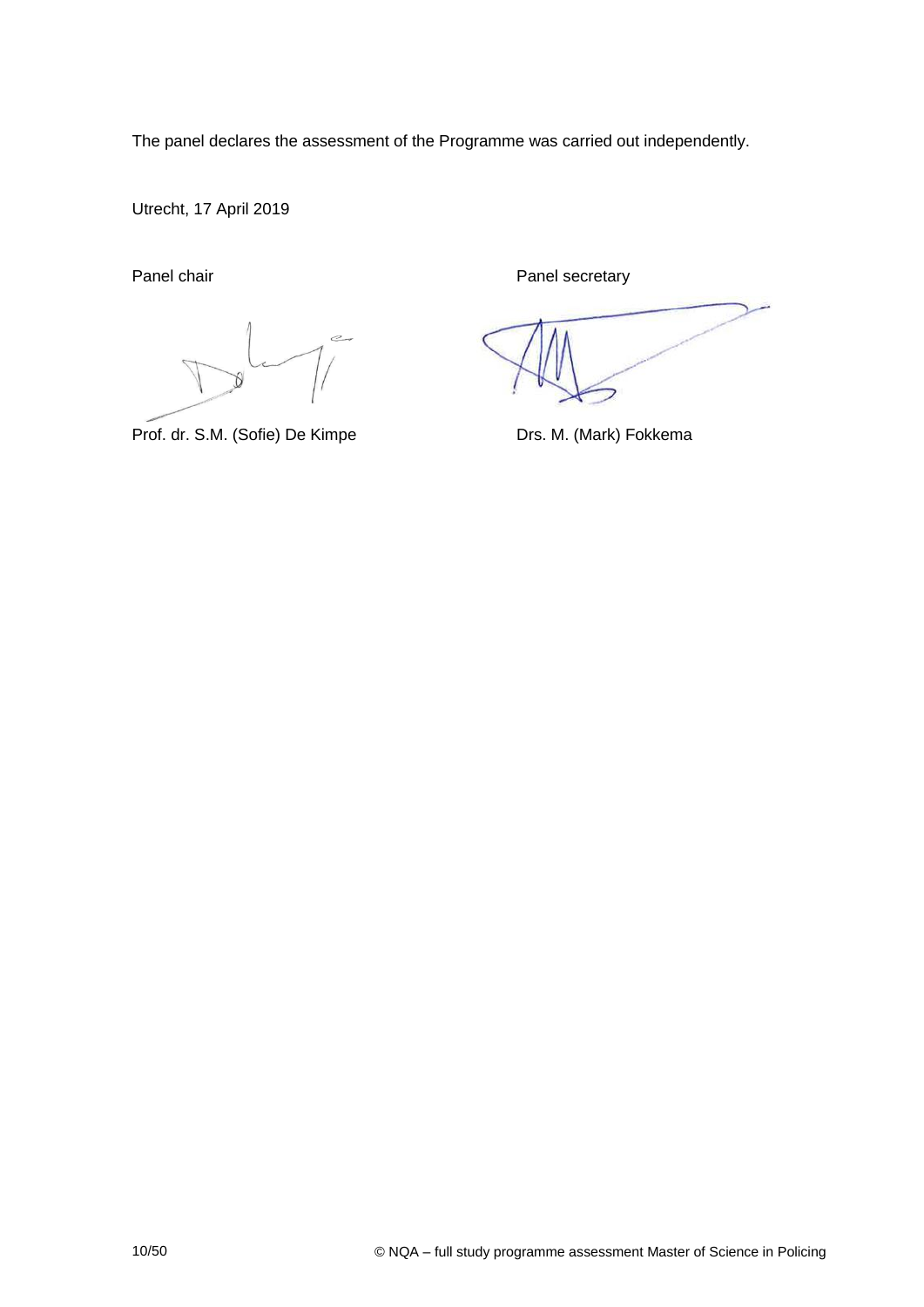The panel declares the assessment of the Programme was carried out independently.

Utrecht, 17 April 2019

 $\epsilon$ 

Prof. dr. S.M. (Sofie) De Kimpe Drs. M. (Mark) Fokkema

Panel chair **Panel secretary** Panel secretary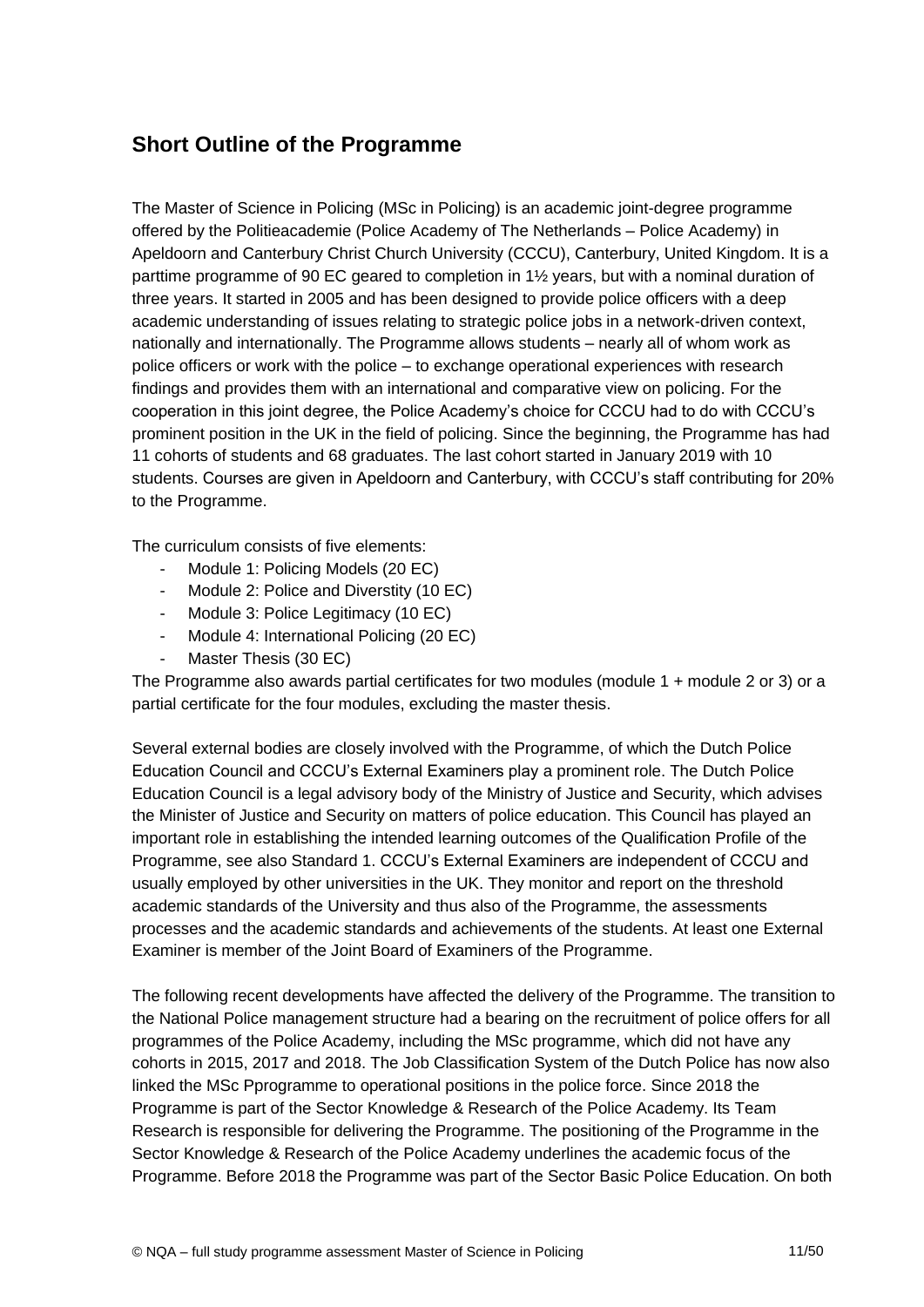## **Short Outline of the Programme**

The Master of Science in Policing (MSc in Policing) is an academic joint-degree programme offered by the Politieacademie (Police Academy of The Netherlands – Police Academy) in Apeldoorn and Canterbury Christ Church University (CCCU), Canterbury, United Kingdom. It is a parttime programme of 90 EC geared to completion in 1½ years, but with a nominal duration of three years. It started in 2005 and has been designed to provide police officers with a deep academic understanding of issues relating to strategic police jobs in a network-driven context, nationally and internationally. The Programme allows students – nearly all of whom work as police officers or work with the police – to exchange operational experiences with research findings and provides them with an international and comparative view on policing. For the cooperation in this joint degree, the Police Academy's choice for CCCU had to do with CCCU's prominent position in the UK in the field of policing. Since the beginning, the Programme has had 11 cohorts of students and 68 graduates. The last cohort started in January 2019 with 10 students. Courses are given in Apeldoorn and Canterbury, with CCCU's staff contributing for 20% to the Programme.

The curriculum consists of five elements:

- Module 1: Policing Models (20 EC)
- Module 2: Police and Diverstity (10 EC)
- Module 3: Police Legitimacy (10 EC)
- Module 4: International Policing (20 EC)
- Master Thesis (30 EC)

The Programme also awards partial certificates for two modules (module 1 + module 2 or 3) or a partial certificate for the four modules, excluding the master thesis.

Several external bodies are closely involved with the Programme, of which the Dutch Police Education Council and CCCU's External Examiners play a prominent role. The Dutch Police Education Council is a legal advisory body of the Ministry of Justice and Security, which advises the Minister of Justice and Security on matters of police education. This Council has played an important role in establishing the intended learning outcomes of the Qualification Profile of the Programme, see also Standard 1. CCCU's External Examiners are independent of CCCU and usually employed by other universities in the UK. They monitor and report on the threshold academic standards of the University and thus also of the Programme, the assessments processes and the academic standards and achievements of the students. At least one External Examiner is member of the Joint Board of Examiners of the Programme.

The following recent developments have affected the delivery of the Programme. The transition to the National Police management structure had a bearing on the recruitment of police offers for all programmes of the Police Academy, including the MSc programme, which did not have any cohorts in 2015, 2017 and 2018. The Job Classification System of the Dutch Police has now also linked the MSc Pprogramme to operational positions in the police force. Since 2018 the Programme is part of the Sector Knowledge & Research of the Police Academy. Its Team Research is responsible for delivering the Programme. The positioning of the Programme in the Sector Knowledge & Research of the Police Academy underlines the academic focus of the Programme. Before 2018 the Programme was part of the Sector Basic Police Education. On both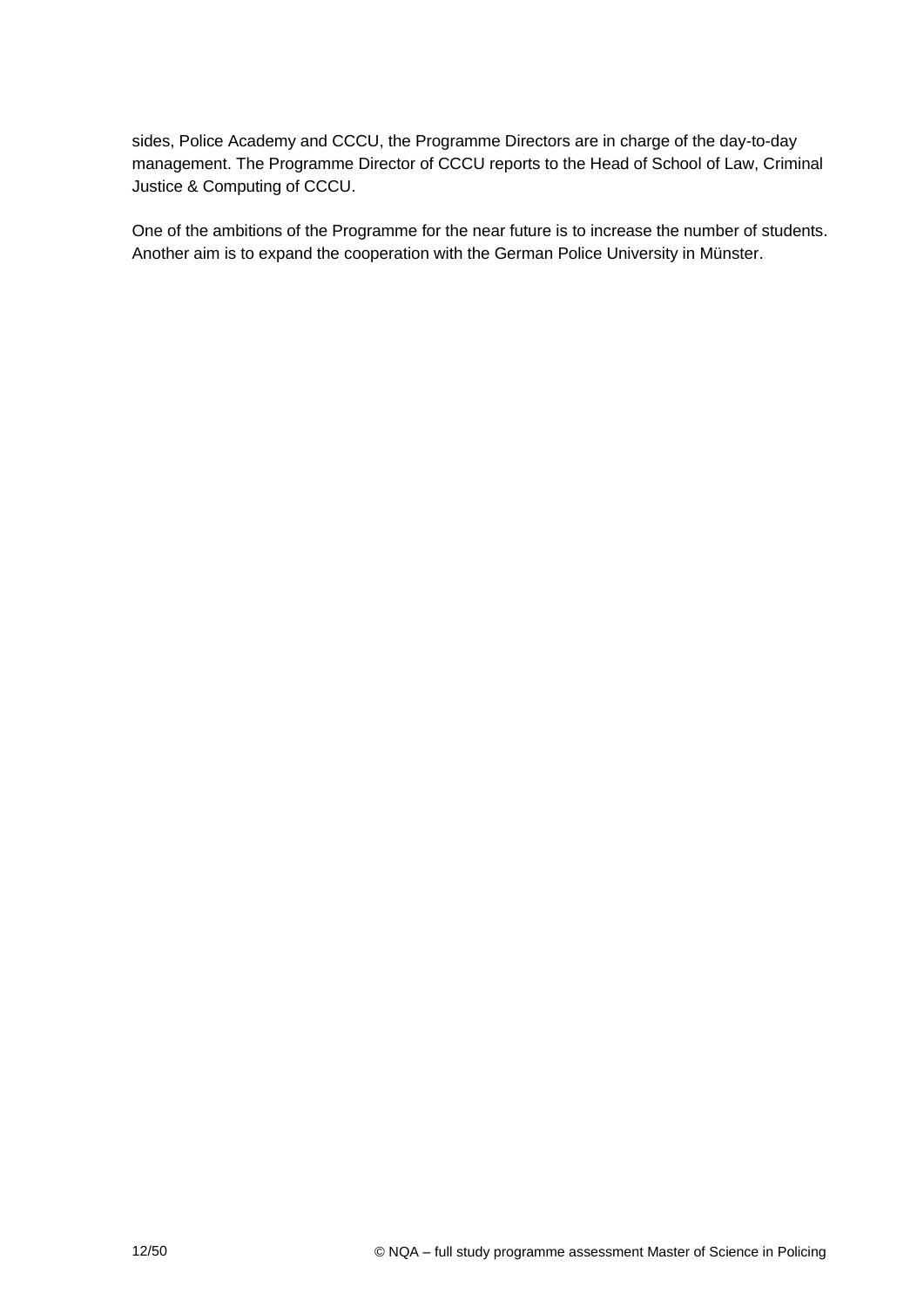sides, Police Academy and CCCU, the Programme Directors are in charge of the day-to-day management. The Programme Director of CCCU reports to the Head of School of Law, Criminal Justice & Computing of CCCU.

One of the ambitions of the Programme for the near future is to increase the number of students. Another aim is to expand the cooperation with the German Police University in Münster.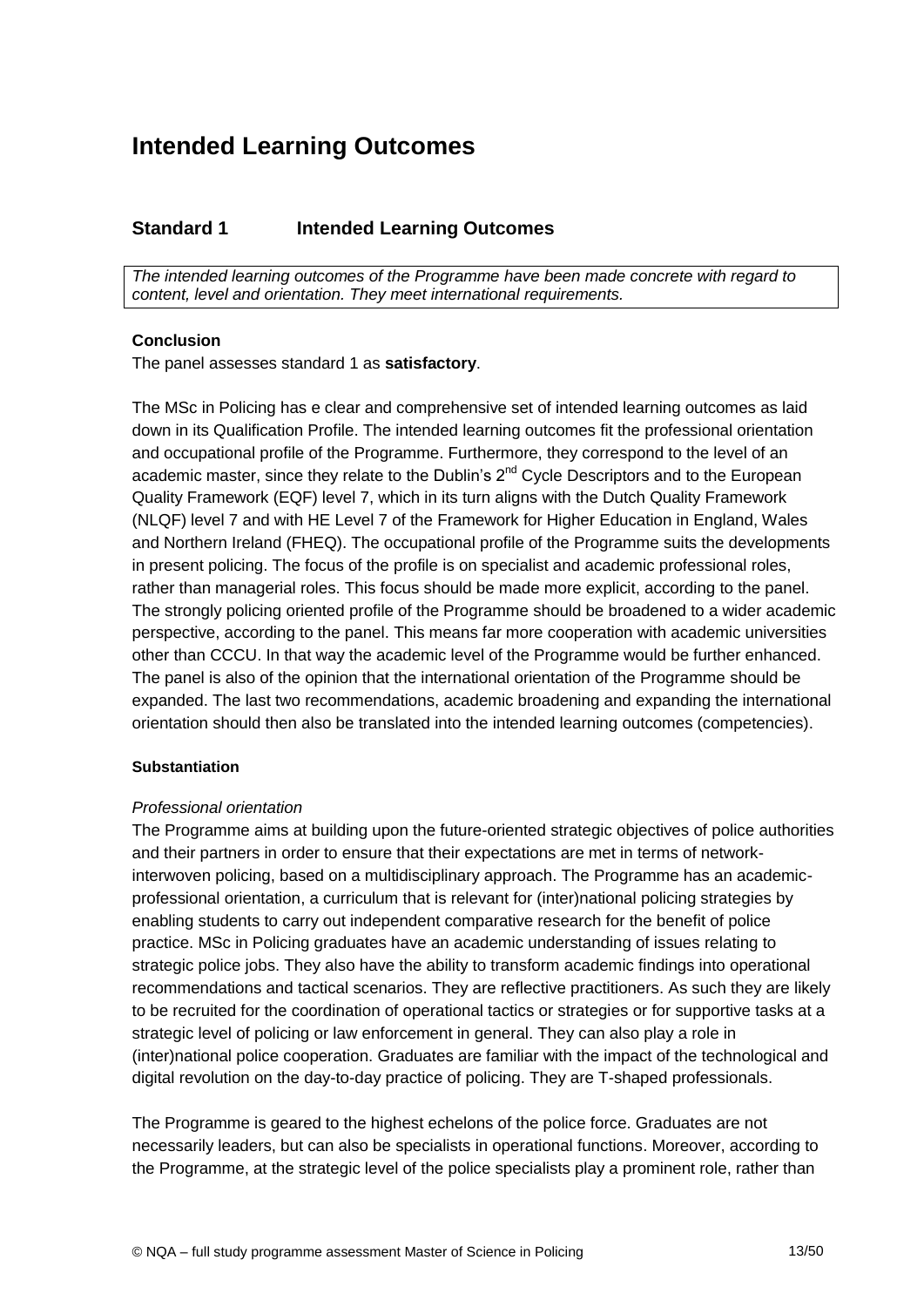## <span id="page-12-0"></span>**Intended Learning Outcomes**

## **Standard 1 Intended Learning Outcomes**

*The intended learning outcomes of the Programme have been made concrete with regard to content, level and orientation. They meet international requirements.*

#### **Conclusion**

The panel assesses standard 1 as **satisfactory**.

The MSc in Policing has e clear and comprehensive set of intended learning outcomes as laid down in its Qualification Profile. The intended learning outcomes fit the professional orientation and occupational profile of the Programme. Furthermore, they correspond to the level of an academic master, since they relate to the Dublin's  $2^{nd}$  Cycle Descriptors and to the European Quality Framework (EQF) level 7, which in its turn aligns with the Dutch Quality Framework (NLQF) level 7 and with HE Level 7 of the Framework for Higher Education in England, Wales and Northern Ireland (FHEQ). The occupational profile of the Programme suits the developments in present policing. The focus of the profile is on specialist and academic professional roles, rather than managerial roles. This focus should be made more explicit, according to the panel. The strongly policing oriented profile of the Programme should be broadened to a wider academic perspective, according to the panel. This means far more cooperation with academic universities other than CCCU. In that way the academic level of the Programme would be further enhanced. The panel is also of the opinion that the international orientation of the Programme should be expanded. The last two recommendations, academic broadening and expanding the international orientation should then also be translated into the intended learning outcomes (competencies).

#### **Substantiation**

#### *Professional orientation*

The Programme aims at building upon the future-oriented strategic objectives of police authorities and their partners in order to ensure that their expectations are met in terms of networkinterwoven policing, based on a multidisciplinary approach. The Programme has an academicprofessional orientation, a curriculum that is relevant for (inter)national policing strategies by enabling students to carry out independent comparative research for the benefit of police practice. MSc in Policing graduates have an academic understanding of issues relating to strategic police jobs. They also have the ability to transform academic findings into operational recommendations and tactical scenarios. They are reflective practitioners. As such they are likely to be recruited for the coordination of operational tactics or strategies or for supportive tasks at a strategic level of policing or law enforcement in general. They can also play a role in (inter)national police cooperation. Graduates are familiar with the impact of the technological and digital revolution on the day-to-day practice of policing. They are T-shaped professionals.

The Programme is geared to the highest echelons of the police force. Graduates are not necessarily leaders, but can also be specialists in operational functions. Moreover, according to the Programme, at the strategic level of the police specialists play a prominent role, rather than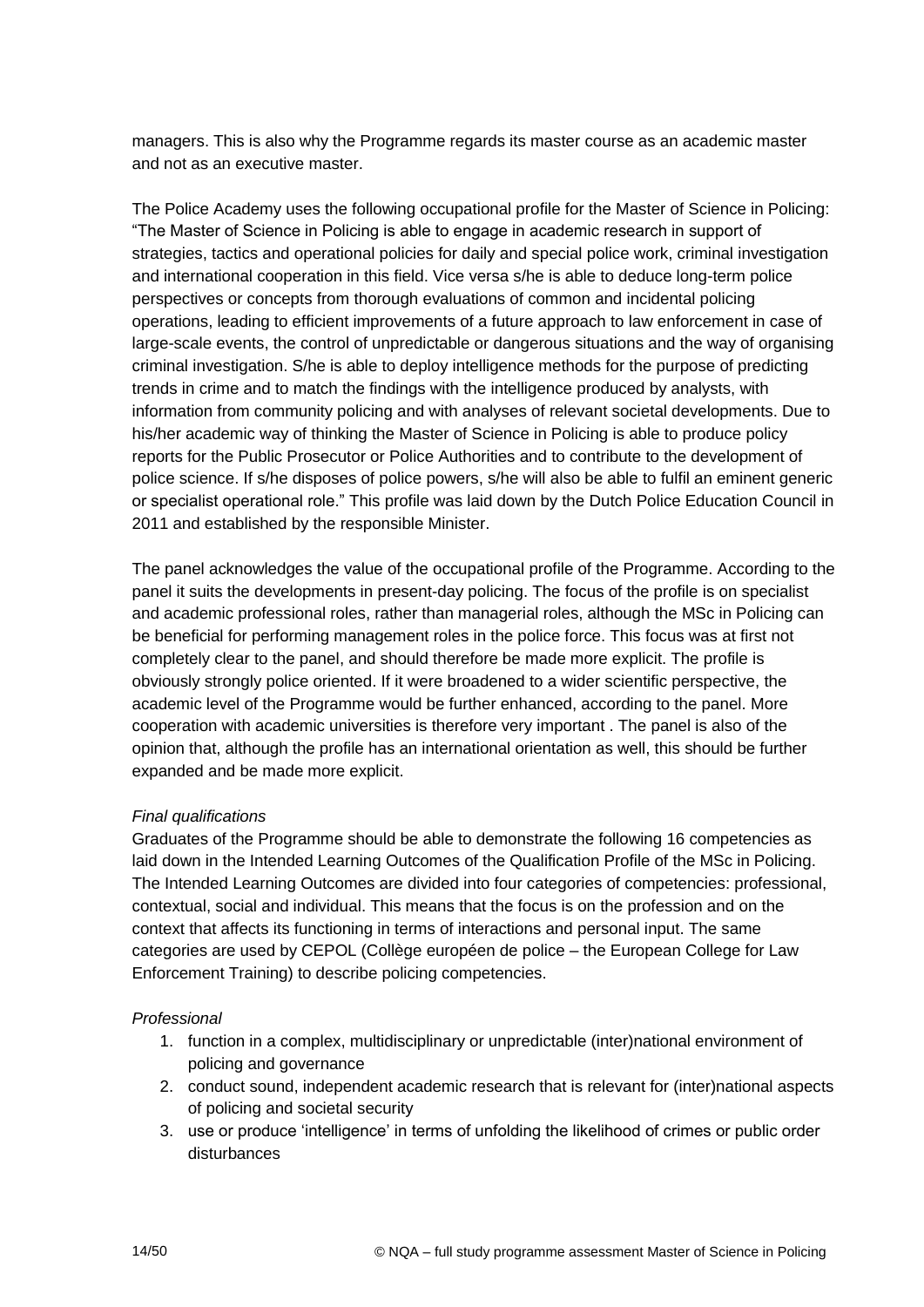managers. This is also why the Programme regards its master course as an academic master and not as an executive master.

The Police Academy uses the following occupational profile for the Master of Science in Policing: "The Master of Science in Policing is able to engage in academic research in support of strategies, tactics and operational policies for daily and special police work, criminal investigation and international cooperation in this field. Vice versa s/he is able to deduce long-term police perspectives or concepts from thorough evaluations of common and incidental policing operations, leading to efficient improvements of a future approach to law enforcement in case of large-scale events, the control of unpredictable or dangerous situations and the way of organising criminal investigation. S/he is able to deploy intelligence methods for the purpose of predicting trends in crime and to match the findings with the intelligence produced by analysts, with information from community policing and with analyses of relevant societal developments. Due to his/her academic way of thinking the Master of Science in Policing is able to produce policy reports for the Public Prosecutor or Police Authorities and to contribute to the development of police science. If s/he disposes of police powers, s/he will also be able to fulfil an eminent generic or specialist operational role." This profile was laid down by the Dutch Police Education Council in 2011 and established by the responsible Minister.

The panel acknowledges the value of the occupational profile of the Programme. According to the panel it suits the developments in present-day policing. The focus of the profile is on specialist and academic professional roles, rather than managerial roles, although the MSc in Policing can be beneficial for performing management roles in the police force. This focus was at first not completely clear to the panel, and should therefore be made more explicit. The profile is obviously strongly police oriented. If it were broadened to a wider scientific perspective, the academic level of the Programme would be further enhanced, according to the panel. More cooperation with academic universities is therefore very important . The panel is also of the opinion that, although the profile has an international orientation as well, this should be further expanded and be made more explicit.

## *Final qualifications*

Graduates of the Programme should be able to demonstrate the following 16 competencies as laid down in the Intended Learning Outcomes of the Qualification Profile of the MSc in Policing. The Intended Learning Outcomes are divided into four categories of competencies: professional, contextual, social and individual. This means that the focus is on the profession and on the context that affects its functioning in terms of interactions and personal input. The same categories are used by CEPOL (Collège européen de police – the European College for Law Enforcement Training) to describe policing competencies.

## *Professional*

- 1. function in a complex, multidisciplinary or unpredictable (inter)national environment of policing and governance
- 2. conduct sound, independent academic research that is relevant for (inter)national aspects of policing and societal security
- 3. use or produce 'intelligence' in terms of unfolding the likelihood of crimes or public order disturbances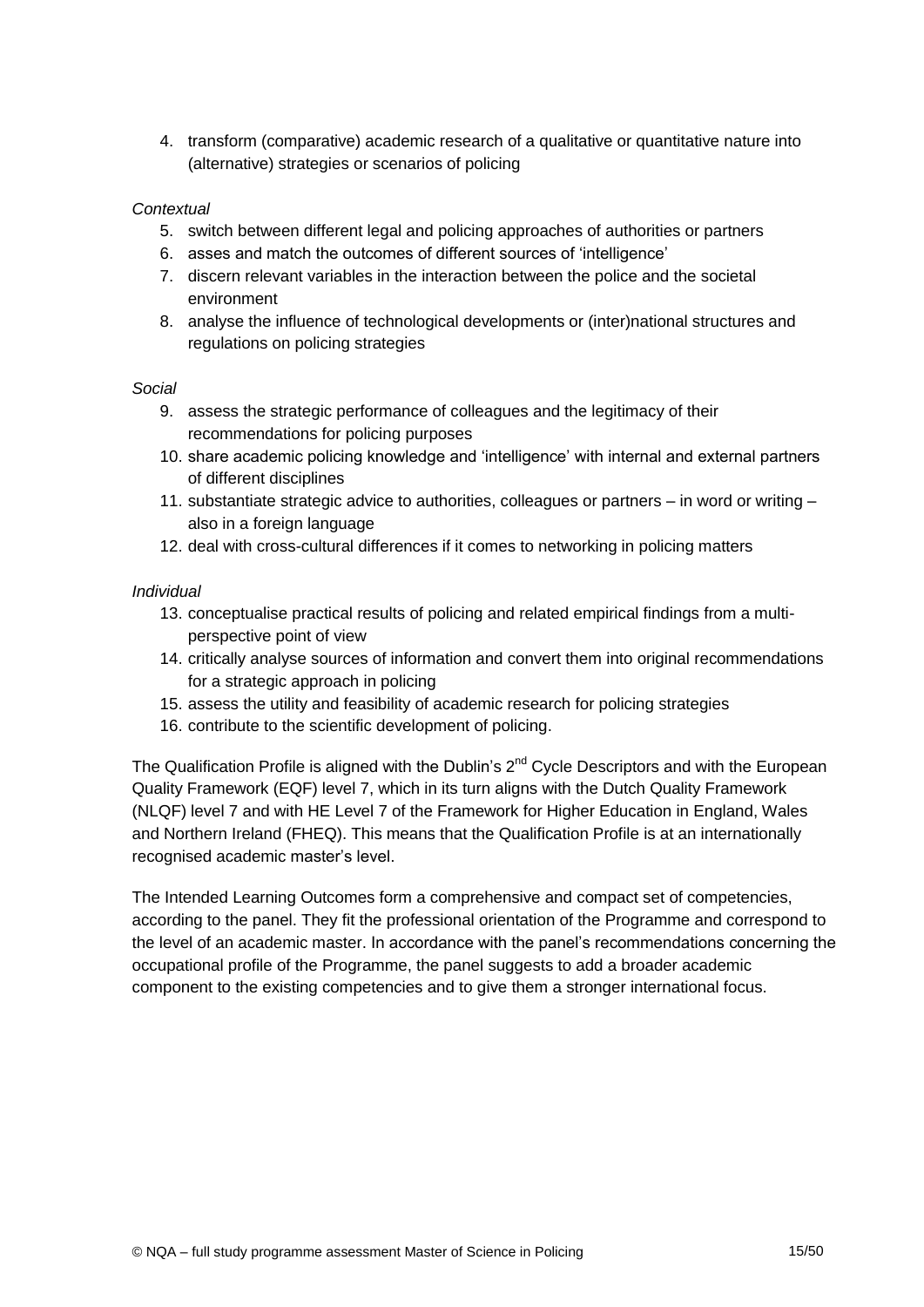4. transform (comparative) academic research of a qualitative or quantitative nature into (alternative) strategies or scenarios of policing

## *Contextual*

- 5. switch between different legal and policing approaches of authorities or partners
- 6. asses and match the outcomes of different sources of 'intelligence'
- 7. discern relevant variables in the interaction between the police and the societal environment
- 8. analyse the influence of technological developments or (inter)national structures and regulations on policing strategies

#### *Social*

- 9. assess the strategic performance of colleagues and the legitimacy of their recommendations for policing purposes
- 10. share academic policing knowledge and 'intelligence' with internal and external partners of different disciplines
- 11. substantiate strategic advice to authorities, colleagues or partners in word or writing also in a foreign language
- 12. deal with cross-cultural differences if it comes to networking in policing matters

#### *Individual*

- 13. conceptualise practical results of policing and related empirical findings from a multiperspective point of view
- 14. critically analyse sources of information and convert them into original recommendations for a strategic approach in policing
- 15. assess the utility and feasibility of academic research for policing strategies
- 16. contribute to the scientific development of policing.

The Qualification Profile is aligned with the Dublin's 2<sup>nd</sup> Cycle Descriptors and with the European Quality Framework (EQF) level 7, which in its turn aligns with the Dutch Quality Framework (NLQF) level 7 and with HE Level 7 of the Framework for Higher Education in England, Wales and Northern Ireland (FHEQ). This means that the Qualification Profile is at an internationally recognised academic master's level.

<span id="page-14-0"></span>The Intended Learning Outcomes form a comprehensive and compact set of competencies, according to the panel. They fit the professional orientation of the Programme and correspond to the level of an academic master. In accordance with the panel's recommendations concerning the occupational profile of the Programme, the panel suggests to add a broader academic component to the existing competencies and to give them a stronger international focus.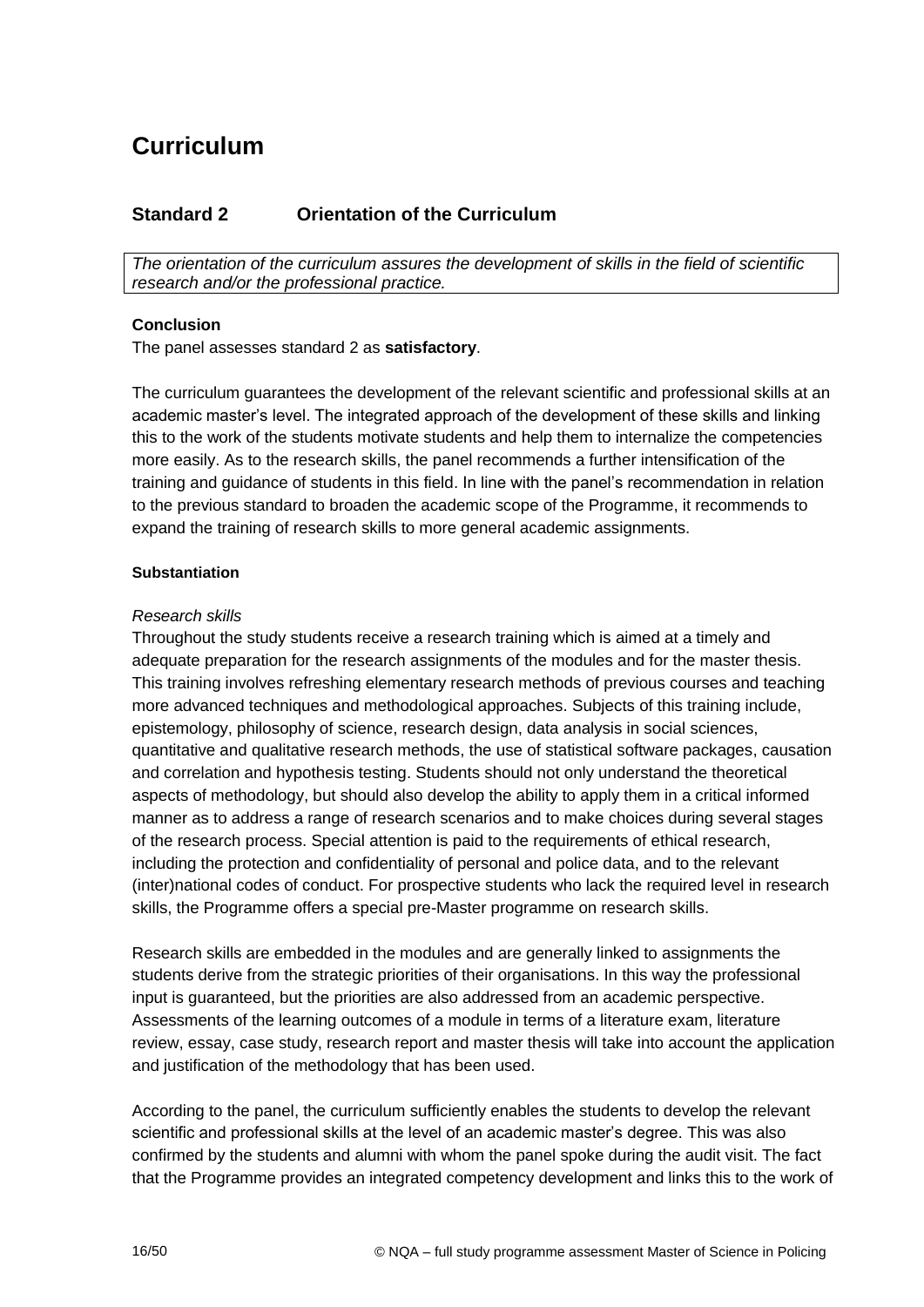# **Curriculum**

## **Standard 2 Orientation of the Curriculum**

*The orientation of the curriculum assures the development of skills in the field of scientific research and/or the professional practice.*

## **Conclusion**

The panel assesses standard 2 as **satisfactory**.

The curriculum guarantees the development of the relevant scientific and professional skills at an academic master's level. The integrated approach of the development of these skills and linking this to the work of the students motivate students and help them to internalize the competencies more easily. As to the research skills, the panel recommends a further intensification of the training and guidance of students in this field. In line with the panel's recommendation in relation to the previous standard to broaden the academic scope of the Programme, it recommends to expand the training of research skills to more general academic assignments.

#### **Substantiation**

#### <span id="page-15-0"></span>*Research skills*

Throughout the study students receive a research training which is aimed at a timely and adequate preparation for the research assignments of the modules and for the master thesis. This training involves refreshing elementary research methods of previous courses and teaching more advanced techniques and methodological approaches. Subjects of this training include, epistemology, philosophy of science, research design, data analysis in social sciences, quantitative and qualitative research methods, the use of statistical software packages, causation and correlation and hypothesis testing. Students should not only understand the theoretical aspects of methodology, but should also develop the ability to apply them in a critical informed manner as to address a range of research scenarios and to make choices during several stages of the research process. Special attention is paid to the requirements of ethical research, including the protection and confidentiality of personal and police data, and to the relevant (inter)national codes of conduct. For prospective students who lack the required level in research skills, the Programme offers a special pre-Master programme on research skills.

Research skills are embedded in the modules and are generally linked to assignments the students derive from the strategic priorities of their organisations. In this way the professional input is guaranteed, but the priorities are also addressed from an academic perspective. Assessments of the learning outcomes of a module in terms of a literature exam, literature review, essay, case study, research report and master thesis will take into account the application and justification of the methodology that has been used.

According to the panel, the curriculum sufficiently enables the students to develop the relevant scientific and professional skills at the level of an academic master's degree. This was also confirmed by the students and alumni with whom the panel spoke during the audit visit. The fact that the Programme provides an integrated competency development and links this to the work of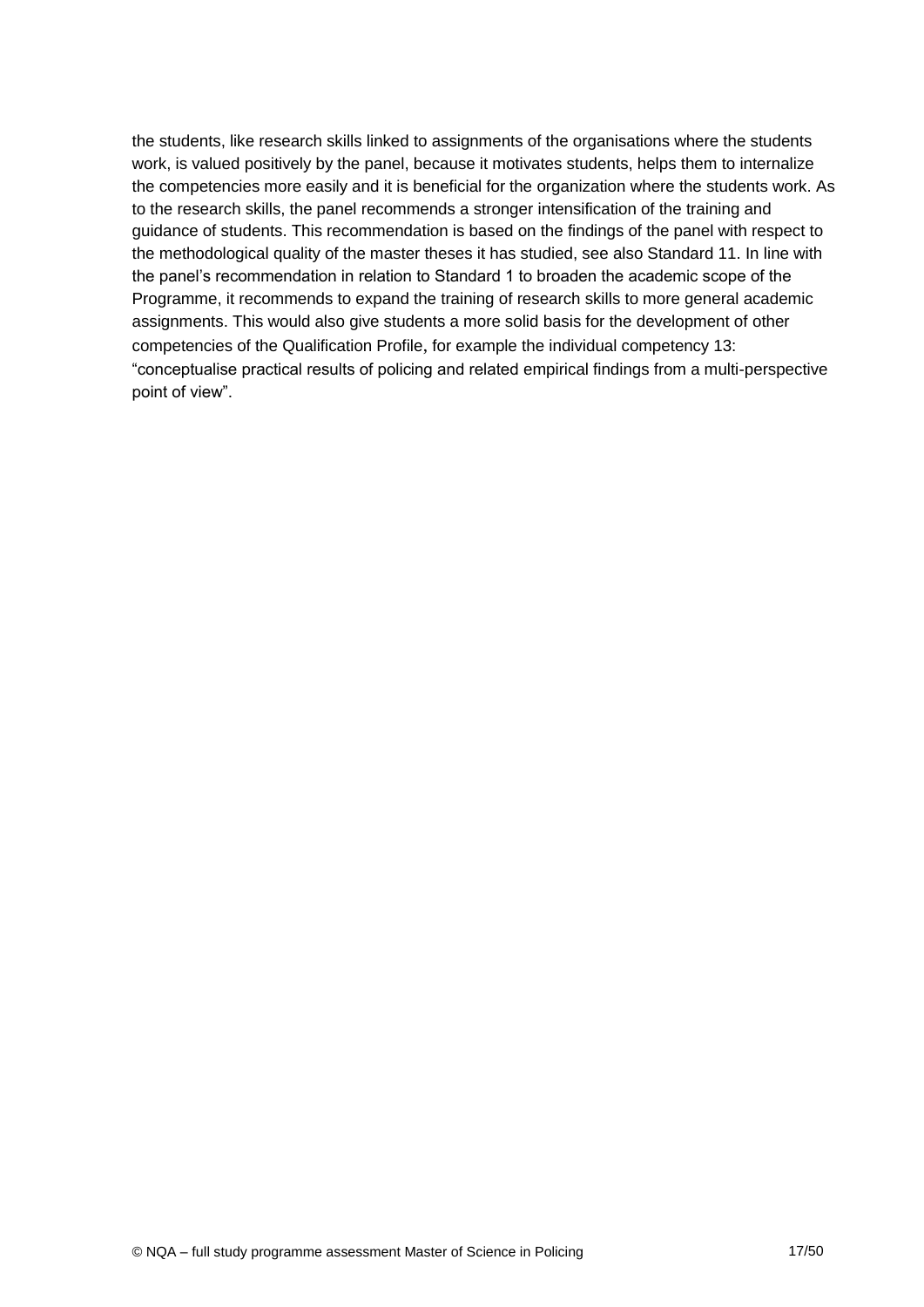the students, like research skills linked to assignments of the organisations where the students work, is valued positively by the panel, because it motivates students, helps them to internalize the competencies more easily and it is beneficial for the organization where the students work. As to the research skills, the panel recommends a stronger intensification of the training and guidance of students. This recommendation is based on the findings of the panel with respect to the methodological quality of the master theses it has studied, see also Standard 11. In line with the panel's recommendation in relation to Standard 1 to broaden the academic scope of the Programme, it recommends to expand the training of research skills to more general academic assignments. This would also give students a more solid basis for the development of other competencies of the Qualification Profile, for example the individual competency 13: "conceptualise practical results of policing and related empirical findings from a multi-perspective point of view".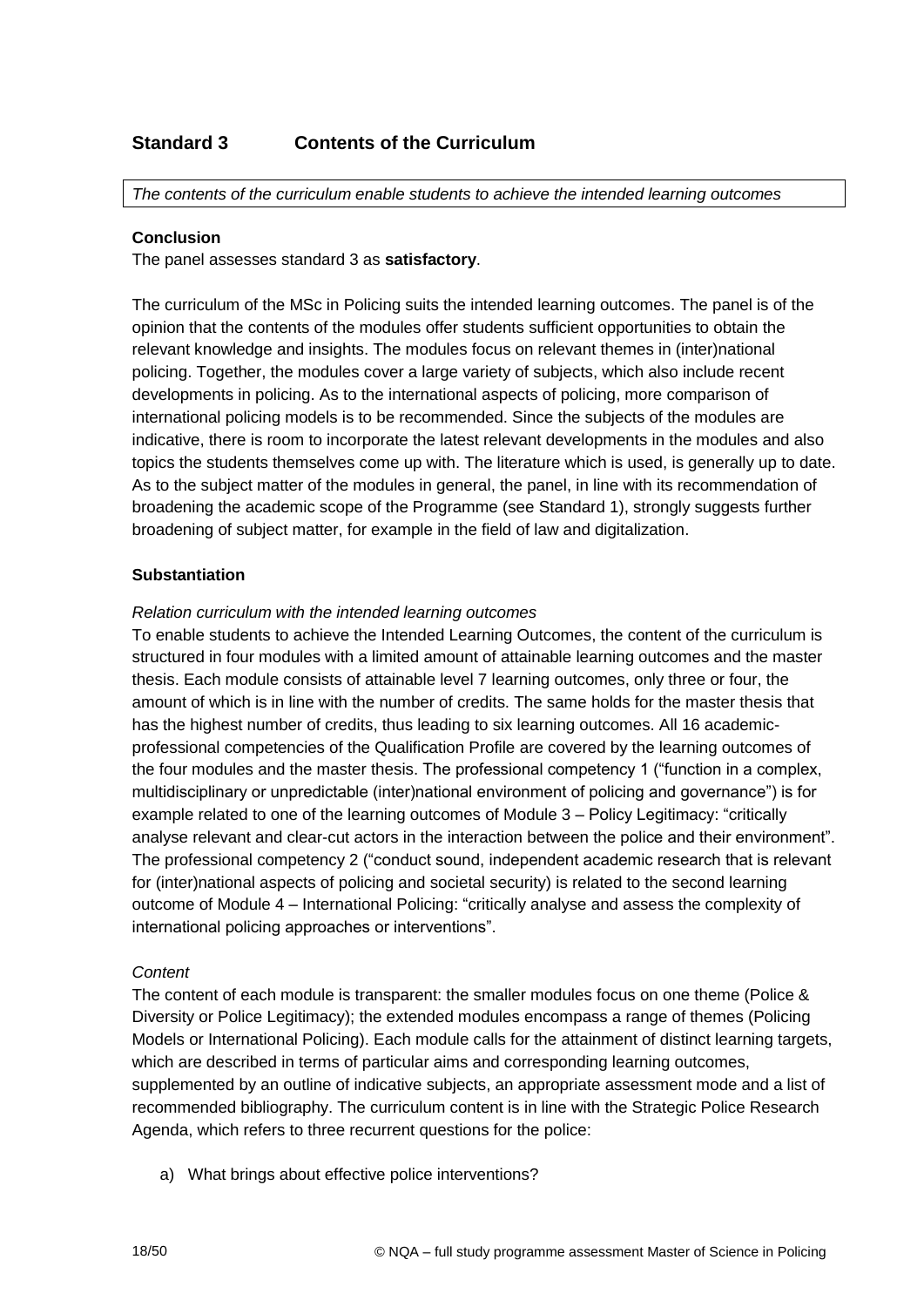## **Standard 3 Contents of the Curriculum**

*The contents of the curriculum enable students to achieve the intended learning outcomes*

#### **Conclusion**

The panel assesses standard 3 as **satisfactory**.

The curriculum of the MSc in Policing suits the intended learning outcomes. The panel is of the opinion that the contents of the modules offer students sufficient opportunities to obtain the relevant knowledge and insights. The modules focus on relevant themes in (inter)national policing. Together, the modules cover a large variety of subjects, which also include recent developments in policing. As to the international aspects of policing, more comparison of international policing models is to be recommended. Since the subjects of the modules are indicative, there is room to incorporate the latest relevant developments in the modules and also topics the students themselves come up with. The literature which is used, is generally up to date. As to the subject matter of the modules in general, the panel, in line with its recommendation of broadening the academic scope of the Programme (see Standard 1), strongly suggests further broadening of subject matter, for example in the field of law and digitalization.

#### **Substantiation**

#### *Relation curriculum with the intended learning outcomes*

To enable students to achieve the Intended Learning Outcomes, the content of the curriculum is structured in four modules with a limited amount of attainable learning outcomes and the master thesis. Each module consists of attainable level 7 learning outcomes, only three or four, the amount of which is in line with the number of credits. The same holds for the master thesis that has the highest number of credits, thus leading to six learning outcomes. All 16 academicprofessional competencies of the Qualification Profile are covered by the learning outcomes of the four modules and the master thesis. The professional competency 1 ("function in a complex, multidisciplinary or unpredictable (inter)national environment of policing and governance") is for example related to one of the learning outcomes of Module 3 – Policy Legitimacy: "critically analyse relevant and clear-cut actors in the interaction between the police and their environment". The professional competency 2 ("conduct sound, independent academic research that is relevant for (inter)national aspects of policing and societal security) is related to the second learning outcome of Module 4 – International Policing: "critically analyse and assess the complexity of international policing approaches or interventions".

#### *Content*

The content of each module is transparent: the smaller modules focus on one theme (Police & Diversity or Police Legitimacy); the extended modules encompass a range of themes (Policing Models or International Policing). Each module calls for the attainment of distinct learning targets, which are described in terms of particular aims and corresponding learning outcomes, supplemented by an outline of indicative subjects, an appropriate assessment mode and a list of recommended bibliography. The curriculum content is in line with the Strategic Police Research Agenda, which refers to three recurrent questions for the police:

a) What brings about effective police interventions?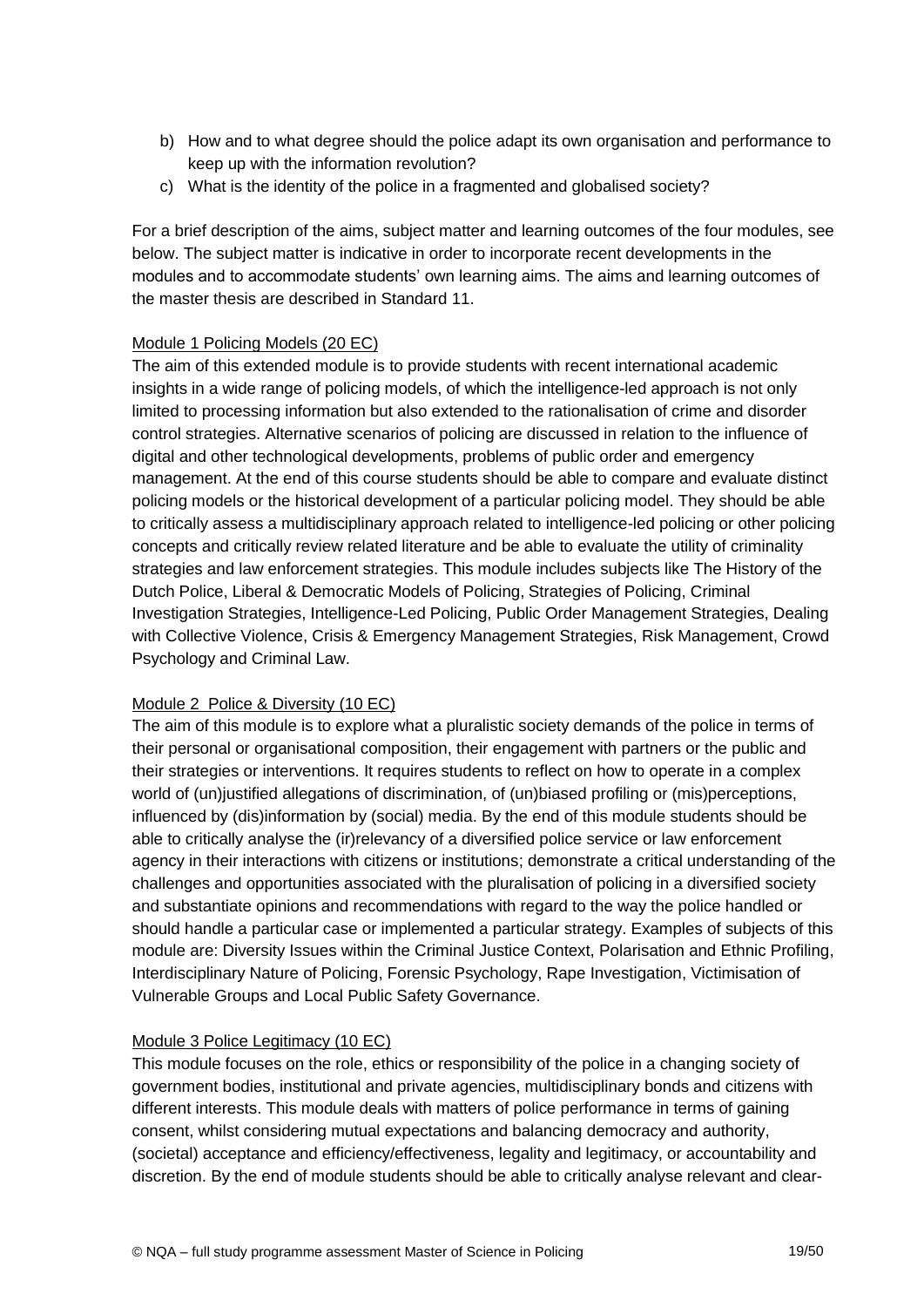- b) How and to what degree should the police adapt its own organisation and performance to keep up with the information revolution?
- c) What is the identity of the police in a fragmented and globalised society?

For a brief description of the aims, subject matter and learning outcomes of the four modules, see below. The subject matter is indicative in order to incorporate recent developments in the modules and to accommodate students' own learning aims. The aims and learning outcomes of the master thesis are described in Standard 11.

## Module 1 Policing Models (20 EC)

The aim of this extended module is to provide students with recent international academic insights in a wide range of policing models, of which the intelligence-led approach is not only limited to processing information but also extended to the rationalisation of crime and disorder control strategies. Alternative scenarios of policing are discussed in relation to the influence of digital and other technological developments, problems of public order and emergency management. At the end of this course students should be able to compare and evaluate distinct policing models or the historical development of a particular policing model. They should be able to critically assess a multidisciplinary approach related to intelligence-led policing or other policing concepts and critically review related literature and be able to evaluate the utility of criminality strategies and law enforcement strategies. This module includes subjects like The History of the Dutch Police, Liberal & Democratic Models of Policing, Strategies of Policing, Criminal Investigation Strategies, Intelligence-Led Policing, Public Order Management Strategies, Dealing with Collective Violence, Crisis & Emergency Management Strategies, Risk Management, Crowd Psychology and Criminal Law.

## Module 2 Police & Diversity (10 EC)

The aim of this module is to explore what a pluralistic society demands of the police in terms of their personal or organisational composition, their engagement with partners or the public and their strategies or interventions. It requires students to reflect on how to operate in a complex world of (un)justified allegations of discrimination, of (un)biased profiling or (mis)perceptions, influenced by (dis)information by (social) media. By the end of this module students should be able to critically analyse the (ir)relevancy of a diversified police service or law enforcement agency in their interactions with citizens or institutions; demonstrate a critical understanding of the challenges and opportunities associated with the pluralisation of policing in a diversified society and substantiate opinions and recommendations with regard to the way the police handled or should handle a particular case or implemented a particular strategy. Examples of subjects of this module are: Diversity Issues within the Criminal Justice Context, Polarisation and Ethnic Profiling, Interdisciplinary Nature of Policing, Forensic Psychology, Rape Investigation, Victimisation of Vulnerable Groups and Local Public Safety Governance.

## Module 3 Police Legitimacy (10 EC)

This module focuses on the role, ethics or responsibility of the police in a changing society of government bodies, institutional and private agencies, multidisciplinary bonds and citizens with different interests. This module deals with matters of police performance in terms of gaining consent, whilst considering mutual expectations and balancing democracy and authority, (societal) acceptance and efficiency/effectiveness, legality and legitimacy, or accountability and discretion. By the end of module students should be able to critically analyse relevant and clear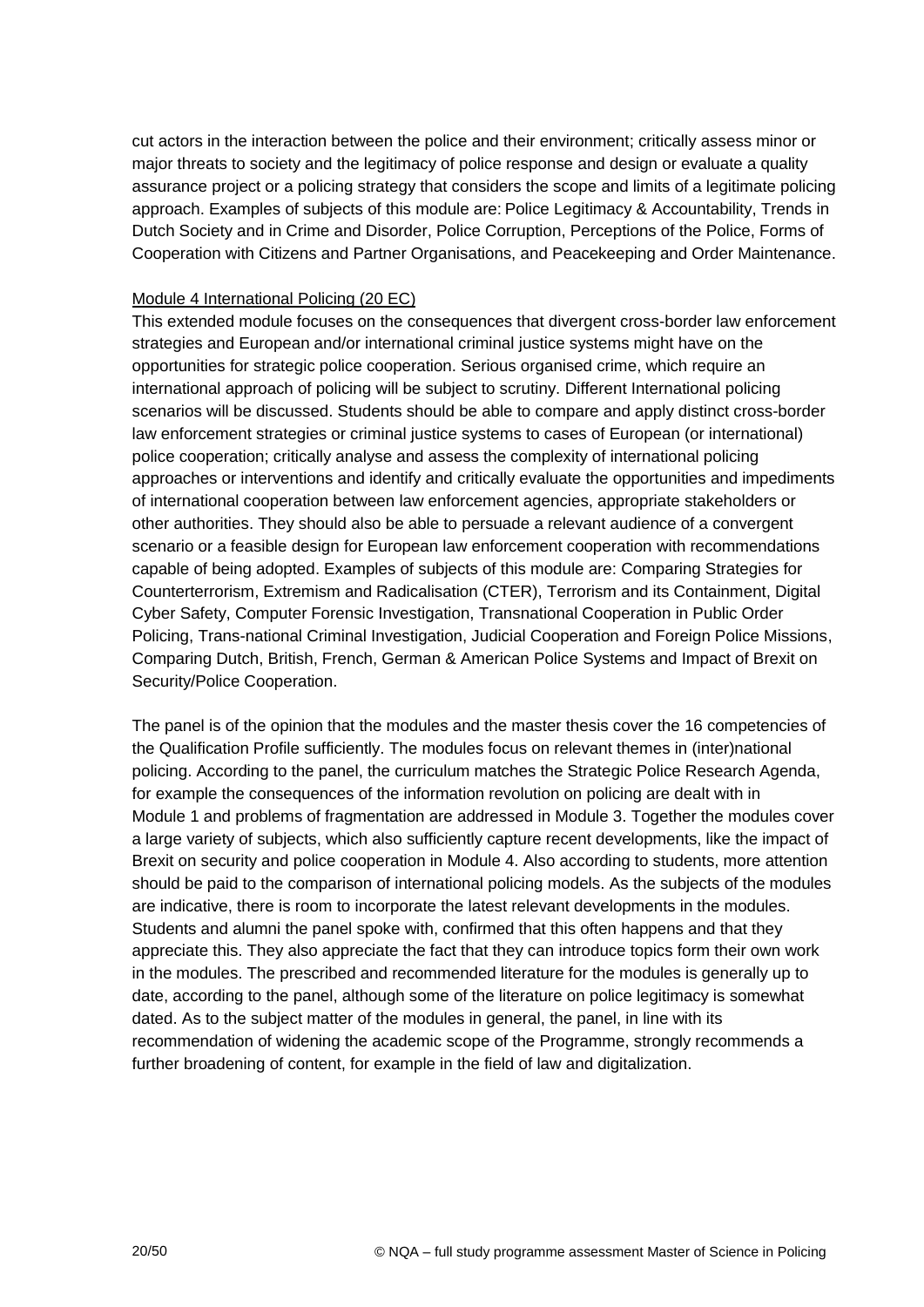cut actors in the interaction between the police and their environment; critically assess minor or major threats to society and the legitimacy of police response and design or evaluate a quality assurance project or a policing strategy that considers the scope and limits of a legitimate policing approach. Examples of subjects of this module are: Police Legitimacy & Accountability, Trends in Dutch Society and in Crime and Disorder, Police Corruption, Perceptions of the Police, Forms of Cooperation with Citizens and Partner Organisations, and Peacekeeping and Order Maintenance.

### Module 4 International Policing (20 EC)

This extended module focuses on the consequences that divergent cross-border law enforcement strategies and European and/or international criminal justice systems might have on the opportunities for strategic police cooperation. Serious organised crime, which require an international approach of policing will be subject to scrutiny. Different International policing scenarios will be discussed. Students should be able to compare and apply distinct cross-border law enforcement strategies or criminal justice systems to cases of European (or international) police cooperation; critically analyse and assess the complexity of international policing approaches or interventions and identify and critically evaluate the opportunities and impediments of international cooperation between law enforcement agencies, appropriate stakeholders or other authorities. They should also be able to persuade a relevant audience of a convergent scenario or a feasible design for European law enforcement cooperation with recommendations capable of being adopted. Examples of subjects of this module are: Comparing Strategies for Counterterrorism, Extremism and Radicalisation (CTER), Terrorism and its Containment, Digital Cyber Safety, Computer Forensic Investigation, Transnational Cooperation in Public Order Policing, Trans-national Criminal Investigation, Judicial Cooperation and Foreign Police Missions, Comparing Dutch, British, French, German & American Police Systems and Impact of Brexit on Security/Police Cooperation.

The panel is of the opinion that the modules and the master thesis cover the 16 competencies of the Qualification Profile sufficiently. The modules focus on relevant themes in (inter)national policing. According to the panel, the curriculum matches the Strategic Police Research Agenda, for example the consequences of the information revolution on policing are dealt with in Module 1 and problems of fragmentation are addressed in Module 3. Together the modules cover a large variety of subjects, which also sufficiently capture recent developments, like the impact of Brexit on security and police cooperation in Module 4. Also according to students, more attention should be paid to the comparison of international policing models. As the subjects of the modules are indicative, there is room to incorporate the latest relevant developments in the modules. Students and alumni the panel spoke with, confirmed that this often happens and that they appreciate this. They also appreciate the fact that they can introduce topics form their own work in the modules. The prescribed and recommended literature for the modules is generally up to date, according to the panel, although some of the literature on police legitimacy is somewhat dated. As to the subject matter of the modules in general, the panel, in line with its recommendation of widening the academic scope of the Programme, strongly recommends a further broadening of content, for example in the field of law and digitalization.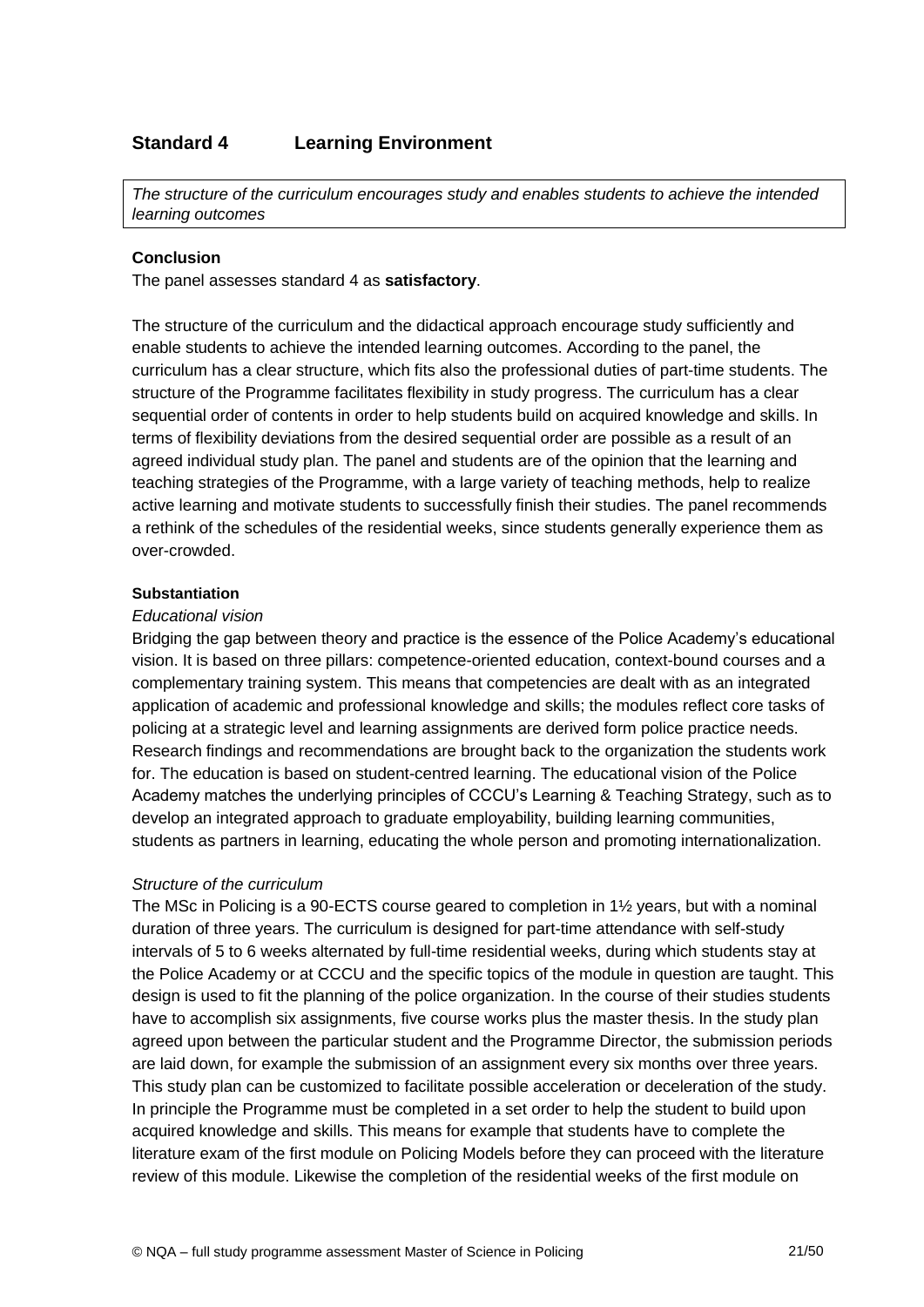## <span id="page-20-0"></span>**Standard 4 Learning Environment**

*The structure of the curriculum encourages study and enables students to achieve the intended learning outcomes*

#### **Conclusion**

The panel assesses standard 4 as **satisfactory**.

The structure of the curriculum and the didactical approach encourage study sufficiently and enable students to achieve the intended learning outcomes. According to the panel, the curriculum has a clear structure, which fits also the professional duties of part-time students. The structure of the Programme facilitates flexibility in study progress. The curriculum has a clear sequential order of contents in order to help students build on acquired knowledge and skills. In terms of flexibility deviations from the desired sequential order are possible as a result of an agreed individual study plan. The panel and students are of the opinion that the learning and teaching strategies of the Programme, with a large variety of teaching methods, help to realize active learning and motivate students to successfully finish their studies. The panel recommends a rethink of the schedules of the residential weeks, since students generally experience them as over-crowded.

#### **Substantiation**

#### *Educational vision*

Bridging the gap between theory and practice is the essence of the Police Academy's educational vision. It is based on three pillars: competence-oriented education, context-bound courses and a complementary training system. This means that competencies are dealt with as an integrated application of academic and professional knowledge and skills; the modules reflect core tasks of policing at a strategic level and learning assignments are derived form police practice needs. Research findings and recommendations are brought back to the organization the students work for. The education is based on student-centred learning. The educational vision of the Police Academy matches the underlying principles of CCCU's Learning & Teaching Strategy, such as to develop an integrated approach to graduate employability, building learning communities, students as partners in learning, educating the whole person and promoting internationalization.

#### *Structure of the curriculum*

The MSc in Policing is a 90-ECTS course geared to completion in 1½ years, but with a nominal duration of three years. The curriculum is designed for part-time attendance with self-study intervals of 5 to 6 weeks alternated by full-time residential weeks, during which students stay at the Police Academy or at CCCU and the specific topics of the module in question are taught. This design is used to fit the planning of the police organization. In the course of their studies students have to accomplish six assignments, five course works plus the master thesis. In the study plan agreed upon between the particular student and the Programme Director, the submission periods are laid down, for example the submission of an assignment every six months over three years. This study plan can be customized to facilitate possible acceleration or deceleration of the study. In principle the Programme must be completed in a set order to help the student to build upon acquired knowledge and skills. This means for example that students have to complete the literature exam of the first module on Policing Models before they can proceed with the literature review of this module. Likewise the completion of the residential weeks of the first module on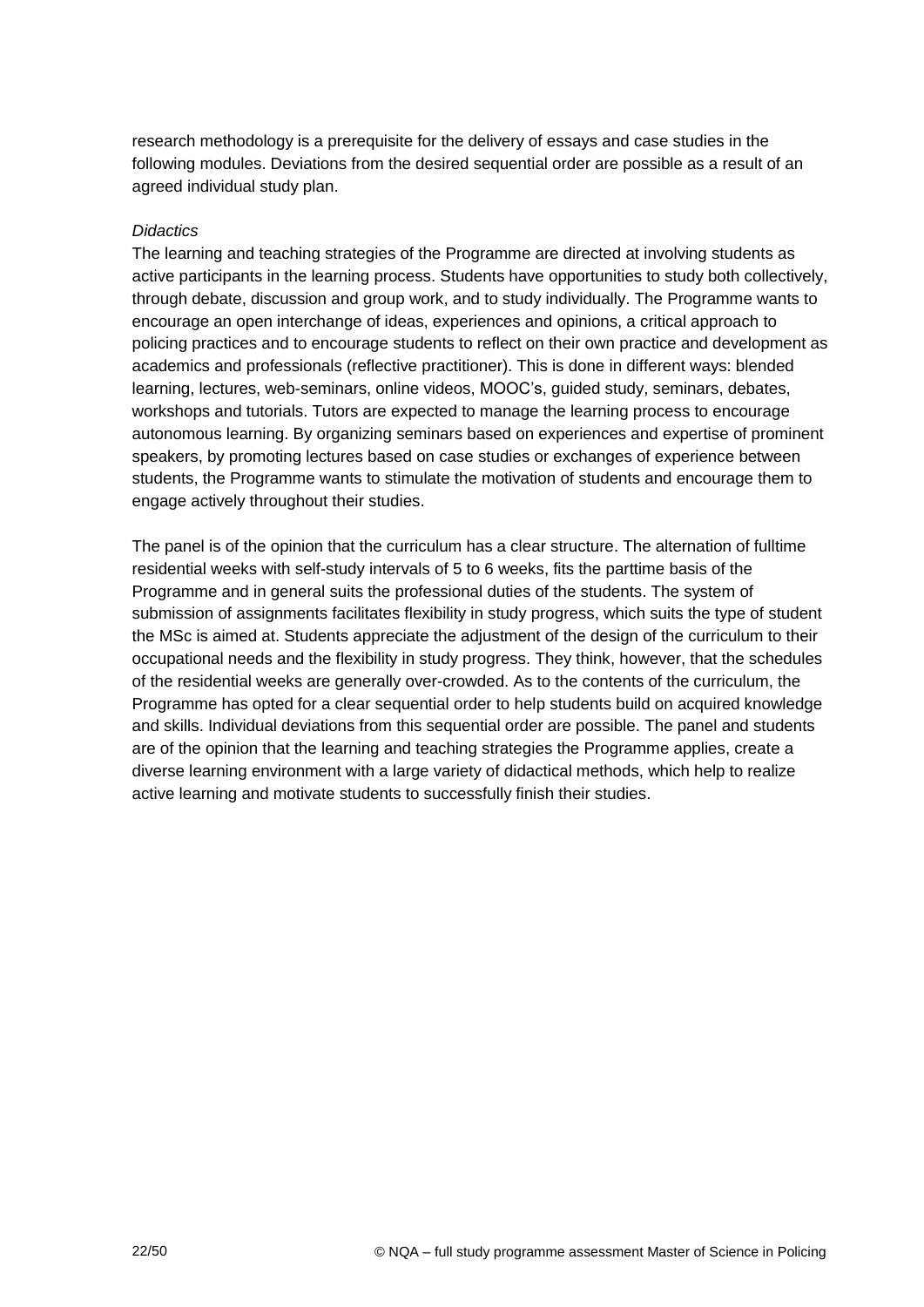research methodology is a prerequisite for the delivery of essays and case studies in the following modules. Deviations from the desired sequential order are possible as a result of an agreed individual study plan.

#### *Didactics*

The learning and teaching strategies of the Programme are directed at involving students as active participants in the learning process. Students have opportunities to study both collectively, through debate, discussion and group work, and to study individually. The Programme wants to encourage an open interchange of ideas, experiences and opinions, a critical approach to policing practices and to encourage students to reflect on their own practice and development as academics and professionals (reflective practitioner). This is done in different ways: blended learning, lectures, web-seminars, online videos, MOOC's, guided study, seminars, debates, workshops and tutorials. Tutors are expected to manage the learning process to encourage autonomous learning. By organizing seminars based on experiences and expertise of prominent speakers, by promoting lectures based on case studies or exchanges of experience between students, the Programme wants to stimulate the motivation of students and encourage them to engage actively throughout their studies.

<span id="page-21-0"></span>The panel is of the opinion that the curriculum has a clear structure. The alternation of fulltime residential weeks with self-study intervals of 5 to 6 weeks, fits the parttime basis of the Programme and in general suits the professional duties of the students. The system of submission of assignments facilitates flexibility in study progress, which suits the type of student the MSc is aimed at. Students appreciate the adjustment of the design of the curriculum to their occupational needs and the flexibility in study progress. They think, however, that the schedules of the residential weeks are generally over-crowded. As to the contents of the curriculum, the Programme has opted for a clear sequential order to help students build on acquired knowledge and skills. Individual deviations from this sequential order are possible. The panel and students are of the opinion that the learning and teaching strategies the Programme applies, create a diverse learning environment with a large variety of didactical methods, which help to realize active learning and motivate students to successfully finish their studies.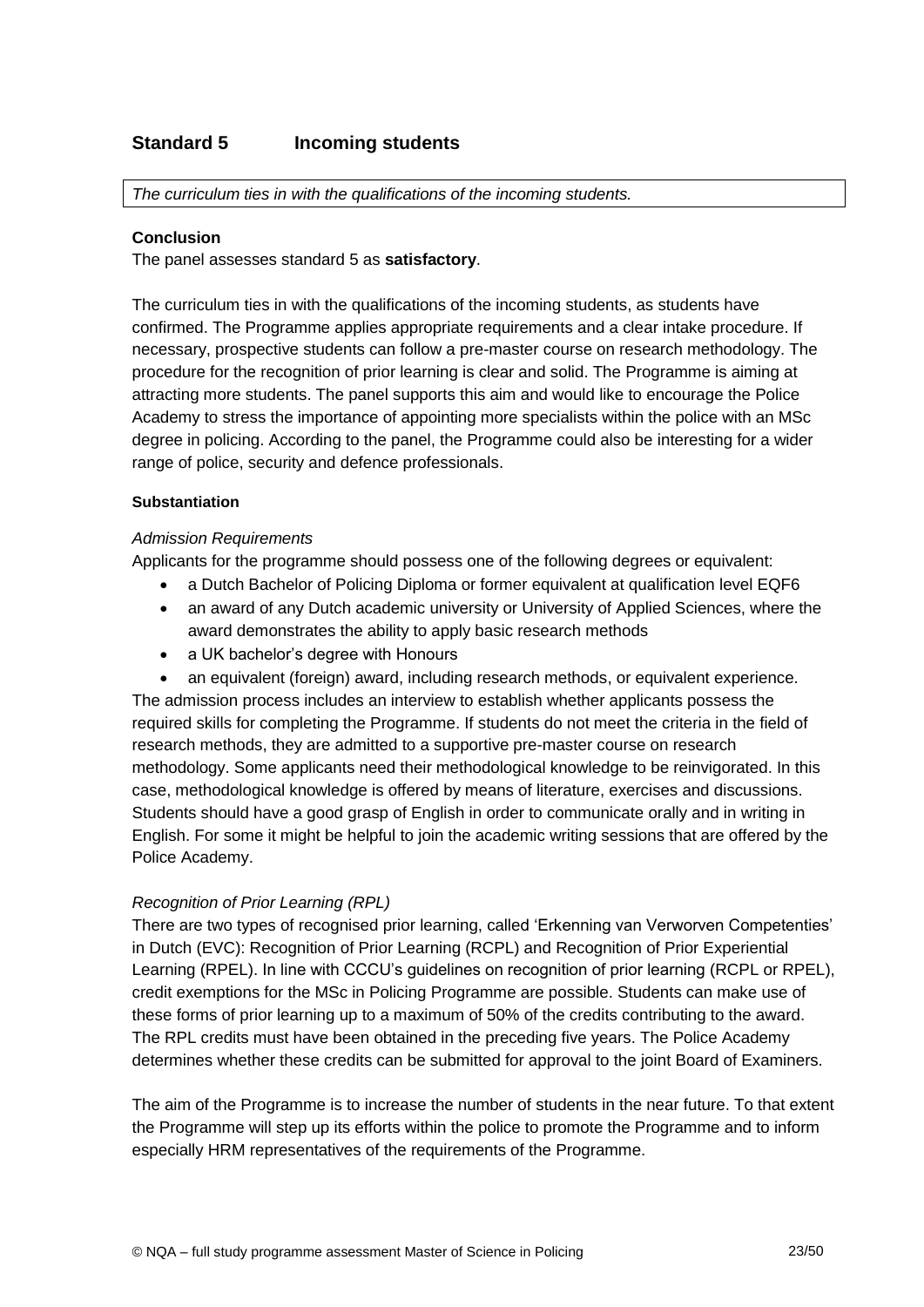## **Standard 5 Incoming students**

*The curriculum ties in with the qualifications of the incoming students.*

#### **Conclusion**

The panel assesses standard 5 as **satisfactory**.

The curriculum ties in with the qualifications of the incoming students, as students have confirmed. The Programme applies appropriate requirements and a clear intake procedure. If necessary, prospective students can follow a pre-master course on research methodology. The procedure for the recognition of prior learning is clear and solid. The Programme is aiming at attracting more students. The panel supports this aim and would like to encourage the Police Academy to stress the importance of appointing more specialists within the police with an MSc degree in policing. According to the panel, the Programme could also be interesting for a wider range of police, security and defence professionals.

#### **Substantiation**

#### *Admission Requirements*

Applicants for the programme should possess one of the following degrees or equivalent:

- a Dutch Bachelor of Policing Diploma or former equivalent at qualification level EQF6
- an award of any Dutch academic university or University of Applied Sciences, where the award demonstrates the ability to apply basic research methods
- a UK bachelor's degree with Honours

 an equivalent (foreign) award, including research methods, or equivalent experience. The admission process includes an interview to establish whether applicants possess the required skills for completing the Programme. If students do not meet the criteria in the field of research methods, they are admitted to a supportive pre-master course on research methodology. Some applicants need their methodological knowledge to be reinvigorated. In this case, methodological knowledge is offered by means of literature, exercises and discussions. Students should have a good grasp of English in order to communicate orally and in writing in English. For some it might be helpful to join the academic writing sessions that are offered by the Police Academy.

## *Recognition of Prior Learning (RPL)*

There are two types of recognised prior learning, called 'Erkenning van Verworven Competenties' in Dutch (EVC): Recognition of Prior Learning (RCPL) and Recognition of Prior Experiential Learning (RPEL). In line with CCCU's guidelines on recognition of prior learning (RCPL or RPEL), credit exemptions for the MSc in Policing Programme are possible. Students can make use of these forms of prior learning up to a maximum of 50% of the credits contributing to the award. The RPL credits must have been obtained in the preceding five years. The Police Academy determines whether these credits can be submitted for approval to the joint Board of Examiners.

The aim of the Programme is to increase the number of students in the near future. To that extent the Programme will step up its efforts within the police to promote the Programme and to inform especially HRM representatives of the requirements of the Programme.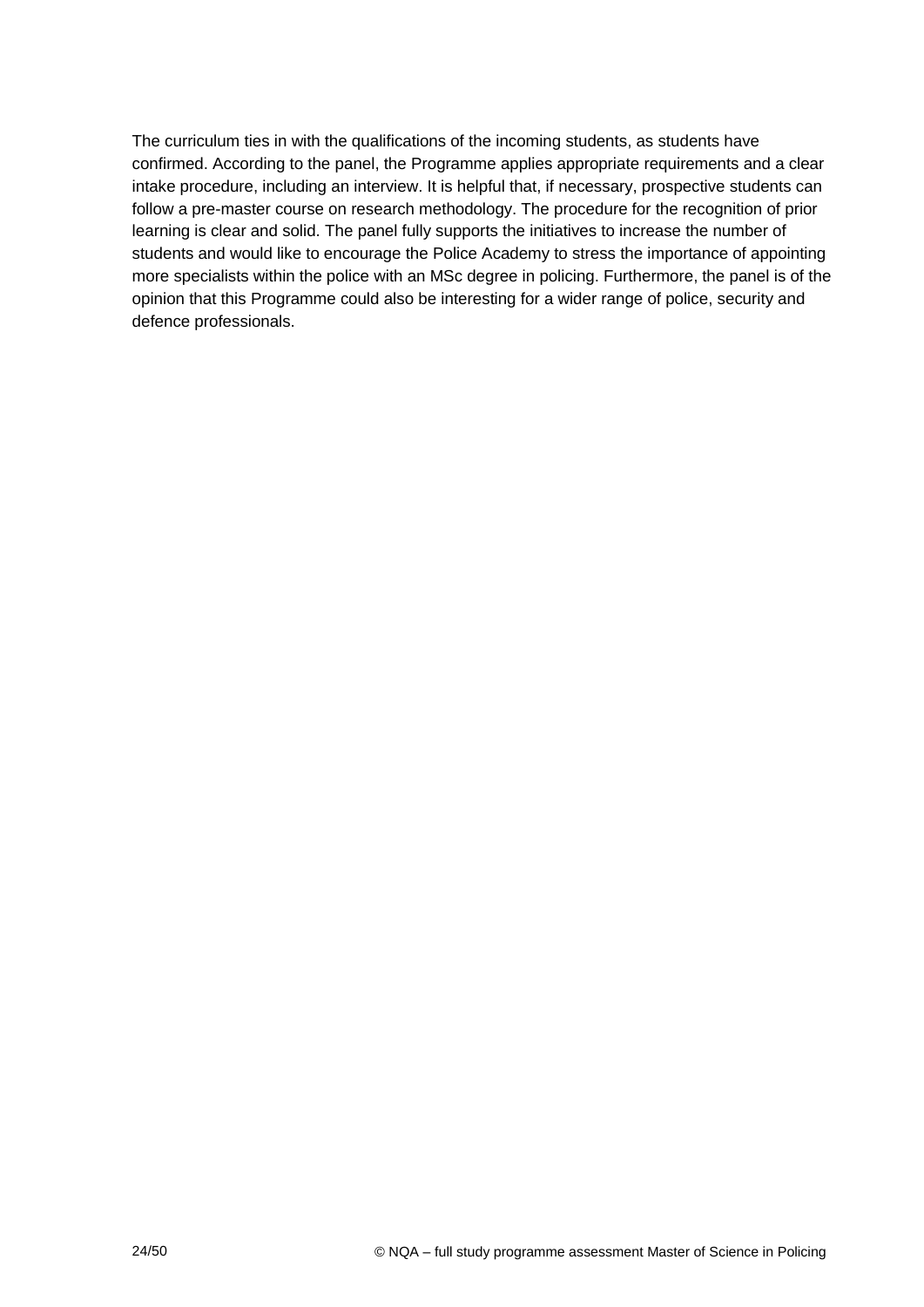<span id="page-23-0"></span>The curriculum ties in with the qualifications of the incoming students, as students have confirmed. According to the panel, the Programme applies appropriate requirements and a clear intake procedure, including an interview. It is helpful that, if necessary, prospective students can follow a pre-master course on research methodology. The procedure for the recognition of prior learning is clear and solid. The panel fully supports the initiatives to increase the number of students and would like to encourage the Police Academy to stress the importance of appointing more specialists within the police with an MSc degree in policing. Furthermore, the panel is of the opinion that this Programme could also be interesting for a wider range of police, security and defence professionals.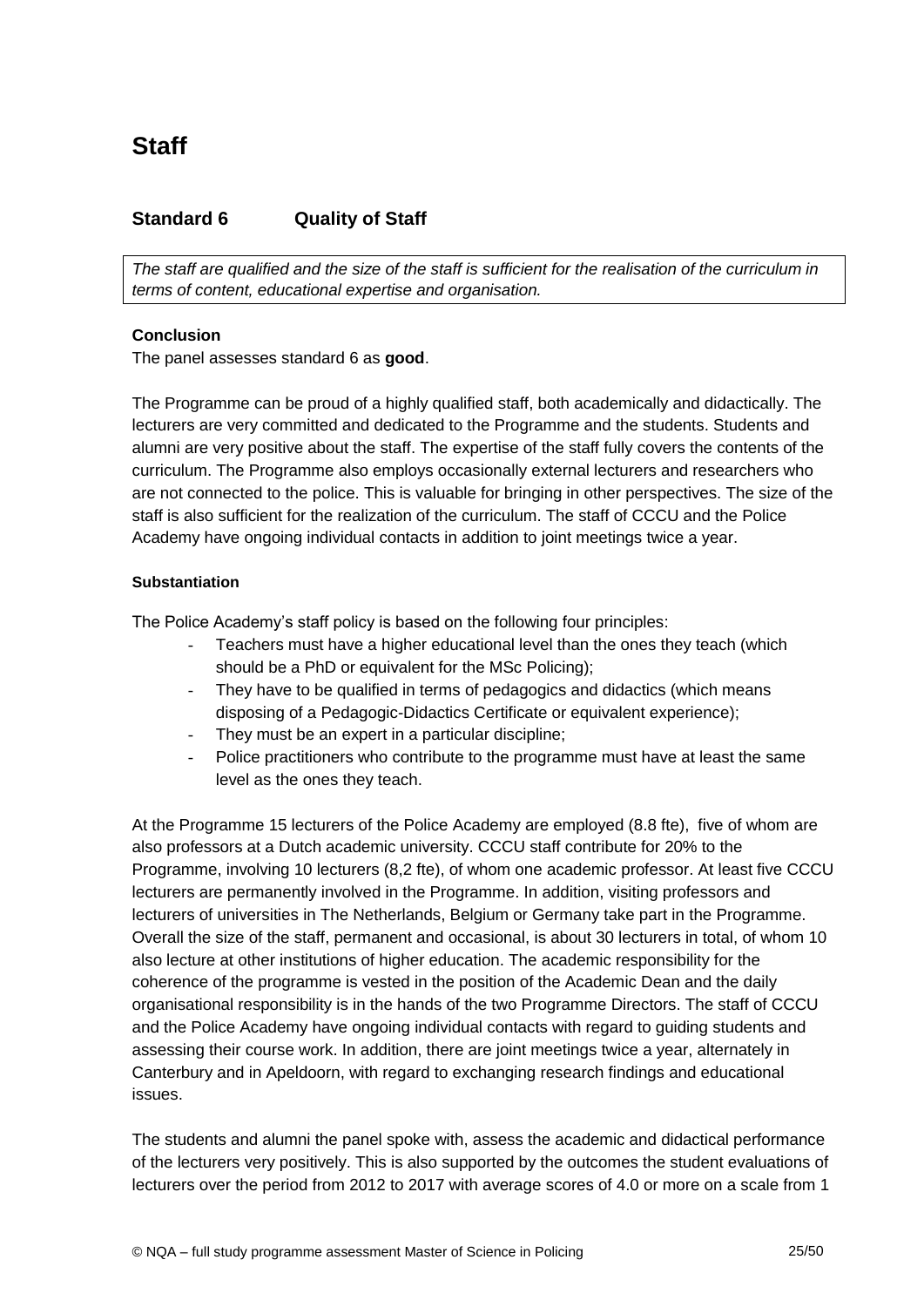## **Standard 6 Quality of Staff**

*The staff are qualified and the size of the staff is sufficient for the realisation of the curriculum in terms of content, educational expertise and organisation.*

## **Conclusion**

The panel assesses standard 6 as **good**.

The Programme can be proud of a highly qualified staff, both academically and didactically. The lecturers are very committed and dedicated to the Programme and the students. Students and alumni are very positive about the staff. The expertise of the staff fully covers the contents of the curriculum. The Programme also employs occasionally external lecturers and researchers who are not connected to the police. This is valuable for bringing in other perspectives. The size of the staff is also sufficient for the realization of the curriculum. The staff of CCCU and the Police Academy have ongoing individual contacts in addition to joint meetings twice a year.

#### **Substantiation**

The Police Academy's staff policy is based on the following four principles:

- Teachers must have a higher educational level than the ones they teach (which should be a PhD or equivalent for the MSc Policing);
- They have to be qualified in terms of pedagogics and didactics (which means disposing of a Pedagogic-Didactics Certificate or equivalent experience);
- They must be an expert in a particular discipline;
- Police practitioners who contribute to the programme must have at least the same level as the ones they teach.

At the Programme 15 lecturers of the Police Academy are employed (8.8 fte), five of whom are also professors at a Dutch academic university. CCCU staff contribute for 20% to the Programme, involving 10 lecturers (8,2 fte), of whom one academic professor. At least five CCCU lecturers are permanently involved in the Programme. In addition, visiting professors and lecturers of universities in The Netherlands, Belgium or Germany take part in the Programme. Overall the size of the staff, permanent and occasional, is about 30 lecturers in total, of whom 10 also lecture at other institutions of higher education. The academic responsibility for the coherence of the programme is vested in the position of the Academic Dean and the daily organisational responsibility is in the hands of the two Programme Directors. The staff of CCCU and the Police Academy have ongoing individual contacts with regard to guiding students and assessing their course work. In addition, there are joint meetings twice a year, alternately in Canterbury and in Apeldoorn, with regard to exchanging research findings and educational issues.

The students and alumni the panel spoke with, assess the academic and didactical performance of the lecturers very positively. This is also supported by the outcomes the student evaluations of lecturers over the period from 2012 to 2017 with average scores of 4.0 or more on a scale from 1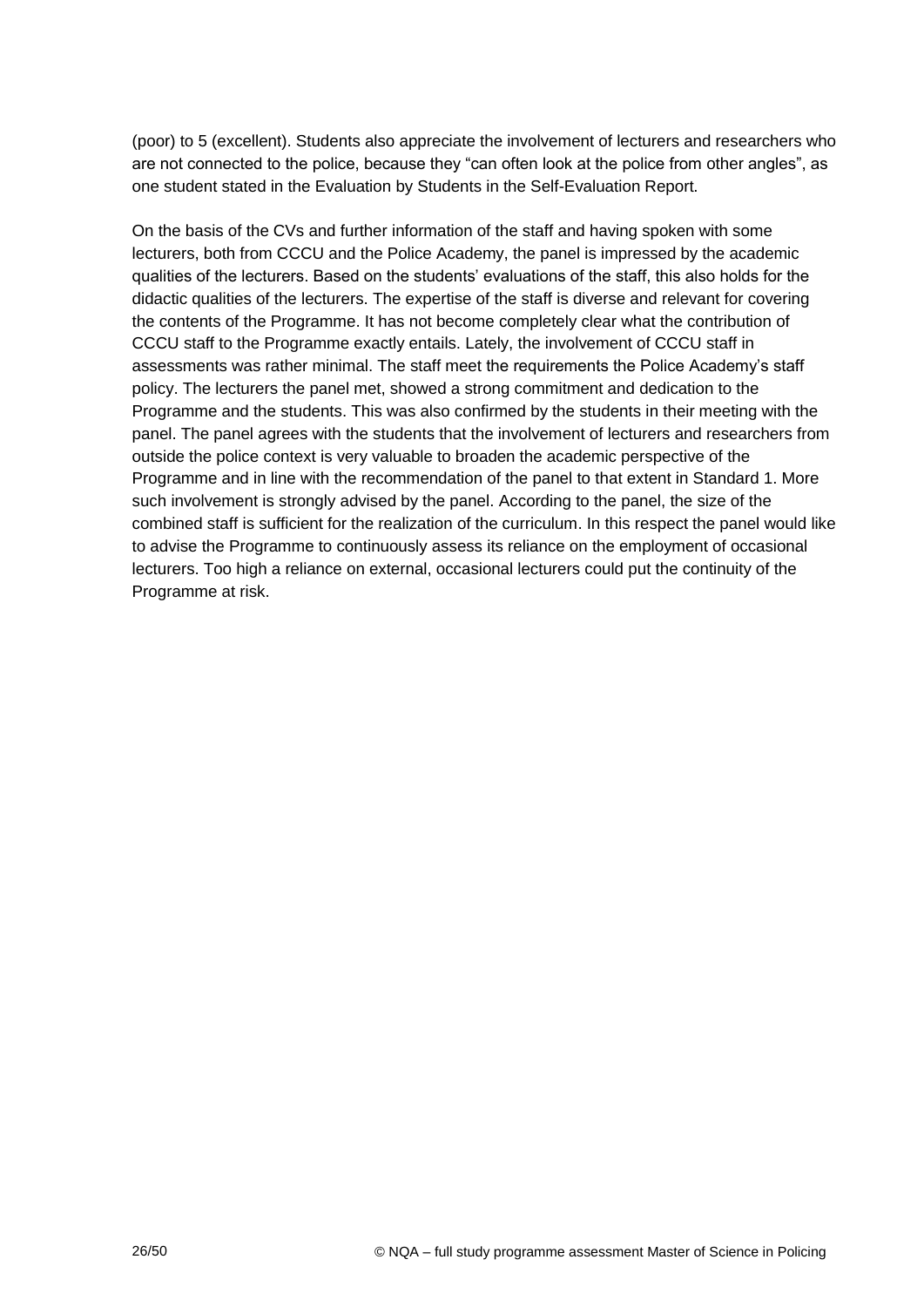(poor) to 5 (excellent). Students also appreciate the involvement of lecturers and researchers who are not connected to the police, because they "can often look at the police from other angles", as one student stated in the Evaluation by Students in the Self-Evaluation Report.

<span id="page-25-0"></span>On the basis of the CVs and further information of the staff and having spoken with some lecturers, both from CCCU and the Police Academy, the panel is impressed by the academic qualities of the lecturers. Based on the students' evaluations of the staff, this also holds for the didactic qualities of the lecturers. The expertise of the staff is diverse and relevant for covering the contents of the Programme. It has not become completely clear what the contribution of CCCU staff to the Programme exactly entails. Lately, the involvement of CCCU staff in assessments was rather minimal. The staff meet the requirements the Police Academy's staff policy. The lecturers the panel met, showed a strong commitment and dedication to the Programme and the students. This was also confirmed by the students in their meeting with the panel. The panel agrees with the students that the involvement of lecturers and researchers from outside the police context is very valuable to broaden the academic perspective of the Programme and in line with the recommendation of the panel to that extent in Standard 1. More such involvement is strongly advised by the panel. According to the panel, the size of the combined staff is sufficient for the realization of the curriculum. In this respect the panel would like to advise the Programme to continuously assess its reliance on the employment of occasional lecturers. Too high a reliance on external, occasional lecturers could put the continuity of the Programme at risk.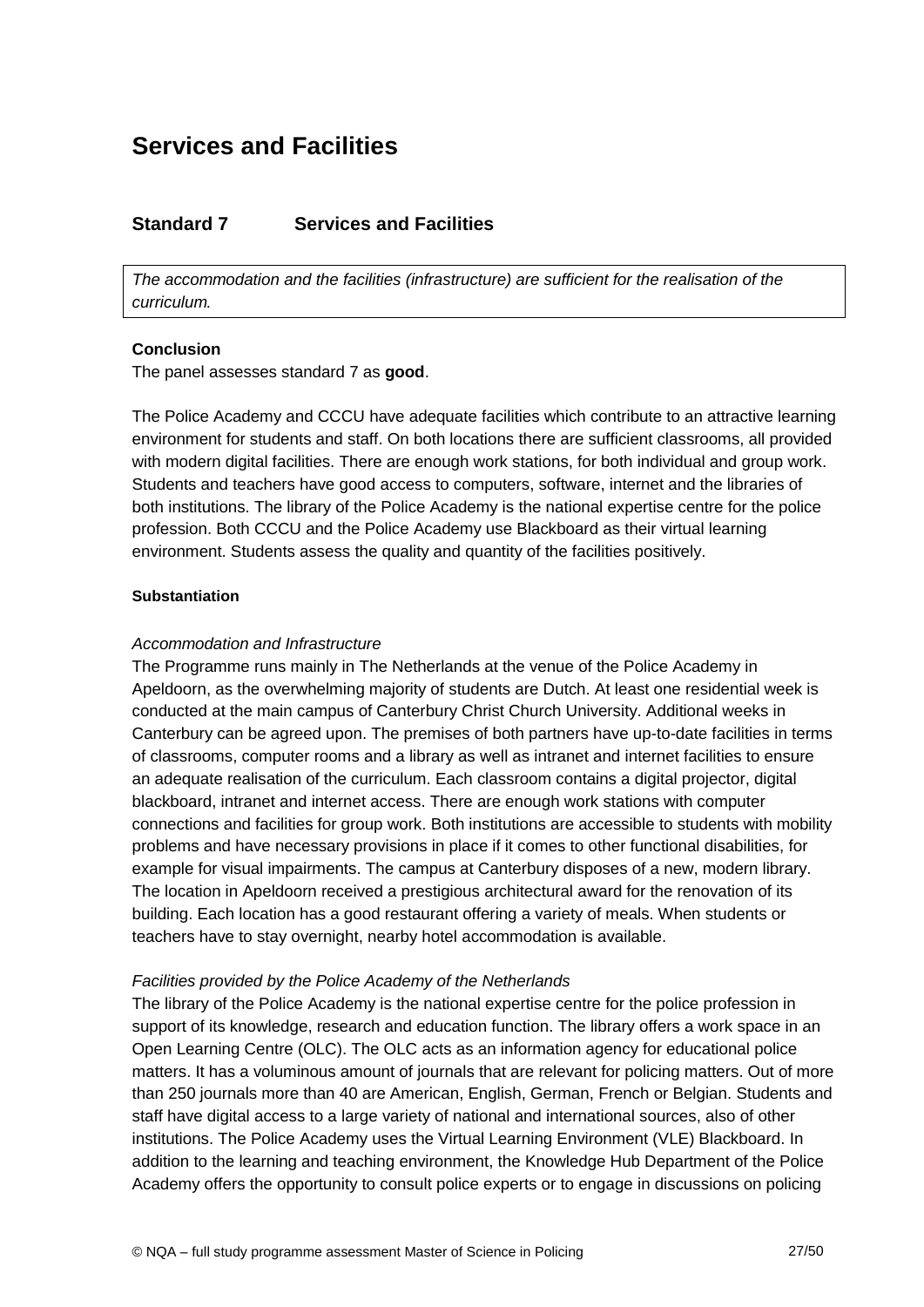## **Services and Facilities**

## <span id="page-26-0"></span>**Standard 7 Services and Facilities**

*The accommodation and the facilities (infrastructure) are sufficient for the realisation of the curriculum.*

#### <span id="page-26-1"></span>**Conclusion**

The panel assesses standard 7 as **good**.

The Police Academy and CCCU have adequate facilities which contribute to an attractive learning environment for students and staff. On both locations there are sufficient classrooms, all provided with modern digital facilities. There are enough work stations, for both individual and group work. Students and teachers have good access to computers, software, internet and the libraries of both institutions. The library of the Police Academy is the national expertise centre for the police profession. Both CCCU and the Police Academy use Blackboard as their virtual learning environment. Students assess the quality and quantity of the facilities positively.

#### <span id="page-26-2"></span>**Substantiation**

#### *Accommodation and Infrastructure*

The Programme runs mainly in The Netherlands at the venue of the Police Academy in Apeldoorn, as the overwhelming majority of students are Dutch. At least one residential week is conducted at the main campus of Canterbury Christ Church University. Additional weeks in Canterbury can be agreed upon. The premises of both partners have up-to-date facilities in terms of classrooms, computer rooms and a library as well as intranet and internet facilities to ensure an adequate realisation of the curriculum. Each classroom contains a digital projector, digital blackboard, intranet and internet access. There are enough work stations with computer connections and facilities for group work. Both institutions are accessible to students with mobility problems and have necessary provisions in place if it comes to other functional disabilities, for example for visual impairments. The campus at Canterbury disposes of a new, modern library. The location in Apeldoorn received a prestigious architectural award for the renovation of its building. Each location has a good restaurant offering a variety of meals. When students or teachers have to stay overnight, nearby hotel accommodation is available.

#### *Facilities provided by the Police Academy of the Netherlands*

The library of the Police Academy is the national expertise centre for the police profession in support of its knowledge, research and education function. The library offers a work space in an Open Learning Centre (OLC). The OLC acts as an information agency for educational police matters. It has a voluminous amount of journals that are relevant for policing matters. Out of more than 250 journals more than 40 are American, English, German, French or Belgian. Students and staff have digital access to a large variety of national and international sources, also of other institutions. The Police Academy uses the Virtual Learning Environment (VLE) Blackboard. In addition to the learning and teaching environment, the Knowledge Hub Department of the Police Academy offers the opportunity to consult police experts or to engage in discussions on policing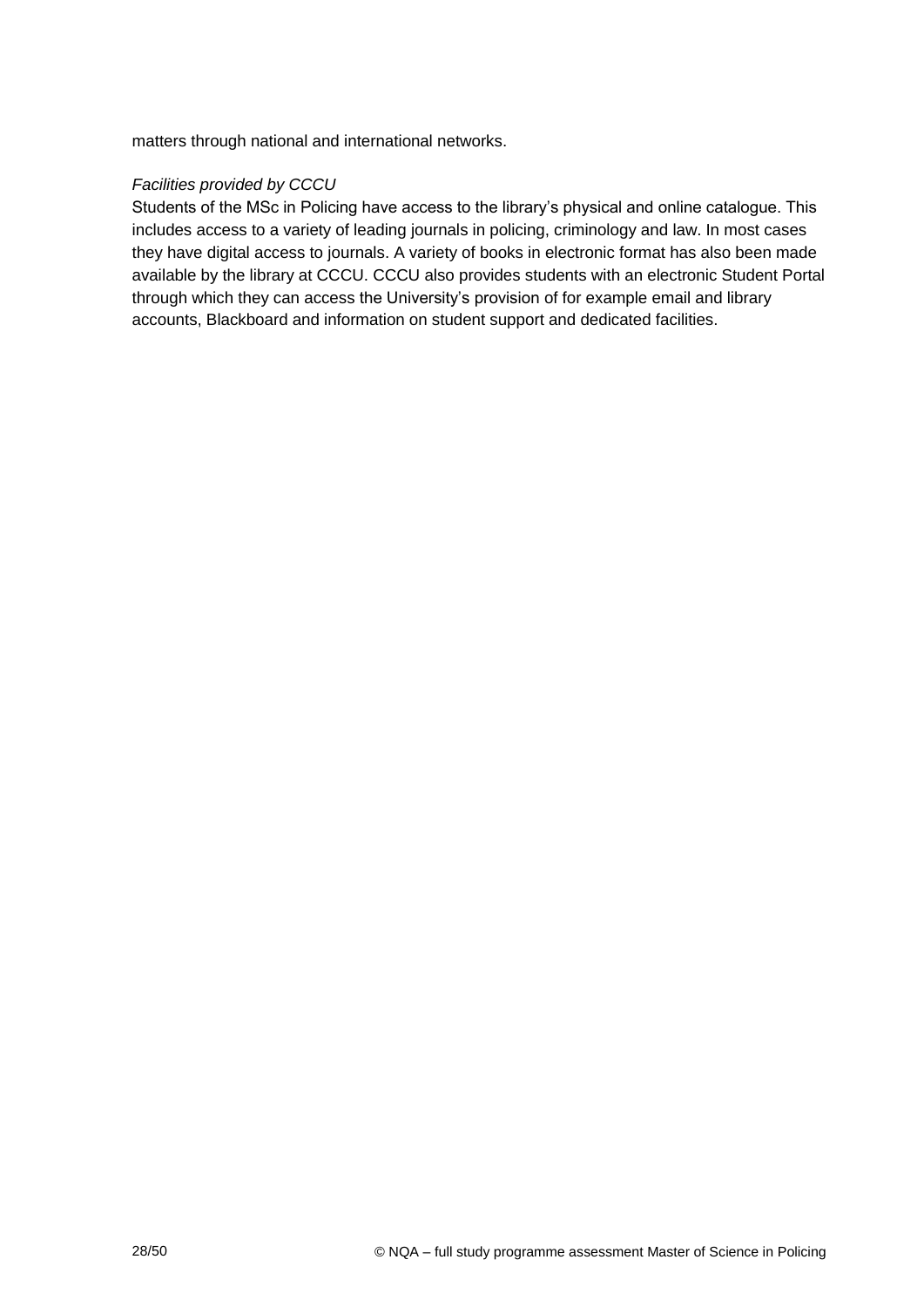matters through national and international networks.

### *Facilities provided by CCCU*

Students of the MSc in Policing have access to the library's physical and online catalogue. This includes access to a variety of leading journals in policing, criminology and law. In most cases they have digital access to journals. A variety of books in electronic format has also been made available by the library at CCCU. CCCU also provides students with an electronic Student Portal through which they can access the University's provision of for example email and library accounts, Blackboard and information on student support and dedicated facilities.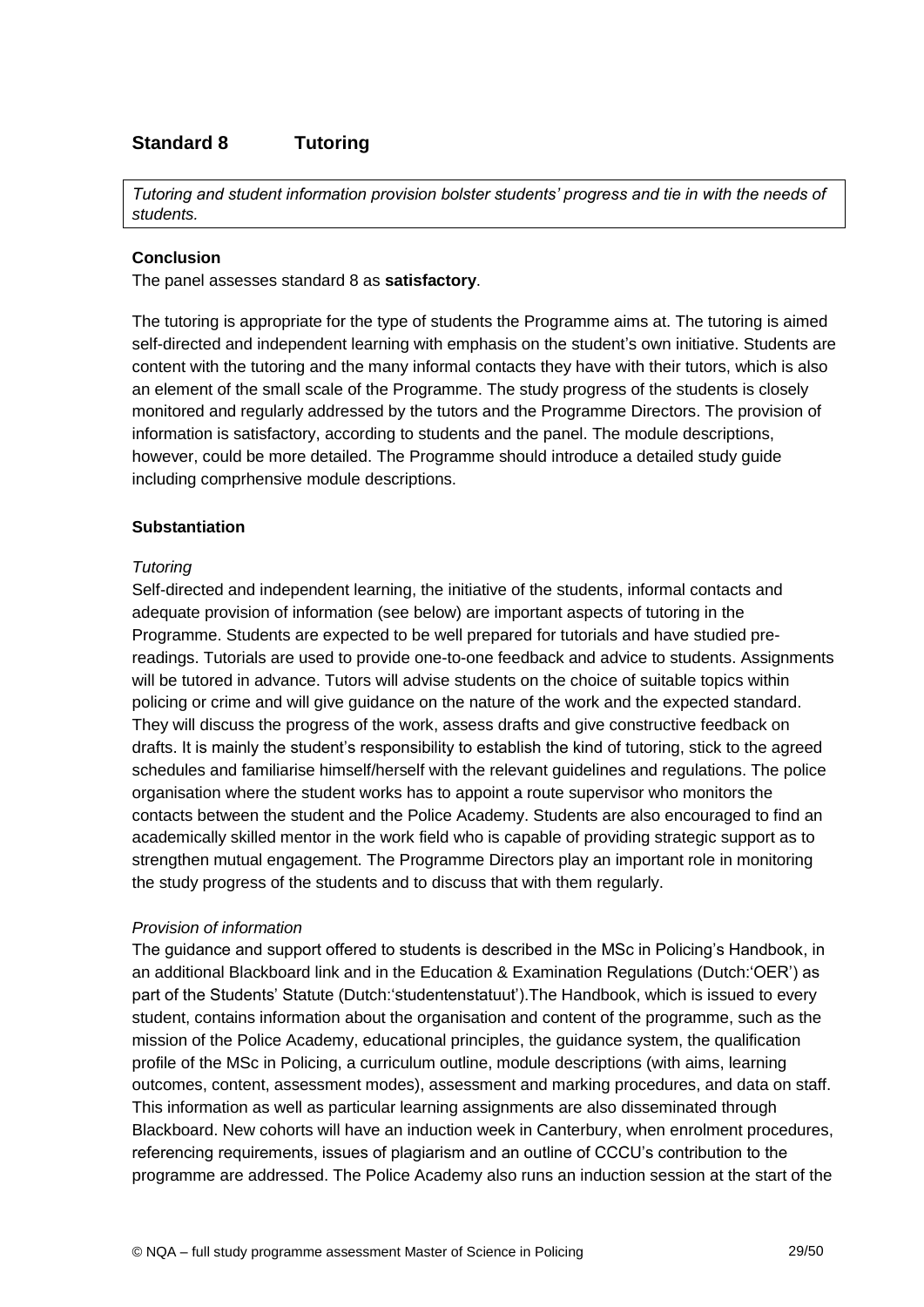## **Standard 8 Tutoring**

*Tutoring and student information provision bolster students' progress and tie in with the needs of students.*

#### **Conclusion**

The panel assesses standard 8 as **satisfactory**.

The tutoring is appropriate for the type of students the Programme aims at. The tutoring is aimed self-directed and independent learning with emphasis on the student's own initiative. Students are content with the tutoring and the many informal contacts they have with their tutors, which is also an element of the small scale of the Programme. The study progress of the students is closely monitored and regularly addressed by the tutors and the Programme Directors. The provision of information is satisfactory, according to students and the panel. The module descriptions, however, could be more detailed. The Programme should introduce a detailed study guide including comprhensive module descriptions.

#### **Substantiation**

#### *Tutoring*

Self-directed and independent learning, the initiative of the students, informal contacts and adequate provision of information (see below) are important aspects of tutoring in the Programme. Students are expected to be well prepared for tutorials and have studied prereadings. Tutorials are used to provide one-to-one feedback and advice to students. Assignments will be tutored in advance. Tutors will advise students on the choice of suitable topics within policing or crime and will give guidance on the nature of the work and the expected standard. They will discuss the progress of the work, assess drafts and give constructive feedback on drafts. It is mainly the student's responsibility to establish the kind of tutoring, stick to the agreed schedules and familiarise himself/herself with the relevant guidelines and regulations. The police organisation where the student works has to appoint a route supervisor who monitors the contacts between the student and the Police Academy. Students are also encouraged to find an academically skilled mentor in the work field who is capable of providing strategic support as to strengthen mutual engagement. The Programme Directors play an important role in monitoring the study progress of the students and to discuss that with them regularly.

#### *Provision of information*

The guidance and support offered to students is described in the MSc in Policing's Handbook, in an additional Blackboard link and in the Education & Examination Regulations (Dutch:'OER') as part of the Students' Statute (Dutch:'studentenstatuut').The Handbook, which is issued to every student, contains information about the organisation and content of the programme, such as the mission of the Police Academy, educational principles, the guidance system, the qualification profile of the MSc in Policing, a curriculum outline, module descriptions (with aims, learning outcomes, content, assessment modes), assessment and marking procedures, and data on staff. This information as well as particular learning assignments are also disseminated through Blackboard. New cohorts will have an induction week in Canterbury, when enrolment procedures, referencing requirements, issues of plagiarism and an outline of CCCU's contribution to the programme are addressed. The Police Academy also runs an induction session at the start of the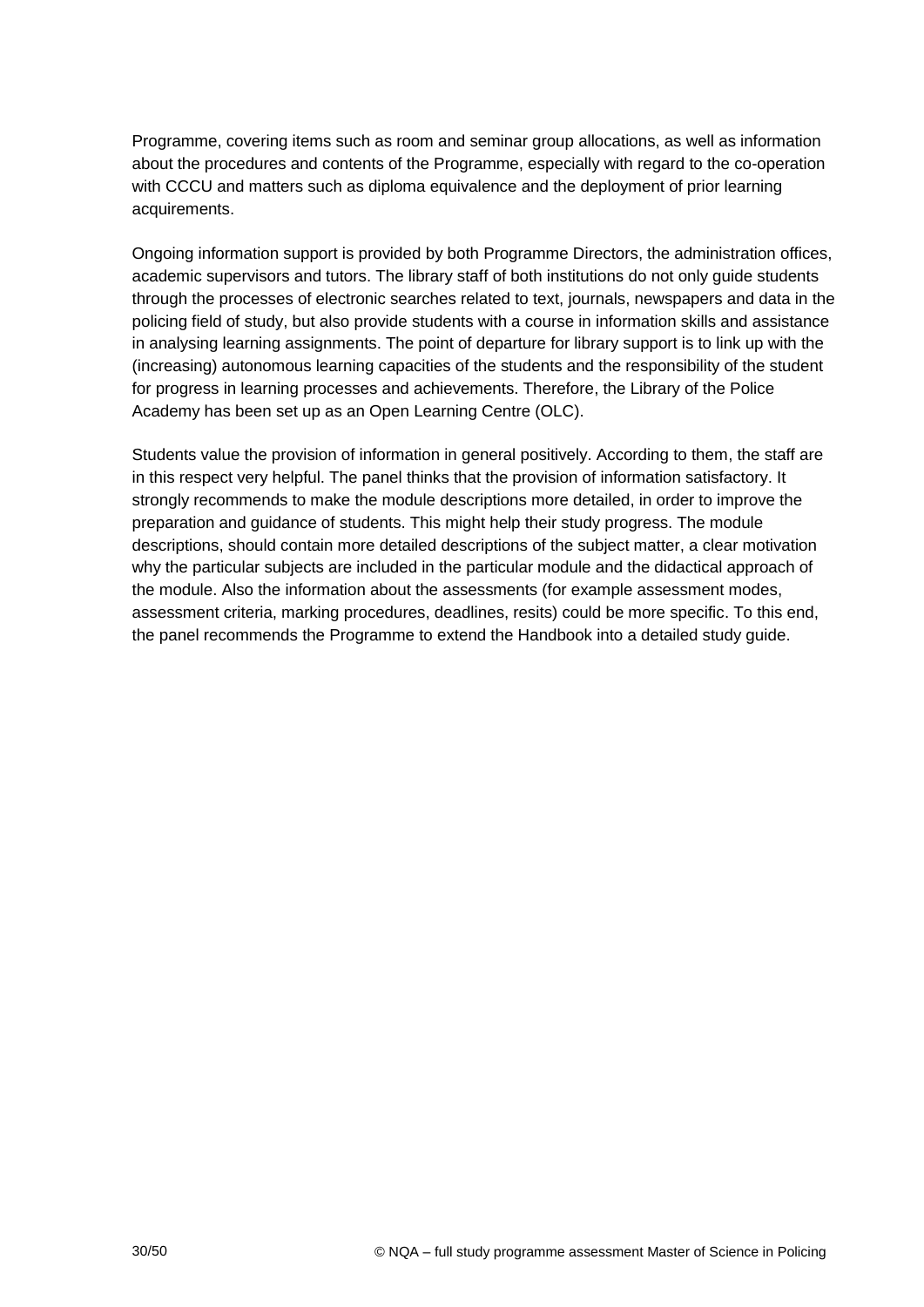Programme, covering items such as room and seminar group allocations, as well as information about the procedures and contents of the Programme, especially with regard to the co-operation with CCCU and matters such as diploma equivalence and the deployment of prior learning acquirements.

Ongoing information support is provided by both Programme Directors, the administration offices, academic supervisors and tutors. The library staff of both institutions do not only guide students through the processes of electronic searches related to text, journals, newspapers and data in the policing field of study, but also provide students with a course in information skills and assistance in analysing learning assignments. The point of departure for library support is to link up with the (increasing) autonomous learning capacities of the students and the responsibility of the student for progress in learning processes and achievements. Therefore, the Library of the Police Academy has been set up as an Open Learning Centre (OLC).

Students value the provision of information in general positively. According to them, the staff are in this respect very helpful. The panel thinks that the provision of information satisfactory. It strongly recommends to make the module descriptions more detailed, in order to improve the preparation and guidance of students. This might help their study progress. The module descriptions, should contain more detailed descriptions of the subject matter, a clear motivation why the particular subjects are included in the particular module and the didactical approach of the module. Also the information about the assessments (for example assessment modes, assessment criteria, marking procedures, deadlines, resits) could be more specific. To this end, the panel recommends the Programme to extend the Handbook into a detailed study guide.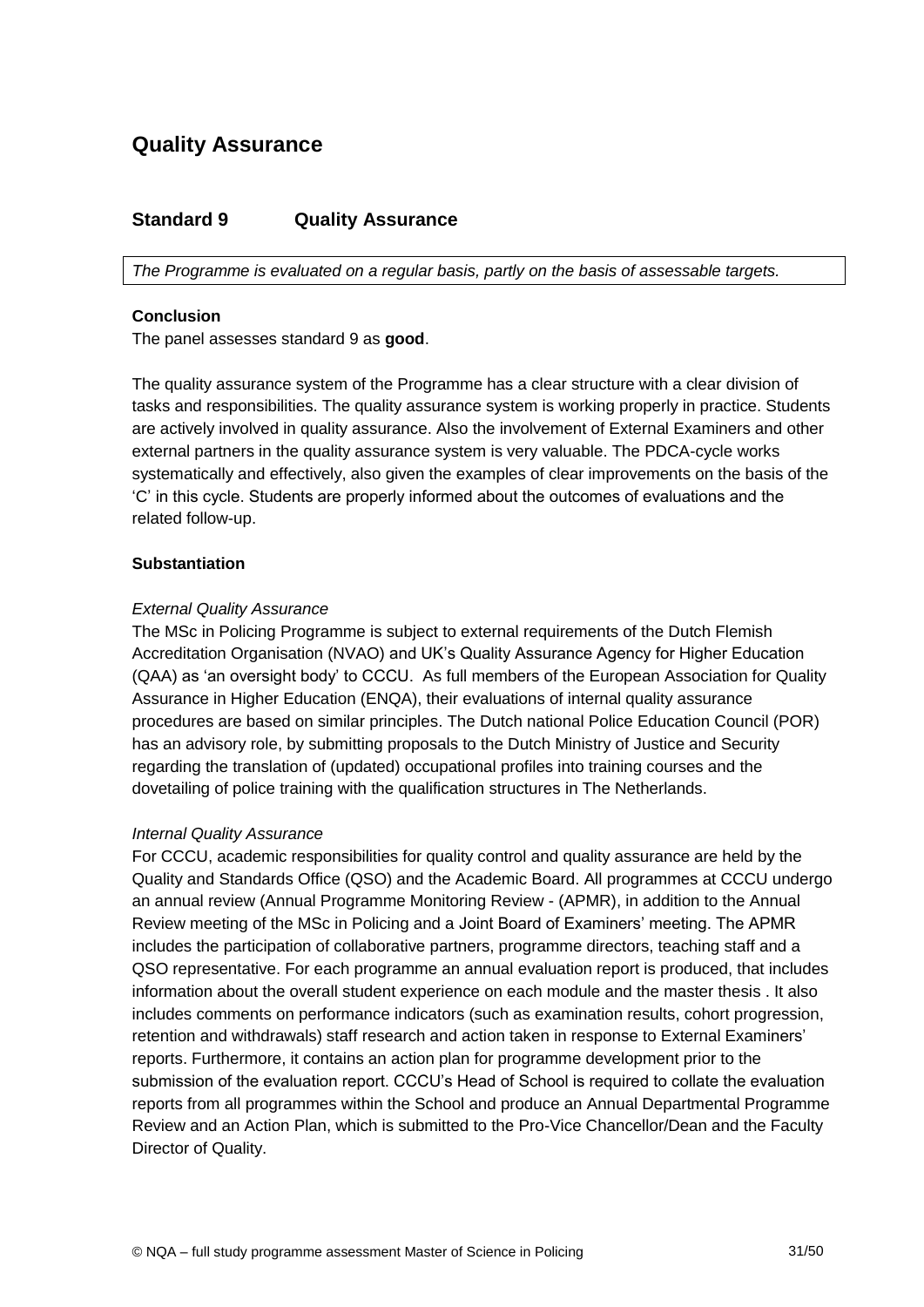## **Quality Assurance**

## <span id="page-30-0"></span>**Standard 9 Quality Assurance**

*The Programme is evaluated on a regular basis, partly on the basis of assessable targets.*

#### <span id="page-30-1"></span>**Conclusion**

The panel assesses standard 9 as **good**.

The quality assurance system of the Programme has a clear structure with a clear division of tasks and responsibilities. The quality assurance system is working properly in practice. Students are actively involved in quality assurance. Also the involvement of External Examiners and other external partners in the quality assurance system is very valuable. The PDCA-cycle works systematically and effectively, also given the examples of clear improvements on the basis of the 'C' in this cycle. Students are properly informed about the outcomes of evaluations and the related follow-up.

#### **Substantiation**

#### *External Quality Assurance*

The MSc in Policing Programme is subject to external requirements of the Dutch Flemish Accreditation Organisation (NVAO) and UK's Quality Assurance Agency for Higher Education (QAA) as 'an oversight body' to CCCU. As full members of the European Association for Quality Assurance in Higher Education (ENQA), their evaluations of internal quality assurance procedures are based on similar principles. The Dutch national Police Education Council (POR) has an advisory role, by submitting proposals to the Dutch Ministry of Justice and Security regarding the translation of (updated) occupational profiles into training courses and the dovetailing of police training with the qualification structures in The Netherlands.

#### *Internal Quality Assurance*

For CCCU, academic responsibilities for quality control and quality assurance are held by the Quality and Standards Office (QSO) and the Academic Board. All programmes at CCCU undergo an annual review (Annual Programme Monitoring Review - (APMR), in addition to the Annual Review meeting of the MSc in Policing and a Joint Board of Examiners' meeting. The APMR includes the participation of collaborative partners, programme directors, teaching staff and a QSO representative. For each programme an annual evaluation report is produced, that includes information about the overall student experience on each module and the master thesis . It also includes comments on performance indicators (such as examination results, cohort progression, retention and withdrawals) staff research and action taken in response to External Examiners' reports. Furthermore, it contains an action plan for programme development prior to the submission of the evaluation report. CCCU's Head of School is required to collate the evaluation reports from all programmes within the School and produce an Annual Departmental Programme Review and an Action Plan, which is submitted to the Pro-Vice Chancellor/Dean and the Faculty Director of Quality.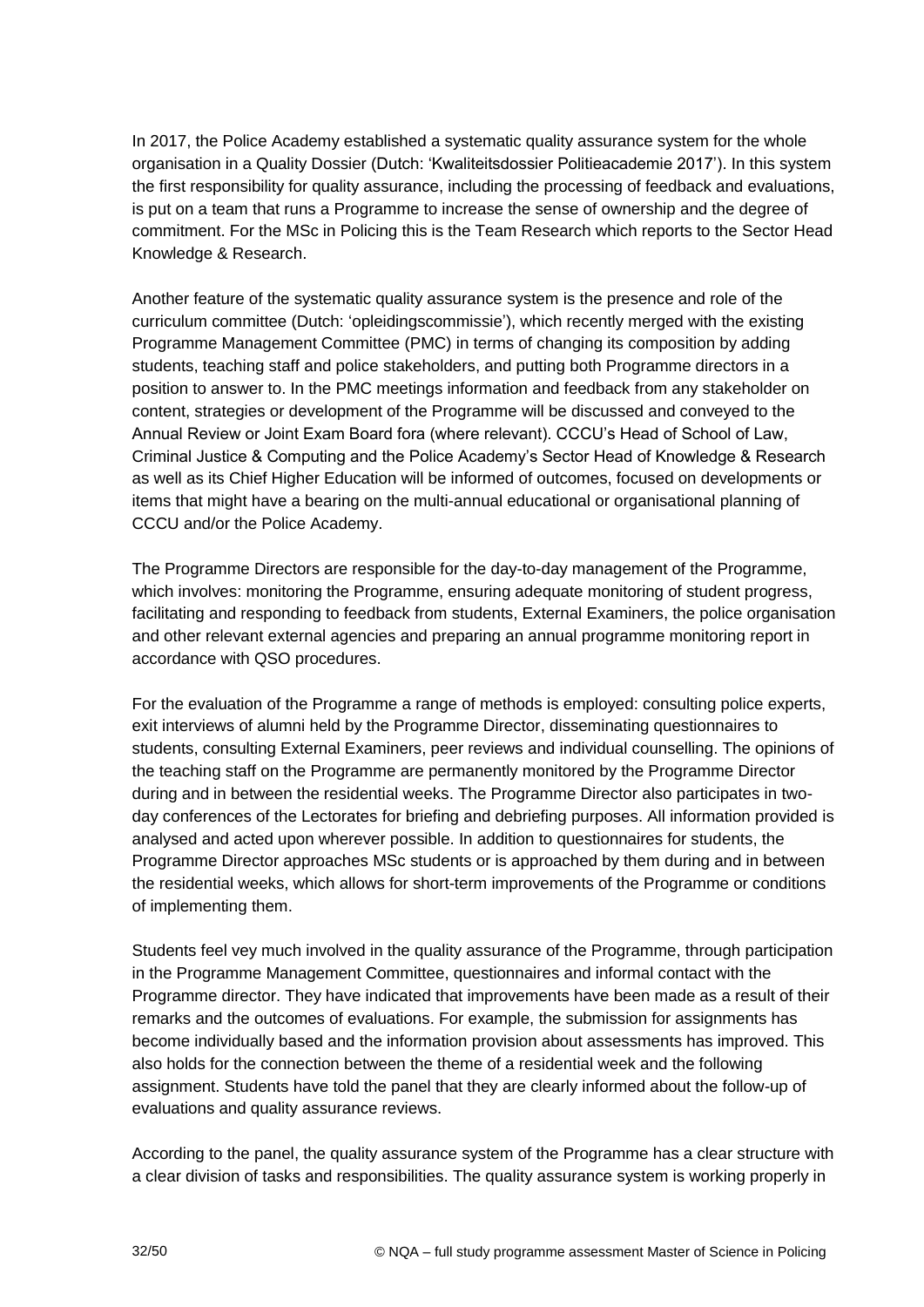In 2017, the Police Academy established a systematic quality assurance system for the whole organisation in a Quality Dossier (Dutch: 'Kwaliteitsdossier Politieacademie 2017'). In this system the first responsibility for quality assurance, including the processing of feedback and evaluations, is put on a team that runs a Programme to increase the sense of ownership and the degree of commitment. For the MSc in Policing this is the Team Research which reports to the Sector Head Knowledge & Research.

Another feature of the systematic quality assurance system is the presence and role of the curriculum committee (Dutch: 'opleidingscommissie'), which recently merged with the existing Programme Management Committee (PMC) in terms of changing its composition by adding students, teaching staff and police stakeholders, and putting both Programme directors in a position to answer to. In the PMC meetings information and feedback from any stakeholder on content, strategies or development of the Programme will be discussed and conveyed to the Annual Review or Joint Exam Board fora (where relevant). CCCU's Head of School of Law, Criminal Justice & Computing and the Police Academy's Sector Head of Knowledge & Research as well as its Chief Higher Education will be informed of outcomes, focused on developments or items that might have a bearing on the multi-annual educational or organisational planning of CCCU and/or the Police Academy.

The Programme Directors are responsible for the day-to-day management of the Programme, which involves: monitoring the Programme, ensuring adequate monitoring of student progress, facilitating and responding to feedback from students, External Examiners, the police organisation and other relevant external agencies and preparing an annual programme monitoring report in accordance with QSO procedures.

For the evaluation of the Programme a range of methods is employed: consulting police experts, exit interviews of alumni held by the Programme Director, disseminating questionnaires to students, consulting External Examiners, peer reviews and individual counselling. The opinions of the teaching staff on the Programme are permanently monitored by the Programme Director during and in between the residential weeks. The Programme Director also participates in twoday conferences of the Lectorates for briefing and debriefing purposes. All information provided is analysed and acted upon wherever possible. In addition to questionnaires for students, the Programme Director approaches MSc students or is approached by them during and in between the residential weeks, which allows for short-term improvements of the Programme or conditions of implementing them.

Students feel vey much involved in the quality assurance of the Programme, through participation in the Programme Management Committee, questionnaires and informal contact with the Programme director. They have indicated that improvements have been made as a result of their remarks and the outcomes of evaluations. For example, the submission for assignments has become individually based and the information provision about assessments has improved. This also holds for the connection between the theme of a residential week and the following assignment. Students have told the panel that they are clearly informed about the follow-up of evaluations and quality assurance reviews.

According to the panel, the quality assurance system of the Programme has a clear structure with a clear division of tasks and responsibilities. The quality assurance system is working properly in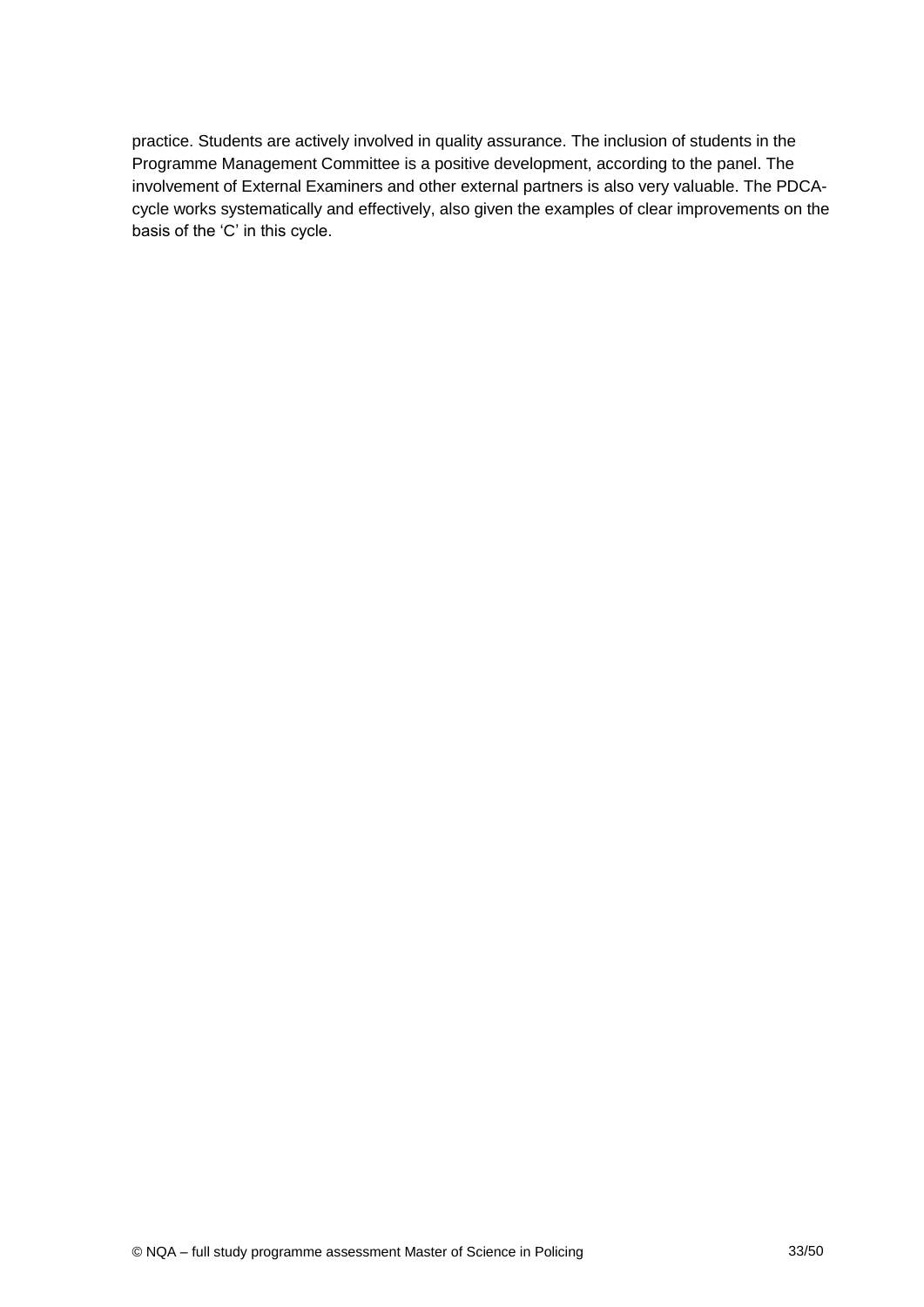practice. Students are actively involved in quality assurance. The inclusion of students in the Programme Management Committee is a positive development, according to the panel. The involvement of External Examiners and other external partners is also very valuable. The PDCAcycle works systematically and effectively, also given the examples of clear improvements on the basis of the 'C' in this cycle.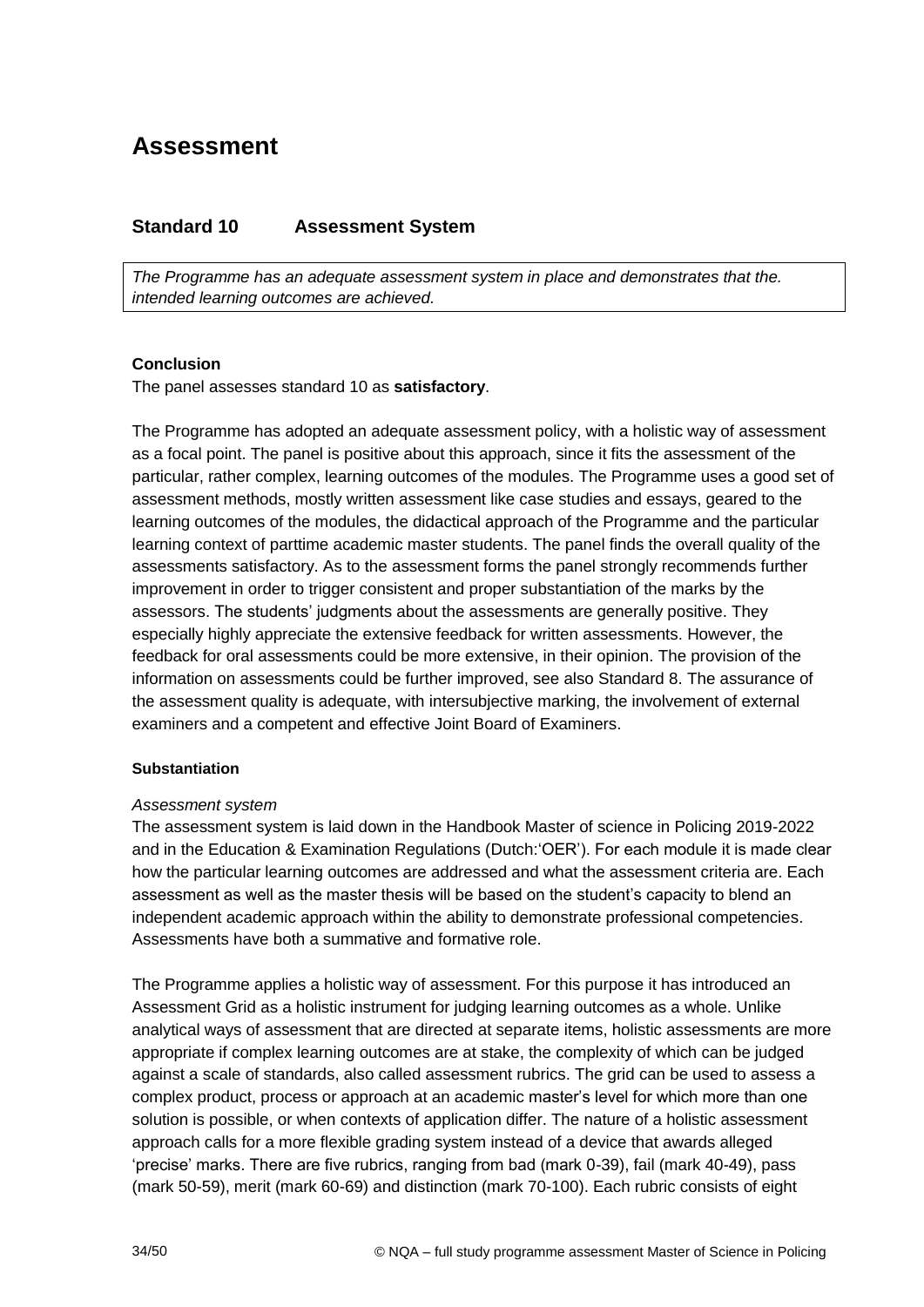## **Assessment**

## <span id="page-33-0"></span>**Standard 10 Assessment System**

*The Programme has an adequate assessment system in place and demonstrates that the. intended learning outcomes are achieved.*

#### **Conclusion**

The panel assesses standard 10 as **satisfactory**.

The Programme has adopted an adequate assessment policy, with a holistic way of assessment as a focal point. The panel is positive about this approach, since it fits the assessment of the particular, rather complex, learning outcomes of the modules. The Programme uses a good set of assessment methods, mostly written assessment like case studies and essays, geared to the learning outcomes of the modules, the didactical approach of the Programme and the particular learning context of parttime academic master students. The panel finds the overall quality of the assessments satisfactory. As to the assessment forms the panel strongly recommends further improvement in order to trigger consistent and proper substantiation of the marks by the assessors. The students' judgments about the assessments are generally positive. They especially highly appreciate the extensive feedback for written assessments. However, the feedback for oral assessments could be more extensive, in their opinion. The provision of the information on assessments could be further improved, see also Standard 8. The assurance of the assessment quality is adequate, with intersubjective marking, the involvement of external examiners and a competent and effective Joint Board of Examiners.

#### **Substantiation**

#### *Assessment system*

The assessment system is laid down in the Handbook Master of science in Policing 2019-2022 and in the Education & Examination Regulations (Dutch:'OER'). For each module it is made clear how the particular learning outcomes are addressed and what the assessment criteria are. Each assessment as well as the master thesis will be based on the student's capacity to blend an independent academic approach within the ability to demonstrate professional competencies. Assessments have both a summative and formative role.

The Programme applies a holistic way of assessment. For this purpose it has introduced an Assessment Grid as a holistic instrument for judging learning outcomes as a whole. Unlike analytical ways of assessment that are directed at separate items, holistic assessments are more appropriate if complex learning outcomes are at stake, the complexity of which can be judged against a scale of standards, also called assessment rubrics. The grid can be used to assess a complex product, process or approach at an academic master's level for which more than one solution is possible, or when contexts of application differ. The nature of a holistic assessment approach calls for a more flexible grading system instead of a device that awards alleged 'precise' marks. There are five rubrics, ranging from bad (mark 0-39), fail (mark 40-49), pass (mark 50-59), merit (mark 60-69) and distinction (mark 70-100). Each rubric consists of eight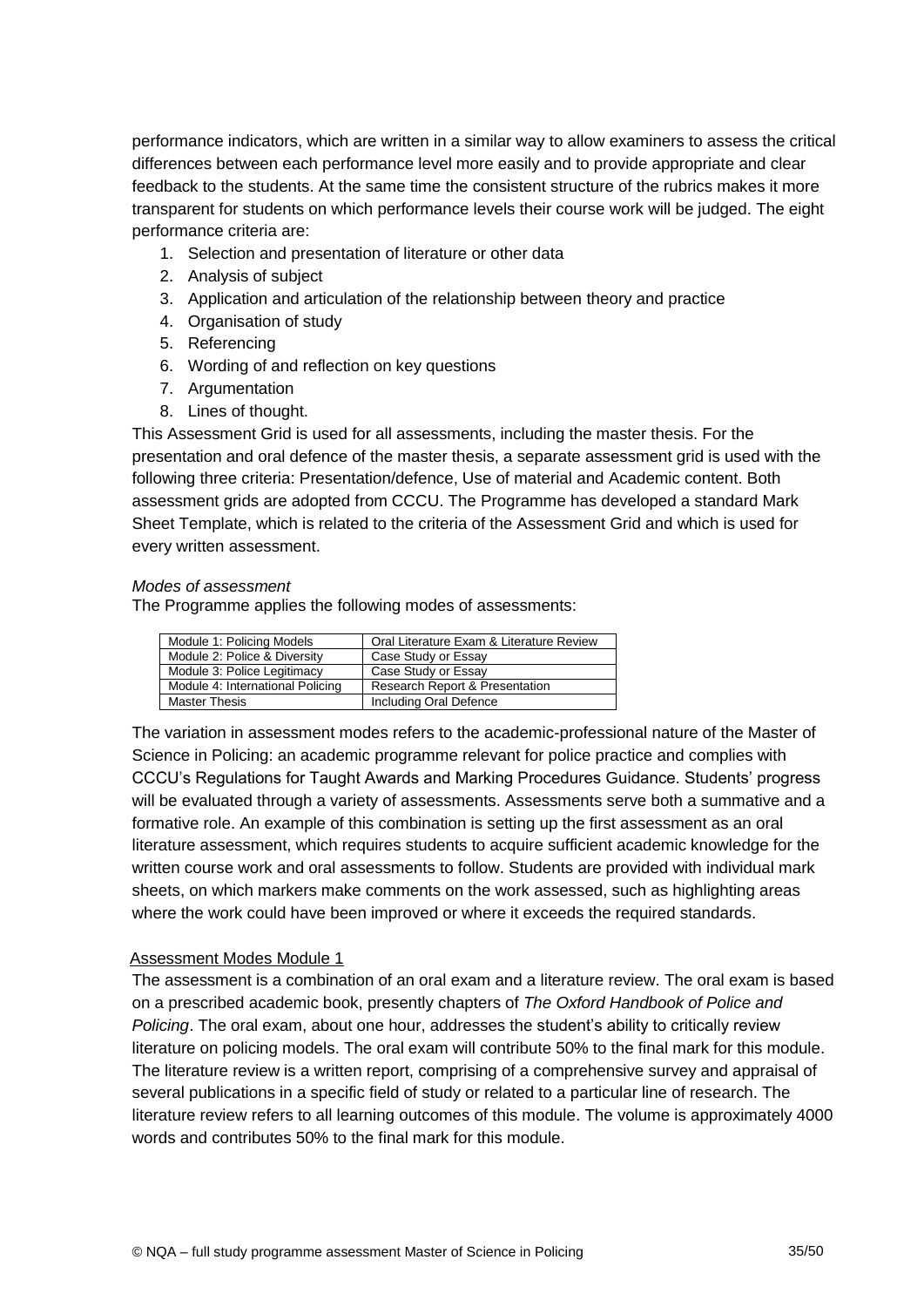performance indicators, which are written in a similar way to allow examiners to assess the critical differences between each performance level more easily and to provide appropriate and clear feedback to the students. At the same time the consistent structure of the rubrics makes it more transparent for students on which performance levels their course work will be judged. The eight performance criteria are:

- 1. Selection and presentation of literature or other data
- 2. Analysis of subject
- 3. Application and articulation of the relationship between theory and practice
- 4. Organisation of study
- 5. Referencing
- 6. Wording of and reflection on key questions
- 7. Argumentation
- 8. Lines of thought.

This Assessment Grid is used for all assessments, including the master thesis. For the presentation and oral defence of the master thesis, a separate assessment grid is used with the following three criteria: Presentation/defence, Use of material and Academic content. Both assessment grids are adopted from CCCU. The Programme has developed a standard Mark Sheet Template, which is related to the criteria of the Assessment Grid and which is used for every written assessment.

#### *Modes of assessment*

The Programme applies the following modes of assessments:

| Module 1: Policing Models        | Oral Literature Exam & Literature Review  |
|----------------------------------|-------------------------------------------|
| Module 2: Police & Diversity     | Case Study or Essay                       |
| Module 3: Police Legitimacy      | Case Study or Essay                       |
| Module 4: International Policing | <b>Research Report &amp; Presentation</b> |
| <b>Master Thesis</b>             | Including Oral Defence                    |

The variation in assessment modes refers to the academic-professional nature of the Master of Science in Policing: an academic programme relevant for police practice and complies with CCCU's Regulations for Taught Awards and Marking Procedures Guidance. Students' progress will be evaluated through a variety of assessments. Assessments serve both a summative and a formative role. An example of this combination is setting up the first assessment as an oral literature assessment, which requires students to acquire sufficient academic knowledge for the written course work and oral assessments to follow. Students are provided with individual mark sheets, on which markers make comments on the work assessed, such as highlighting areas where the work could have been improved or where it exceeds the required standards.

#### Assessment Modes Module 1

The assessment is a combination of an oral exam and a literature review. The oral exam is based on a prescribed academic book, presently chapters of *The Oxford Handbook of Police and Policing*. The oral exam, about one hour, addresses the student's ability to critically review literature on policing models. The oral exam will contribute 50% to the final mark for this module. The literature review is a written report, comprising of a comprehensive survey and appraisal of several publications in a specific field of study or related to a particular line of research. The literature review refers to all learning outcomes of this module. The volume is approximately 4000 words and contributes 50% to the final mark for this module.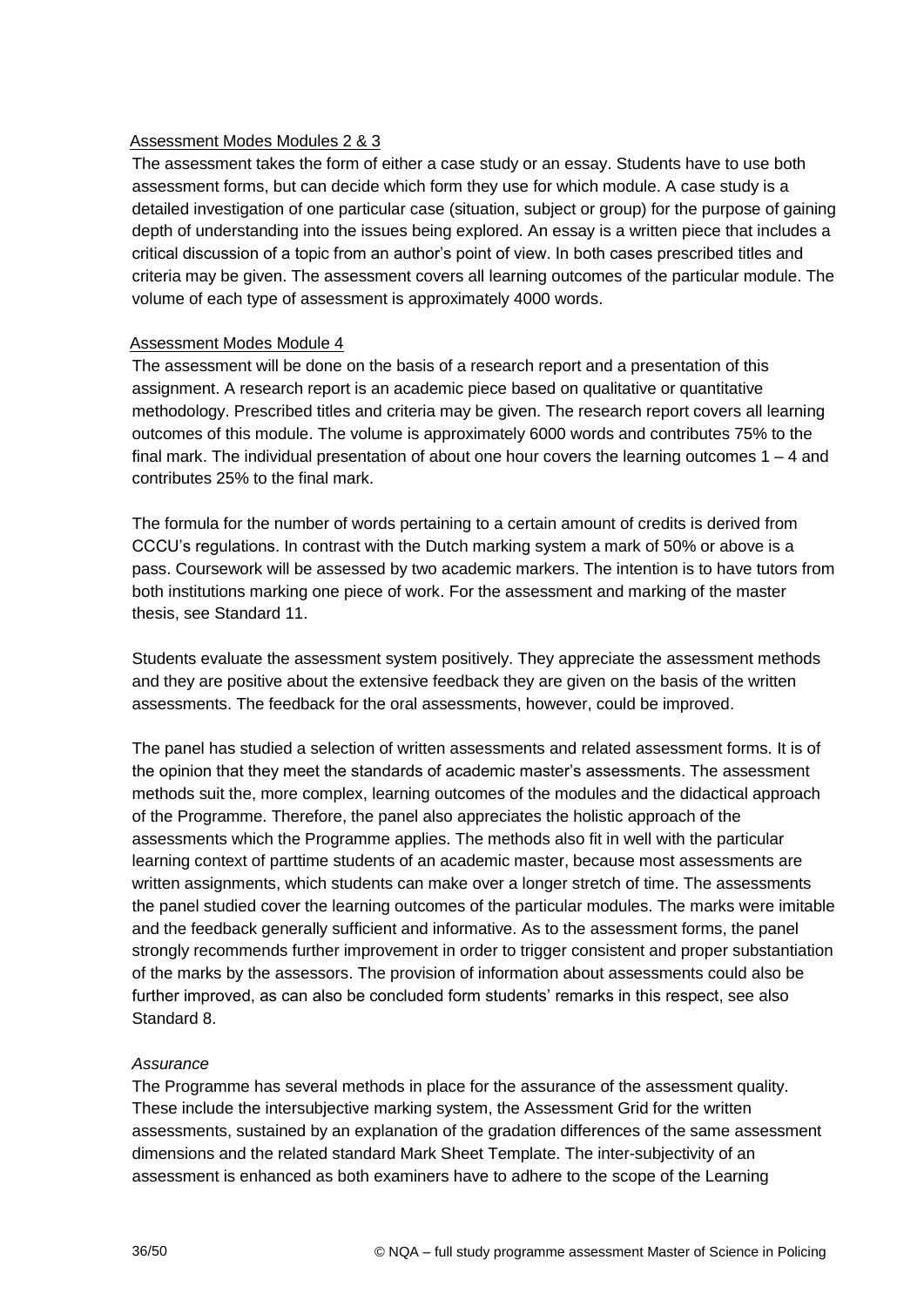#### Assessment Modes Modules 2 & 3

The assessment takes the form of either a case study or an essay. Students have to use both assessment forms, but can decide which form they use for which module. A case study is a detailed investigation of one particular case (situation, subject or group) for the purpose of gaining depth of understanding into the issues being explored. An essay is a written piece that includes a critical discussion of a topic from an author's point of view. In both cases prescribed titles and criteria may be given. The assessment covers all learning outcomes of the particular module. The volume of each type of assessment is approximately 4000 words.

#### Assessment Modes Module 4

The assessment will be done on the basis of a research report and a presentation of this assignment. A research report is an academic piece based on qualitative or quantitative methodology. Prescribed titles and criteria may be given. The research report covers all learning outcomes of this module. The volume is approximately 6000 words and contributes 75% to the final mark. The individual presentation of about one hour covers the learning outcomes  $1 - 4$  and contributes 25% to the final mark.

The formula for the number of words pertaining to a certain amount of credits is derived from CCCU's regulations. In contrast with the Dutch marking system a mark of 50% or above is a pass. Coursework will be assessed by two academic markers. The intention is to have tutors from both institutions marking one piece of work. For the assessment and marking of the master thesis, see Standard 11.

Students evaluate the assessment system positively. They appreciate the assessment methods and they are positive about the extensive feedback they are given on the basis of the written assessments. The feedback for the oral assessments, however, could be improved.

The panel has studied a selection of written assessments and related assessment forms. It is of the opinion that they meet the standards of academic master's assessments. The assessment methods suit the, more complex, learning outcomes of the modules and the didactical approach of the Programme. Therefore, the panel also appreciates the holistic approach of the assessments which the Programme applies. The methods also fit in well with the particular learning context of parttime students of an academic master, because most assessments are written assignments, which students can make over a longer stretch of time. The assessments the panel studied cover the learning outcomes of the particular modules. The marks were imitable and the feedback generally sufficient and informative. As to the assessment forms, the panel strongly recommends further improvement in order to trigger consistent and proper substantiation of the marks by the assessors. The provision of information about assessments could also be further improved, as can also be concluded form students' remarks in this respect, see also Standard 8.

#### *Assurance*

The Programme has several methods in place for the assurance of the assessment quality. These include the intersubjective marking system, the Assessment Grid for the written assessments, sustained by an explanation of the gradation differences of the same assessment dimensions and the related standard Mark Sheet Template. The inter-subjectivity of an assessment is enhanced as both examiners have to adhere to the scope of the Learning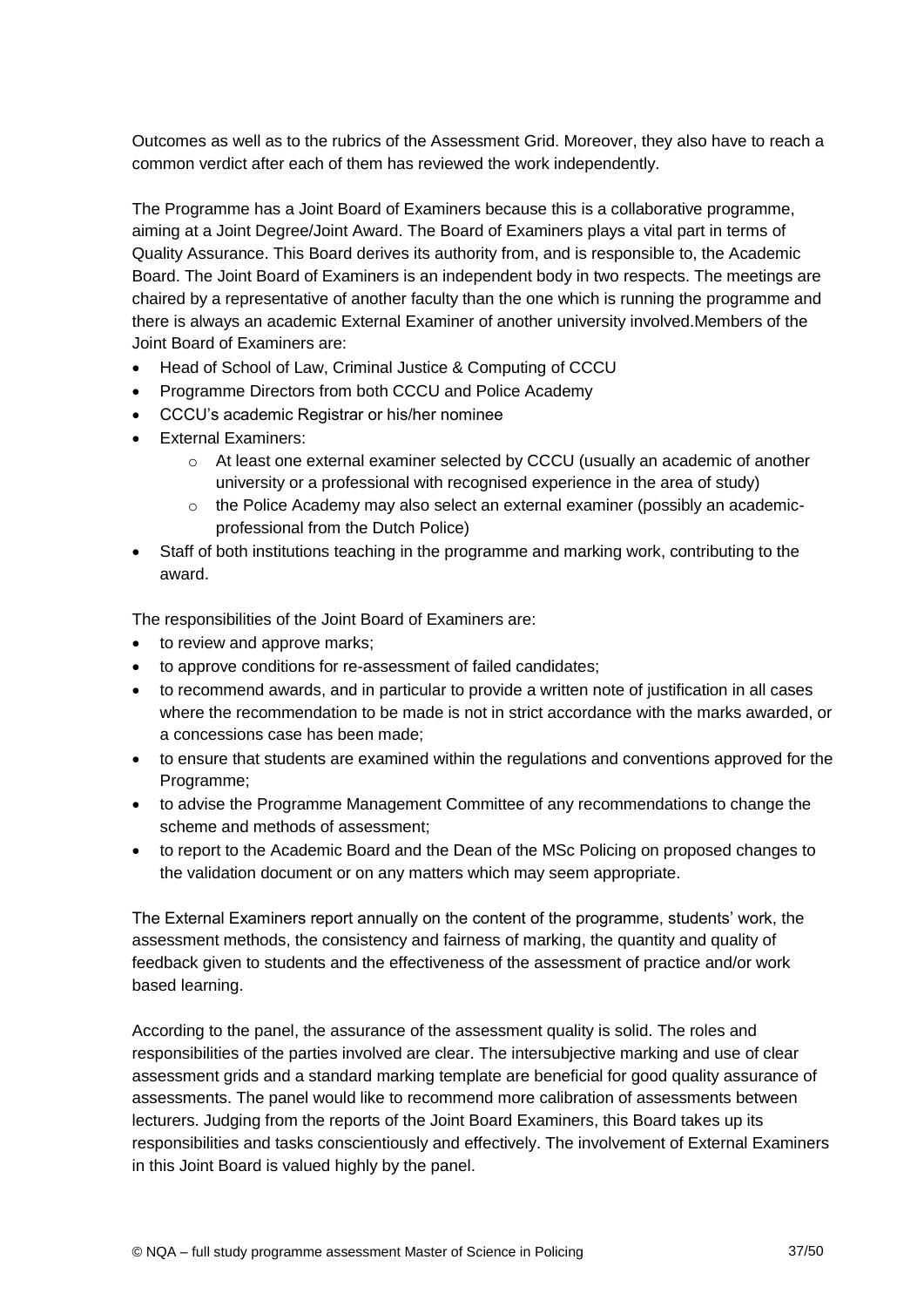Outcomes as well as to the rubrics of the Assessment Grid. Moreover, they also have to reach a common verdict after each of them has reviewed the work independently.

The Programme has a Joint Board of Examiners because this is a collaborative programme, aiming at a Joint Degree/Joint Award. The Board of Examiners plays a vital part in terms of Quality Assurance. This Board derives its authority from, and is responsible to, the Academic Board. The Joint Board of Examiners is an independent body in two respects. The meetings are chaired by a representative of another faculty than the one which is running the programme and there is always an academic External Examiner of another university involved.Members of the Joint Board of Examiners are:

- Head of School of Law, Criminal Justice & Computing of CCCU
- Programme Directors from both CCCU and Police Academy
- CCCU's academic Registrar or his/her nominee
- **External Examiners:** 
	- $\circ$  At least one external examiner selected by CCCU (usually an academic of another university or a professional with recognised experience in the area of study)
	- $\circ$  the Police Academy may also select an external examiner (possibly an academicprofessional from the Dutch Police)
- Staff of both institutions teaching in the programme and marking work, contributing to the award.

The responsibilities of the Joint Board of Examiners are:

- to review and approve marks;
- to approve conditions for re-assessment of failed candidates;
- to recommend awards, and in particular to provide a written note of justification in all cases where the recommendation to be made is not in strict accordance with the marks awarded, or a concessions case has been made;
- to ensure that students are examined within the regulations and conventions approved for the Programme;
- to advise the Programme Management Committee of any recommendations to change the scheme and methods of assessment;
- to report to the Academic Board and the Dean of the MSc Policing on proposed changes to the validation document or on any matters which may seem appropriate.

The External Examiners report annually on the content of the programme, students' work, the assessment methods, the consistency and fairness of marking, the quantity and quality of feedback given to students and the effectiveness of the assessment of practice and/or work based learning.

According to the panel, the assurance of the assessment quality is solid. The roles and responsibilities of the parties involved are clear. The intersubjective marking and use of clear assessment grids and a standard marking template are beneficial for good quality assurance of assessments. The panel would like to recommend more calibration of assessments between lecturers. Judging from the reports of the Joint Board Examiners, this Board takes up its responsibilities and tasks conscientiously and effectively. The involvement of External Examiners in this Joint Board is valued highly by the panel.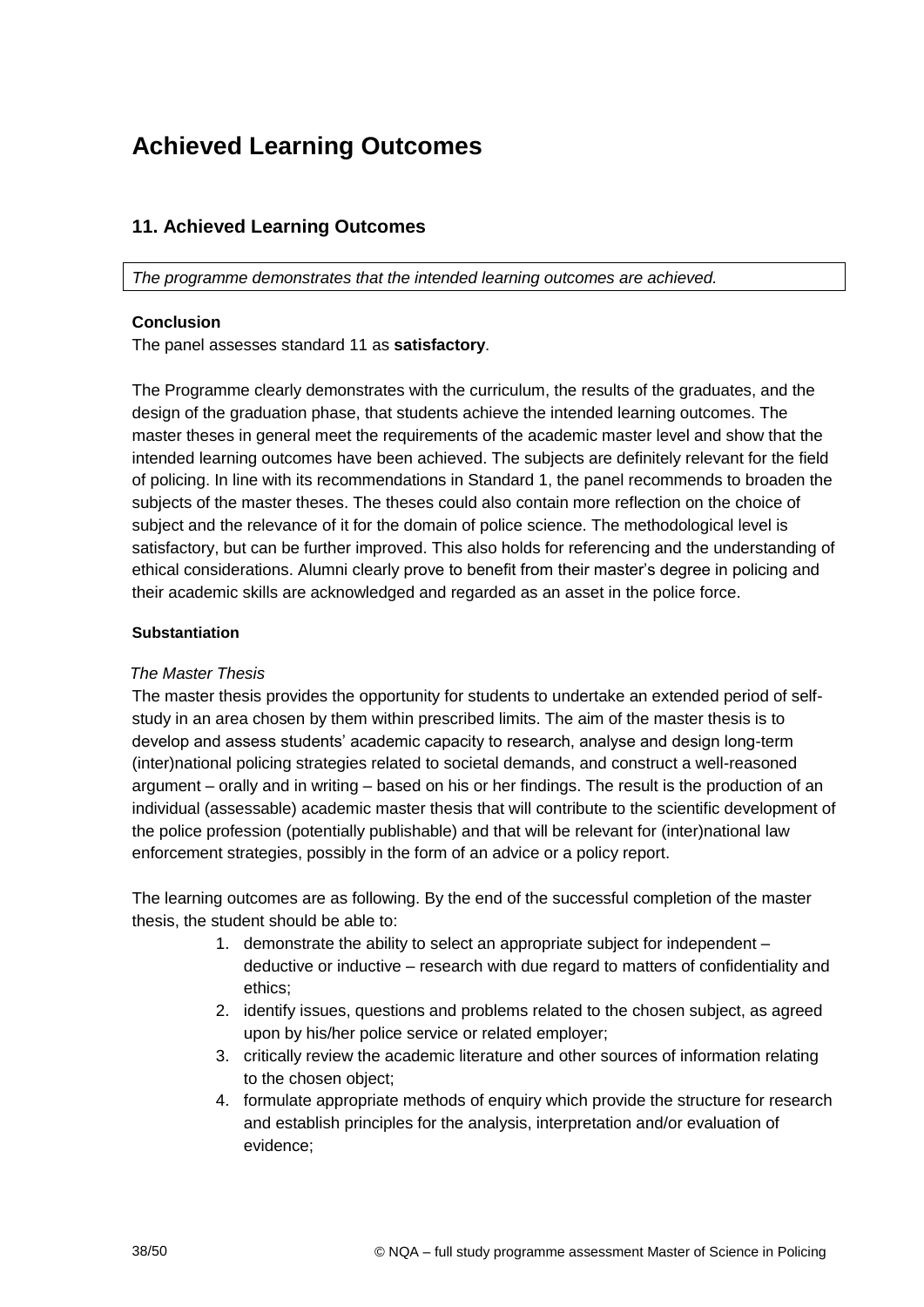# **Achieved Learning Outcomes**

## **11. Achieved Learning Outcomes**

*The programme demonstrates that the intended learning outcomes are achieved.*

#### **Conclusion**

The panel assesses standard 11 as **satisfactory**.

The Programme clearly demonstrates with the curriculum, the results of the graduates, and the design of the graduation phase, that students achieve the intended learning outcomes. The master theses in general meet the requirements of the academic master level and show that the intended learning outcomes have been achieved. The subjects are definitely relevant for the field of policing. In line with its recommendations in Standard 1, the panel recommends to broaden the subjects of the master theses. The theses could also contain more reflection on the choice of subject and the relevance of it for the domain of police science. The methodological level is satisfactory, but can be further improved. This also holds for referencing and the understanding of ethical considerations. Alumni clearly prove to benefit from their master's degree in policing and their academic skills are acknowledged and regarded as an asset in the police force.

#### **Substantiation**

#### *The Master Thesis*

The master thesis provides the opportunity for students to undertake an extended period of selfstudy in an area chosen by them within prescribed limits. The aim of the master thesis is to develop and assess students' academic capacity to research, analyse and design long-term (inter)national policing strategies related to societal demands, and construct a well-reasoned argument – orally and in writing – based on his or her findings. The result is the production of an individual (assessable) academic master thesis that will contribute to the scientific development of the police profession (potentially publishable) and that will be relevant for (inter)national law enforcement strategies, possibly in the form of an advice or a policy report.

The learning outcomes are as following. By the end of the successful completion of the master thesis, the student should be able to:

- 1. demonstrate the ability to select an appropriate subject for independent deductive or inductive – research with due regard to matters of confidentiality and ethics;
- 2. identify issues, questions and problems related to the chosen subject, as agreed upon by his/her police service or related employer;
- 3. critically review the academic literature and other sources of information relating to the chosen object;
- 4. formulate appropriate methods of enquiry which provide the structure for research and establish principles for the analysis, interpretation and/or evaluation of evidence;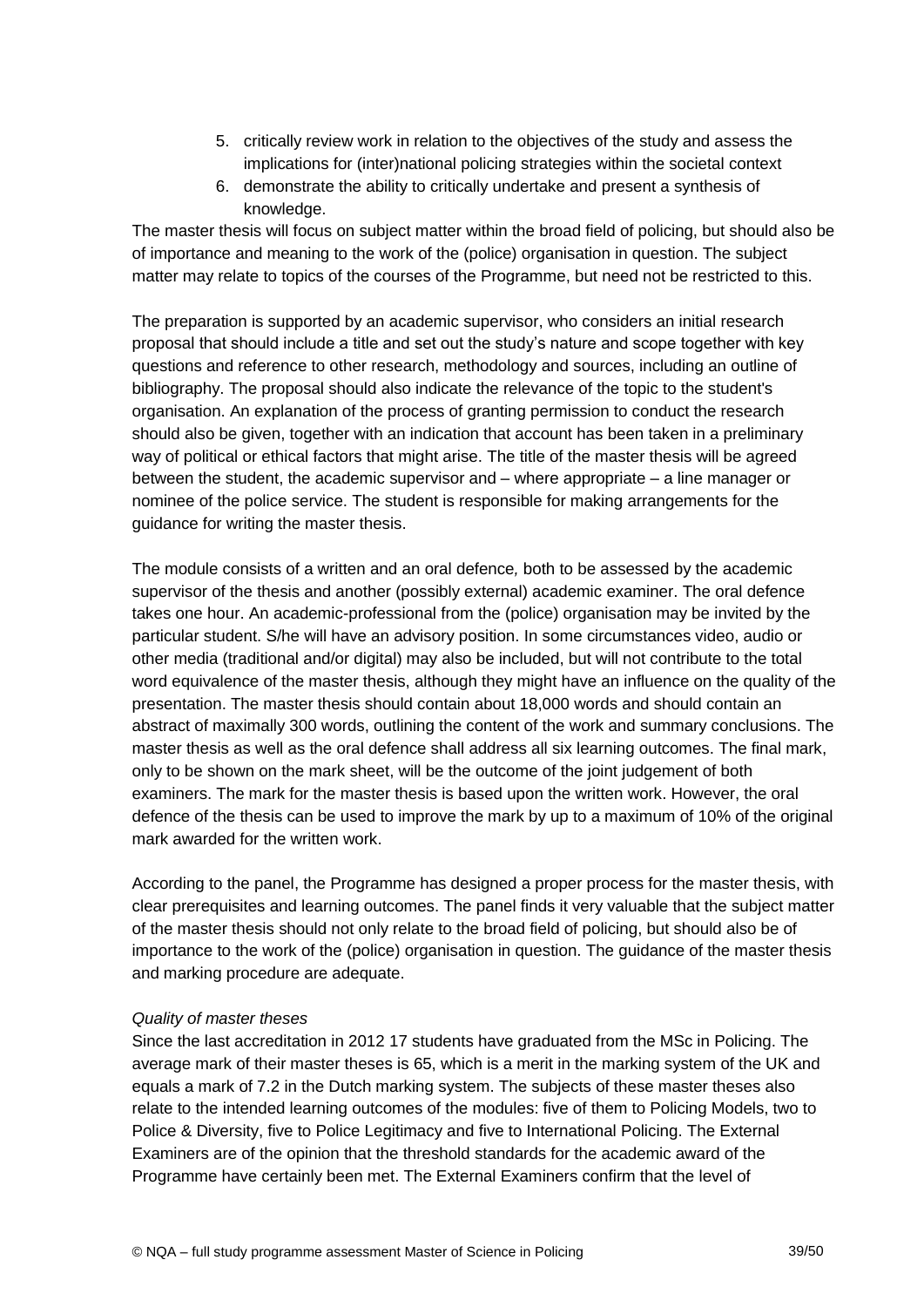- 5. critically review work in relation to the objectives of the study and assess the implications for (inter)national policing strategies within the societal context
- 6. demonstrate the ability to critically undertake and present a synthesis of knowledge.

The master thesis will focus on subject matter within the broad field of policing, but should also be of importance and meaning to the work of the (police) organisation in question. The subject matter may relate to topics of the courses of the Programme, but need not be restricted to this.

The preparation is supported by an academic supervisor, who considers an initial research proposal that should include a title and set out the study's nature and scope together with key questions and reference to other research, methodology and sources, including an outline of bibliography. The proposal should also indicate the relevance of the topic to the student's organisation. An explanation of the process of granting permission to conduct the research should also be given, together with an indication that account has been taken in a preliminary way of political or ethical factors that might arise. The title of the master thesis will be agreed between the student, the academic supervisor and – where appropriate – a line manager or nominee of the police service. The student is responsible for making arrangements for the guidance for writing the master thesis.

The module consists of a written and an oral defence*,* both to be assessed by the academic supervisor of the thesis and another (possibly external) academic examiner. The oral defence takes one hour. An academic-professional from the (police) organisation may be invited by the particular student. S/he will have an advisory position. In some circumstances video, audio or other media (traditional and/or digital) may also be included, but will not contribute to the total word equivalence of the master thesis, although they might have an influence on the quality of the presentation. The master thesis should contain about 18,000 words and should contain an abstract of maximally 300 words, outlining the content of the work and summary conclusions. The master thesis as well as the oral defence shall address all six learning outcomes. The final mark, only to be shown on the mark sheet, will be the outcome of the joint judgement of both examiners. The mark for the master thesis is based upon the written work. However, the oral defence of the thesis can be used to improve the mark by up to a maximum of 10% of the original mark awarded for the written work.

According to the panel, the Programme has designed a proper process for the master thesis, with clear prerequisites and learning outcomes. The panel finds it very valuable that the subject matter of the master thesis should not only relate to the broad field of policing, but should also be of importance to the work of the (police) organisation in question. The guidance of the master thesis and marking procedure are adequate.

#### *Quality of master theses*

Since the last accreditation in 2012 17 students have graduated from the MSc in Policing. The average mark of their master theses is 65, which is a merit in the marking system of the UK and equals a mark of 7.2 in the Dutch marking system. The subjects of these master theses also relate to the intended learning outcomes of the modules: five of them to Policing Models, two to Police & Diversity, five to Police Legitimacy and five to International Policing. The External Examiners are of the opinion that the threshold standards for the academic award of the Programme have certainly been met. The External Examiners confirm that the level of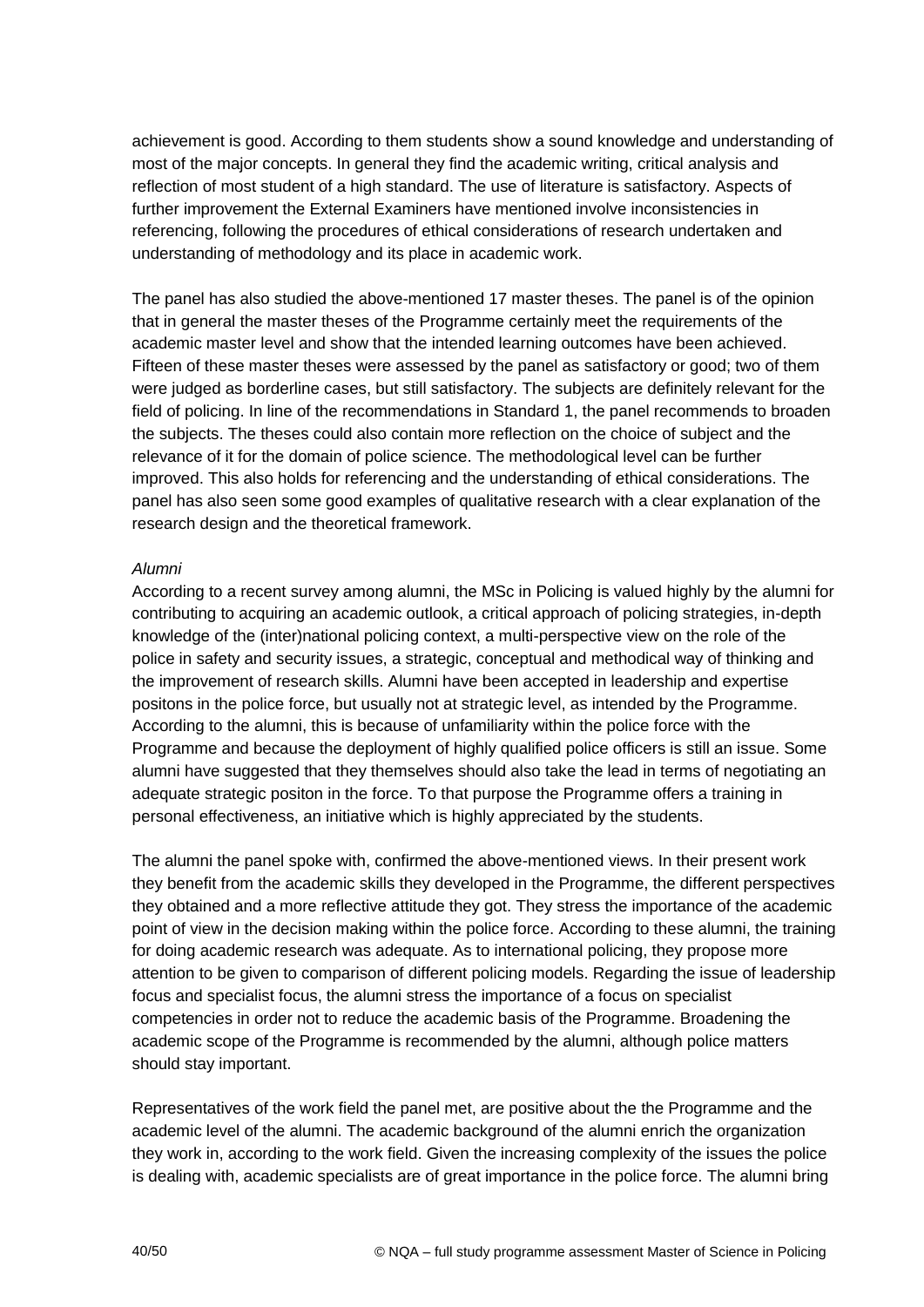achievement is good. According to them students show a sound knowledge and understanding of most of the major concepts. In general they find the academic writing, critical analysis and reflection of most student of a high standard. The use of literature is satisfactory. Aspects of further improvement the External Examiners have mentioned involve inconsistencies in referencing, following the procedures of ethical considerations of research undertaken and understanding of methodology and its place in academic work.

The panel has also studied the above-mentioned 17 master theses. The panel is of the opinion that in general the master theses of the Programme certainly meet the requirements of the academic master level and show that the intended learning outcomes have been achieved. Fifteen of these master theses were assessed by the panel as satisfactory or good; two of them were judged as borderline cases, but still satisfactory. The subjects are definitely relevant for the field of policing. In line of the recommendations in Standard 1, the panel recommends to broaden the subjects. The theses could also contain more reflection on the choice of subject and the relevance of it for the domain of police science. The methodological level can be further improved. This also holds for referencing and the understanding of ethical considerations. The panel has also seen some good examples of qualitative research with a clear explanation of the research design and the theoretical framework.

#### *Alumni*

According to a recent survey among alumni, the MSc in Policing is valued highly by the alumni for contributing to acquiring an academic outlook, a critical approach of policing strategies, in-depth knowledge of the (inter)national policing context, a multi-perspective view on the role of the police in safety and security issues, a strategic, conceptual and methodical way of thinking and the improvement of research skills. Alumni have been accepted in leadership and expertise positons in the police force, but usually not at strategic level, as intended by the Programme. According to the alumni, this is because of unfamiliarity within the police force with the Programme and because the deployment of highly qualified police officers is still an issue. Some alumni have suggested that they themselves should also take the lead in terms of negotiating an adequate strategic positon in the force. To that purpose the Programme offers a training in personal effectiveness, an initiative which is highly appreciated by the students.

The alumni the panel spoke with, confirmed the above-mentioned views. In their present work they benefit from the academic skills they developed in the Programme, the different perspectives they obtained and a more reflective attitude they got. They stress the importance of the academic point of view in the decision making within the police force. According to these alumni, the training for doing academic research was adequate. As to international policing, they propose more attention to be given to comparison of different policing models. Regarding the issue of leadership focus and specialist focus, the alumni stress the importance of a focus on specialist competencies in order not to reduce the academic basis of the Programme. Broadening the academic scope of the Programme is recommended by the alumni, although police matters should stay important.

Representatives of the work field the panel met, are positive about the the Programme and the academic level of the alumni. The academic background of the alumni enrich the organization they work in, according to the work field. Given the increasing complexity of the issues the police is dealing with, academic specialists are of great importance in the police force. The alumni bring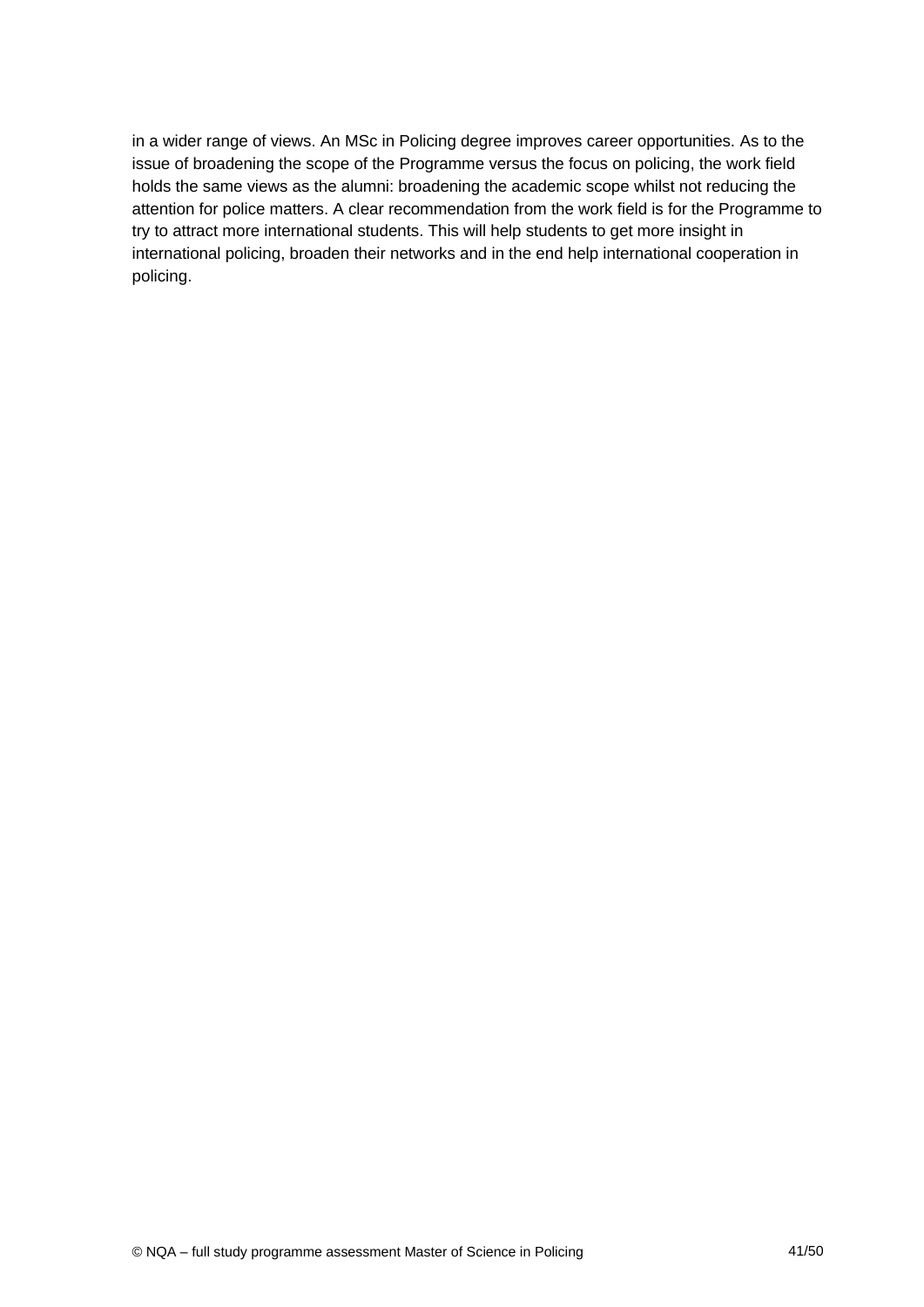<span id="page-40-0"></span>in a wider range of views. An MSc in Policing degree improves career opportunities. As to the issue of broadening the scope of the Programme versus the focus on policing, the work field holds the same views as the alumni: broadening the academic scope whilst not reducing the attention for police matters. A clear recommendation from the work field is for the Programme to try to attract more international students. This will help students to get more insight in international policing, broaden their networks and in the end help international cooperation in policing.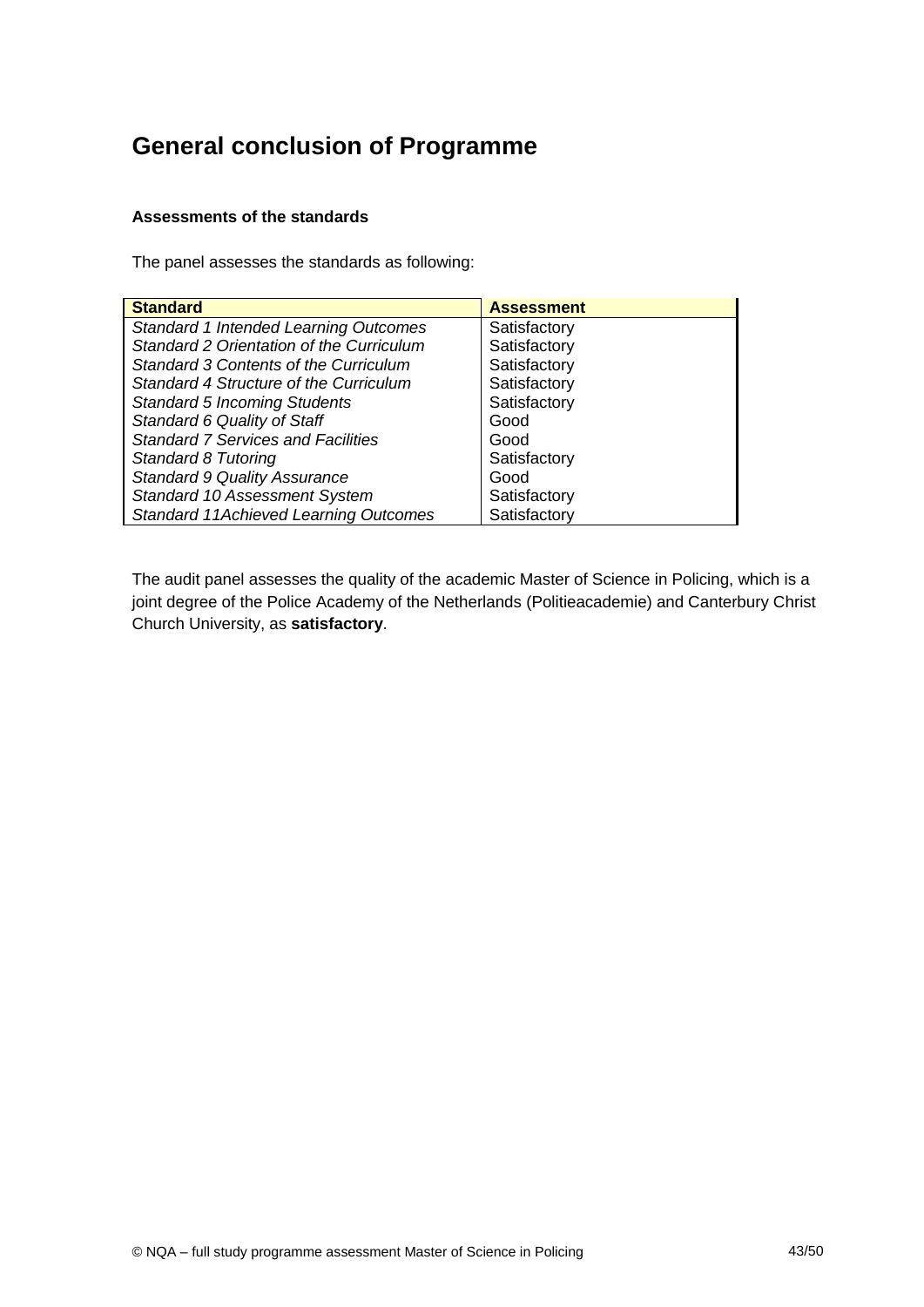## **General conclusion of Programme**

## **Assessments of the standards**

The panel assesses the standards as following:

| <b>Standard</b>                              | <b>Assessment</b> |
|----------------------------------------------|-------------------|
| Standard 1 Intended Learning Outcomes        | Satisfactory      |
| Standard 2 Orientation of the Curriculum     | Satisfactory      |
| Standard 3 Contents of the Curriculum        | Satisfactory      |
| Standard 4 Structure of the Curriculum       | Satisfactory      |
| <b>Standard 5 Incoming Students</b>          | Satisfactory      |
| Standard 6 Quality of Staff                  | Good              |
| <b>Standard 7 Services and Facilities</b>    | Good              |
| Standard 8 Tutoring                          | Satisfactory      |
| <b>Standard 9 Quality Assurance</b>          | Good              |
| Standard 10 Assessment System                | Satisfactory      |
| <b>Standard 11Achieved Learning Outcomes</b> | Satisfactory      |

The audit panel assesses the quality of the academic Master of Science in Policing, which is a joint degree of the Police Academy of the Netherlands (Politieacademie) and Canterbury Christ Church University, as **satisfactory**.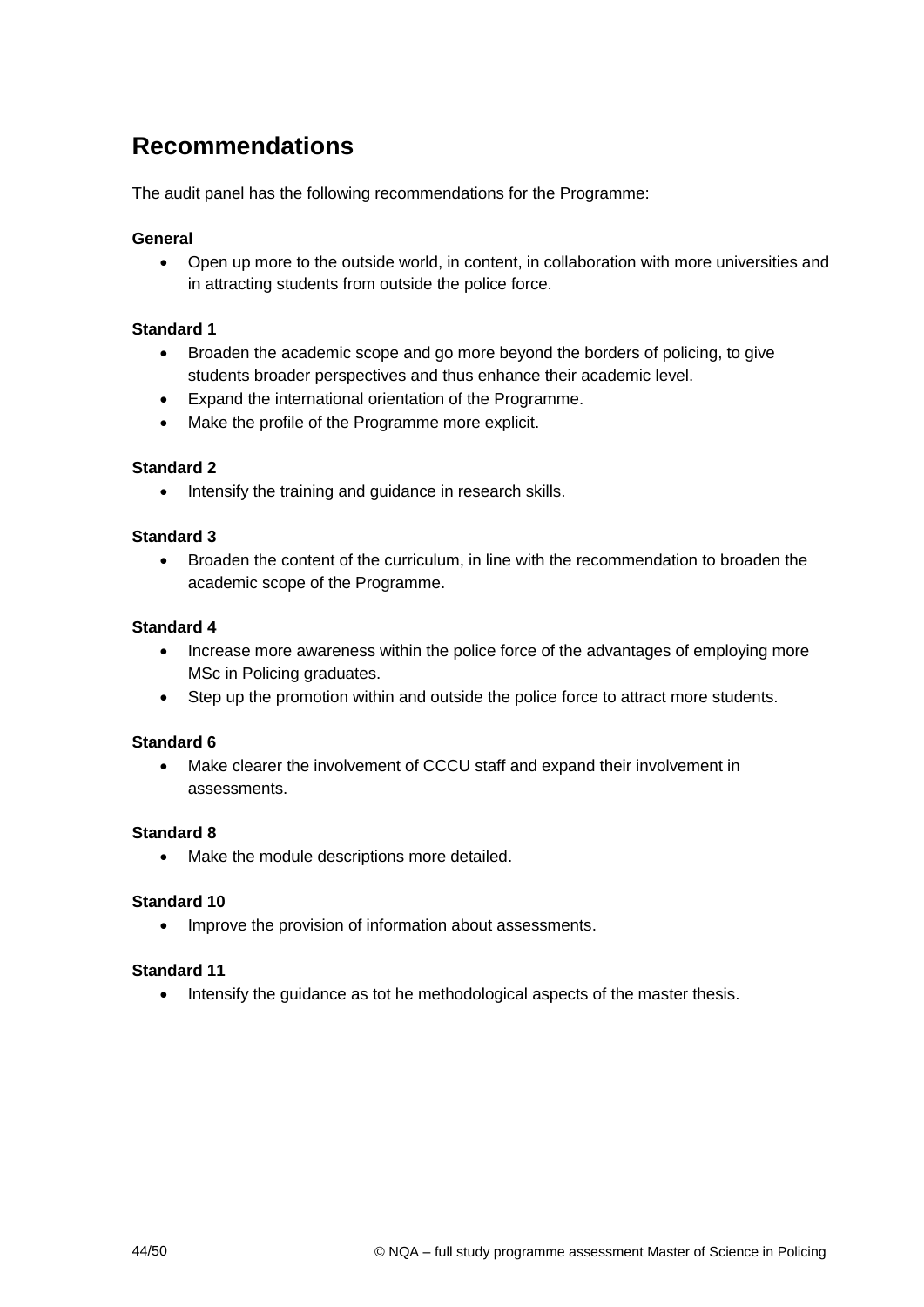# <span id="page-43-0"></span>**Recommendations**

The audit panel has the following recommendations for the Programme:

#### **General**

 Open up more to the outside world, in content, in collaboration with more universities and in attracting students from outside the police force.

#### **Standard 1**

- Broaden the academic scope and go more beyond the borders of policing, to give students broader perspectives and thus enhance their academic level.
- Expand the international orientation of the Programme.
- Make the profile of the Programme more explicit.

#### **Standard 2**

• Intensify the training and quidance in research skills.

#### **Standard 3**

 Broaden the content of the curriculum, in line with the recommendation to broaden the academic scope of the Programme.

#### **Standard 4**

- Increase more awareness within the police force of the advantages of employing more MSc in Policing graduates.
- Step up the promotion within and outside the police force to attract more students.

#### **Standard 6**

 Make clearer the involvement of CCCU staff and expand their involvement in assessments.

#### **Standard 8**

• Make the module descriptions more detailed.

#### **Standard 10**

• Improve the provision of information about assessments.

#### **Standard 11**

• Intensify the quidance as tot he methodological aspects of the master thesis.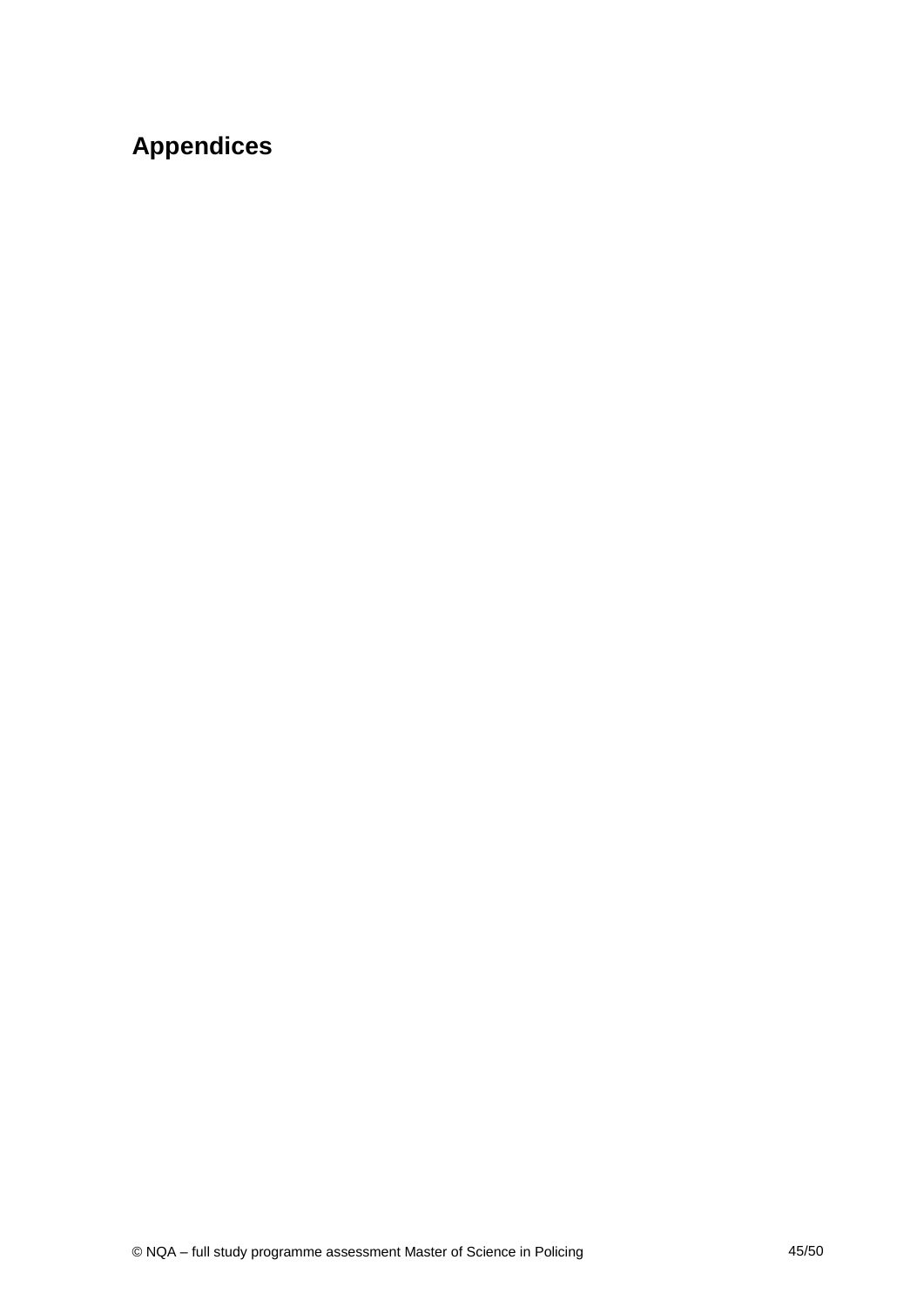# **Appendices**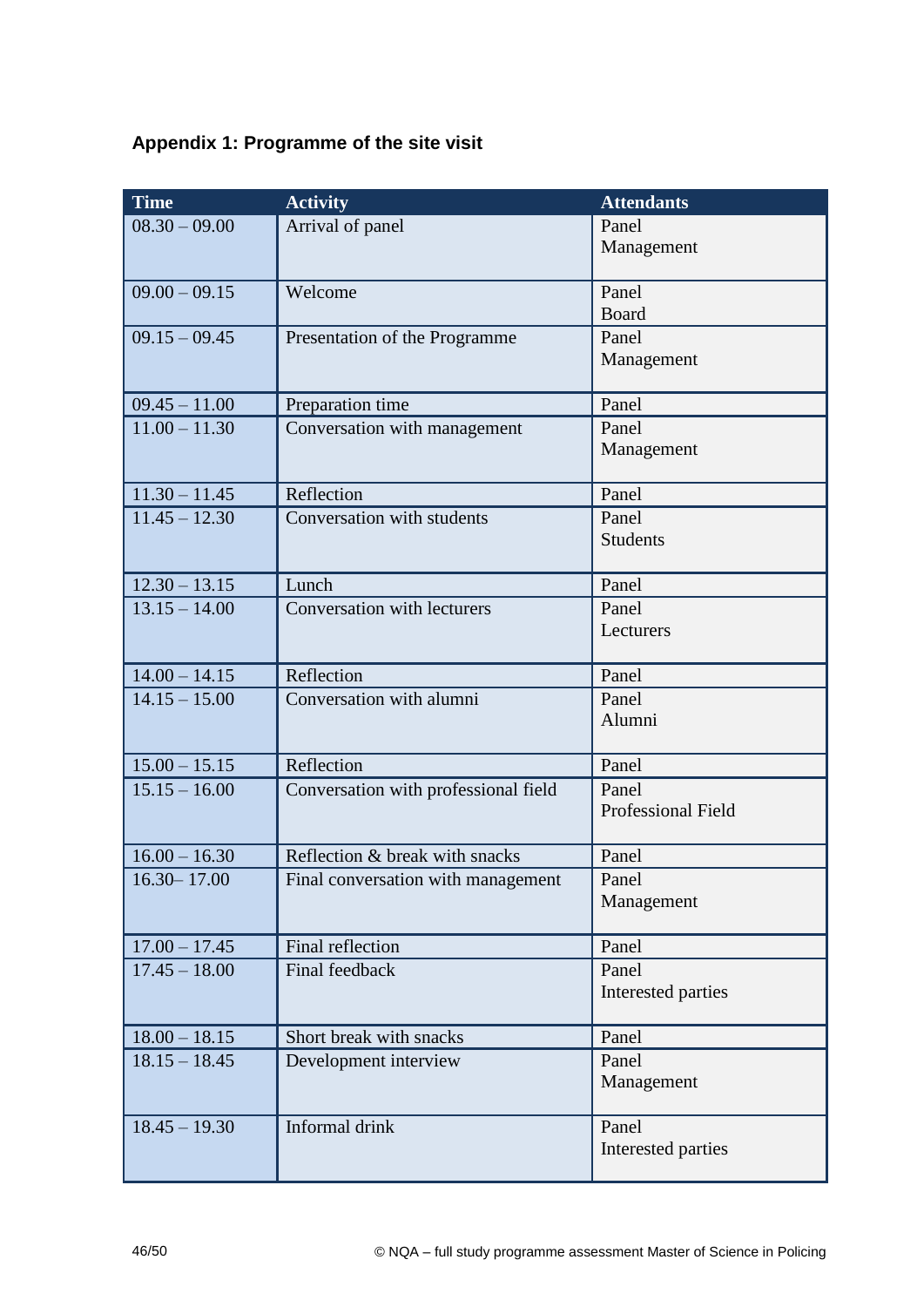## **Appendix 1: Programme of the site visit**

| <b>Time</b>     | <b>Activity</b>                      | <b>Attendants</b>   |
|-----------------|--------------------------------------|---------------------|
| $08.30 - 09.00$ | Arrival of panel                     | Panel<br>Management |
|                 |                                      |                     |
| $09.00 - 09.15$ | Welcome                              | Panel               |
|                 |                                      | Board               |
| $09.15 - 09.45$ | Presentation of the Programme        | Panel               |
|                 |                                      | Management          |
| $09.45 - 11.00$ | Preparation time                     | Panel               |
| $11.00 - 11.30$ | Conversation with management         | Panel               |
|                 |                                      | Management          |
| $11.30 - 11.45$ | Reflection                           | Panel               |
| $11.45 - 12.30$ | Conversation with students           | Panel               |
|                 |                                      | <b>Students</b>     |
| $12.30 - 13.15$ | Lunch                                | Panel               |
| $13.15 - 14.00$ | Conversation with lecturers          | Panel               |
|                 |                                      | Lecturers           |
| $14.00 - 14.15$ | Reflection                           | Panel               |
| $14.15 - 15.00$ | Conversation with alumni             | Panel               |
|                 |                                      | Alumni              |
| $15.00 - 15.15$ | Reflection                           | Panel               |
| $15.15 - 16.00$ | Conversation with professional field | Panel               |
|                 |                                      | Professional Field  |
| $16.00 - 16.30$ | Reflection & break with snacks       | Panel               |
| $16.30 - 17.00$ | Final conversation with management   | Panel               |
|                 |                                      | Management          |
| $17.00 - 17.45$ | Final reflection                     | Panel               |
| $17.45 - 18.00$ | Final feedback                       | Panel               |
|                 |                                      | Interested parties  |
| $18.00 - 18.15$ | Short break with snacks              | Panel               |
| $18.15 - 18.45$ | Development interview                | Panel               |
|                 |                                      | Management          |
| $18.45 - 19.30$ | Informal drink                       | Panel               |
|                 |                                      | Interested parties  |
|                 |                                      |                     |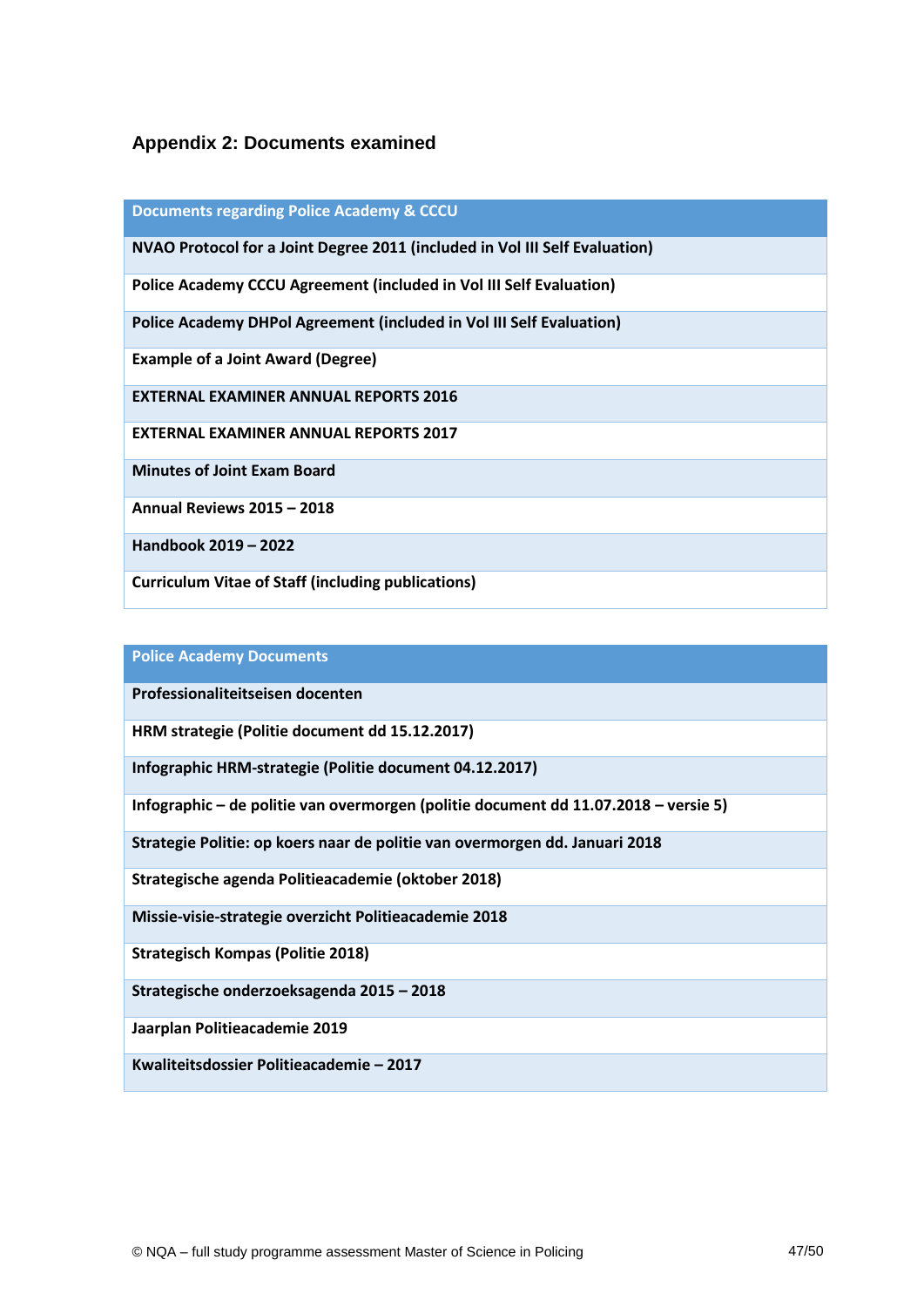## **Appendix 2: Documents examined**

| <b>Documents regarding Police Academy &amp; CCCU</b>                        |
|-----------------------------------------------------------------------------|
| NVAO Protocol for a Joint Degree 2011 (included in Vol III Self Evaluation) |
| Police Academy CCCU Agreement (included in Vol III Self Evaluation)         |
| Police Academy DHPol Agreement (included in Vol III Self Evaluation)        |
| <b>Example of a Joint Award (Degree)</b>                                    |
| <b>EXTERNAL EXAMINER ANNUAL REPORTS 2016</b>                                |
| <b>EXTERNAL EXAMINER ANNUAL REPORTS 2017</b>                                |
| <b>Minutes of Joint Exam Board</b>                                          |
| <b>Annual Reviews 2015 - 2018</b>                                           |
| Handbook 2019 - 2022                                                        |
| <b>Curriculum Vitae of Staff (including publications)</b>                   |

## **Police Academy Documents**

**Professionaliteitseisen docenten** 

**HRM strategie (Politie document dd 15.12.2017)**

**Infographic HRM-strategie (Politie document 04.12.2017)**

**Infographic – de politie van overmorgen (politie document dd 11.07.2018 – versie 5)**

**Strategie Politie: op koers naar de politie van overmorgen dd. Januari 2018** 

**Strategische agenda Politieacademie (oktober 2018)**

**Missie-visie-strategie overzicht Politieacademie 2018**

**Strategisch Kompas (Politie 2018)**

**Strategische onderzoeksagenda 2015 – 2018**

**Jaarplan Politieacademie 2019** 

**Kwaliteitsdossier Politieacademie – 2017**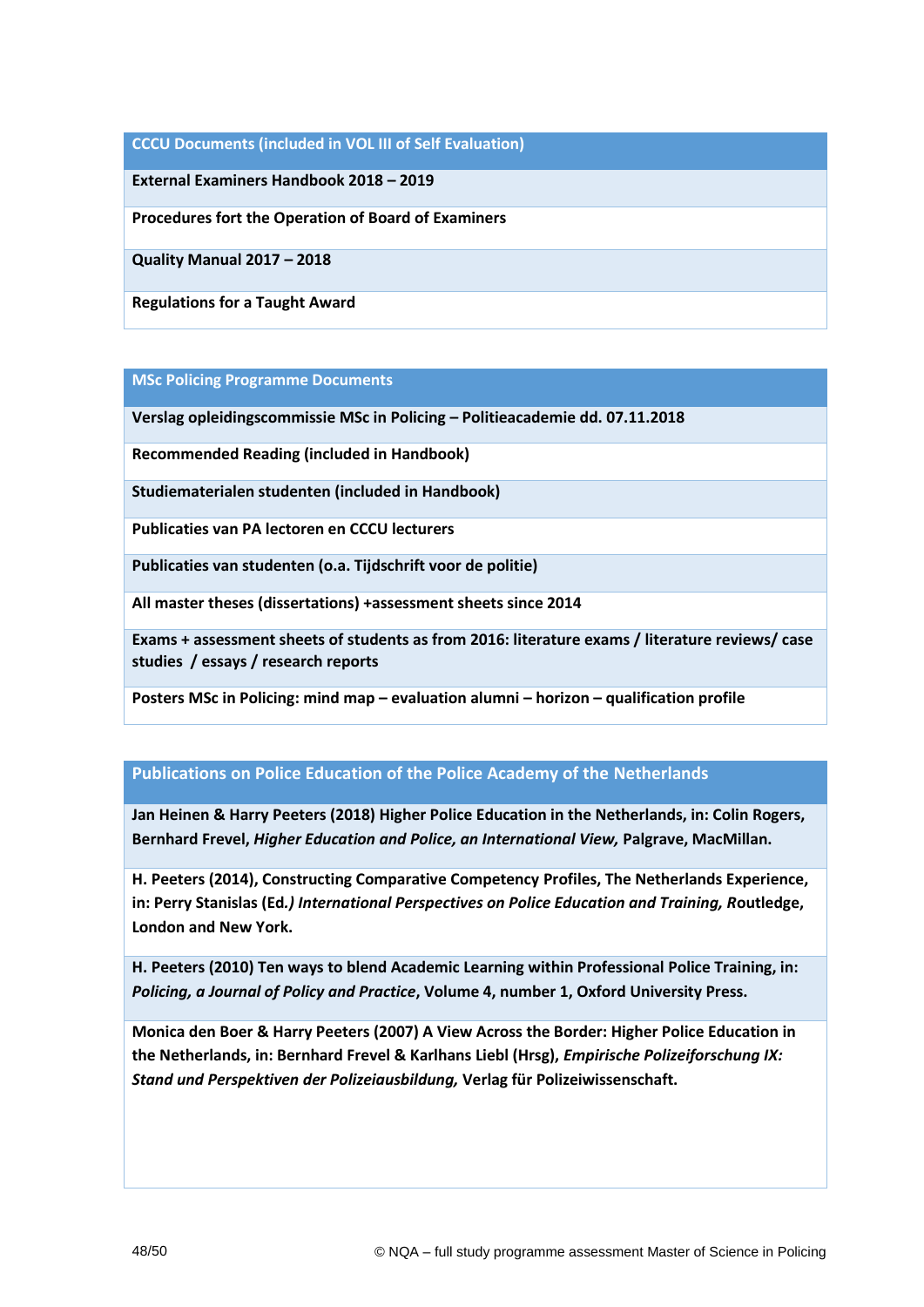#### **CCCU Documents (included in VOL III of Self Evaluation)**

**External Examiners Handbook 2018 – 2019**

**Procedures fort the Operation of Board of Examiners**

**Quality Manual 2017 – 2018**

**Regulations for a Taught Award**

#### **MSc Policing Programme Documents**

**Verslag opleidingscommissie MSc in Policing – Politieacademie dd. 07.11.2018**

**Recommended Reading (included in Handbook)**

**Studiematerialen studenten (included in Handbook)**

**Publicaties van PA lectoren en CCCU lecturers**

**Publicaties van studenten (o.a. Tijdschrift voor de politie)**

**All master theses (dissertations) +assessment sheets since 2014**

**Exams + assessment sheets of students as from 2016: literature exams / literature reviews/ case studies / essays / research reports**

**Posters MSc in Policing: mind map – evaluation alumni – horizon – qualification profile** 

#### **Publications on Police Education of the Police Academy of the Netherlands**

**Jan Heinen & Harry Peeters (2018) Higher Police Education in the Netherlands, in: Colin Rogers, Bernhard Frevel,** *Higher Education and Police, an International View,* **Palgrave, MacMillan.**

**H. Peeters (2014), Constructing Comparative Competency Profiles, The Netherlands Experience, in: Perry Stanislas (Ed***.) International Perspectives on Police Education and Training, R***outledge, London and New York.**

**H. Peeters (2010) Ten ways to blend Academic Learning within Professional Police Training, in:**  *Policing, a Journal of Policy and Practice***, Volume 4, number 1, Oxford University Press.**

**Monica den Boer & Harry Peeters (2007) A View Across the Border: Higher Police Education in the Netherlands, in: Bernhard Frevel & Karlhans Liebl (Hrsg),** *Empirische Polizeiforschung IX: Stand und Perspektiven der Polizeiausbildung,* **Verlag für Polizeiwissenschaft.**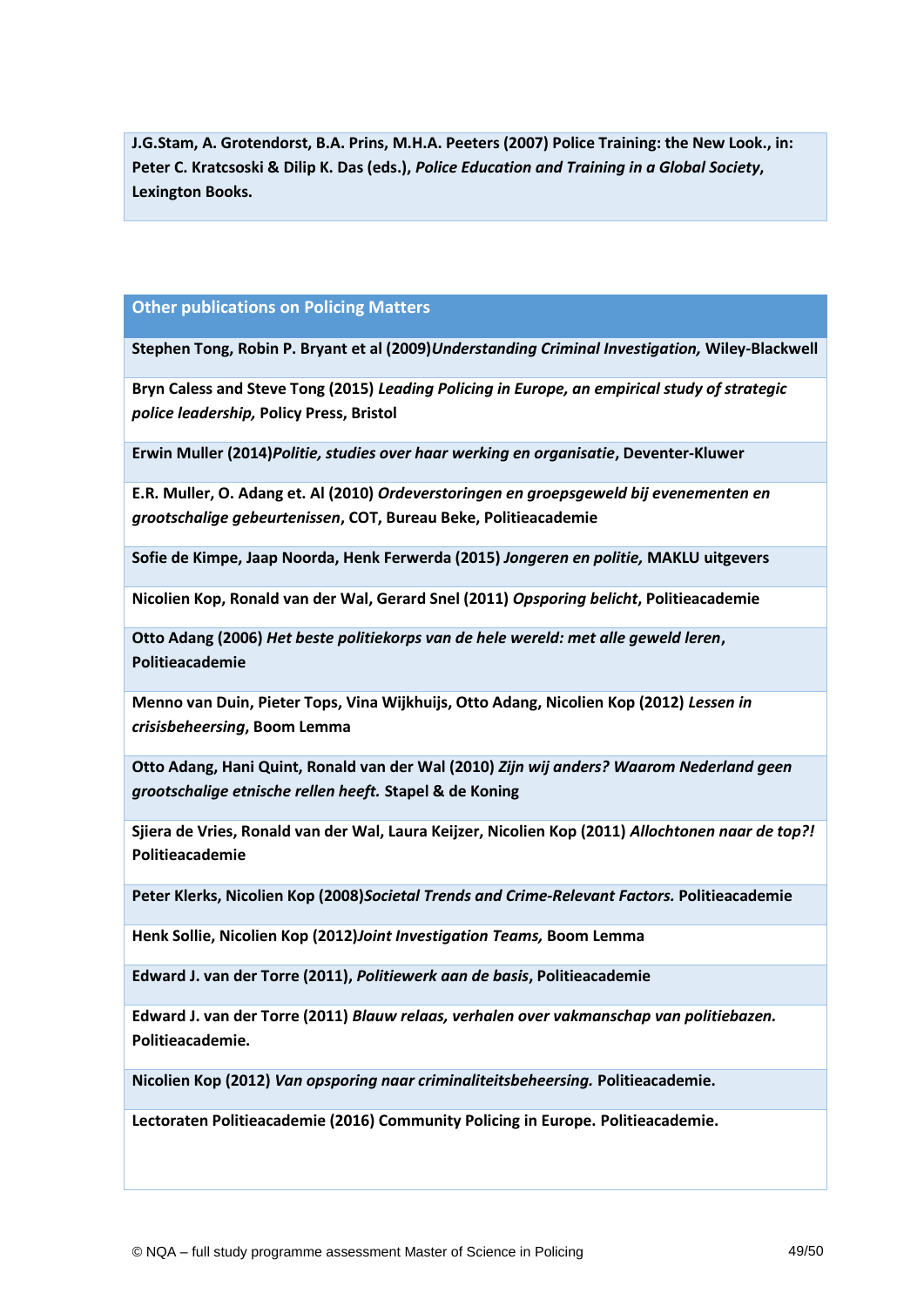**J.G.Stam, A. Grotendorst, B.A. Prins, M.H.A. Peeters (2007) Police Training: the New Look., in: Peter C. Kratcsoski & Dilip K. Das (eds.),** *Police Education and Training in a Global Society***, Lexington Books.** 

#### **Other publications on Policing Matters**

**Stephen Tong, Robin P. Bryant et al (2009)***Understanding Criminal Investigation,* **Wiley-Blackwell**

**Bryn Caless and Steve Tong (2015)** *Leading Policing in Europe, an empirical study of strategic police leadership,* **Policy Press, Bristol**

**Erwin Muller (2014)***Politie, studies over haar werking en organisatie***, Deventer-Kluwer**

**E.R. Muller, O. Adang et. Al (2010)** *Ordeverstoringen en groepsgeweld bij evenementen en grootschalige gebeurtenissen***, COT, Bureau Beke, Politieacademie**

**Sofie de Kimpe, Jaap Noorda, Henk Ferwerda (2015)** *Jongeren en politie,* **MAKLU uitgevers**

**Nicolien Kop, Ronald van der Wal, Gerard Snel (2011)** *Opsporing belicht***, Politieacademie**

**Otto Adang (2006)** *Het beste politiekorps van de hele wereld: met alle geweld leren***, Politieacademie**

**Menno van Duin, Pieter Tops, Vina Wijkhuijs, Otto Adang, Nicolien Kop (2012)** *Lessen in crisisbeheersing***, Boom Lemma**

**Otto Adang, Hani Quint, Ronald van der Wal (2010)** *Zijn wij anders? Waarom Nederland geen grootschalige etnische rellen heeft.* **Stapel & de Koning**

**Sjiera de Vries, Ronald van der Wal, Laura Keijzer, Nicolien Kop (2011)** *Allochtonen naar de top?!* **Politieacademie**

**Peter Klerks, Nicolien Kop (2008)***Societal Trends and Crime-Relevant Factors.* **Politieacademie**

**Henk Sollie, Nicolien Kop (2012)***Joint Investigation Teams,* **Boom Lemma**

**Edward J. van der Torre (2011),** *Politiewerk aan de basis***, Politieacademie**

**Edward J. van der Torre (2011)** *Blauw relaas, verhalen over vakmanschap van politiebazen.* **Politieacademie.**

**Nicolien Kop (2012)** *Van opsporing naar criminaliteitsbeheersing.* **Politieacademie.**

**Lectoraten Politieacademie (2016) Community Policing in Europe. Politieacademie.**